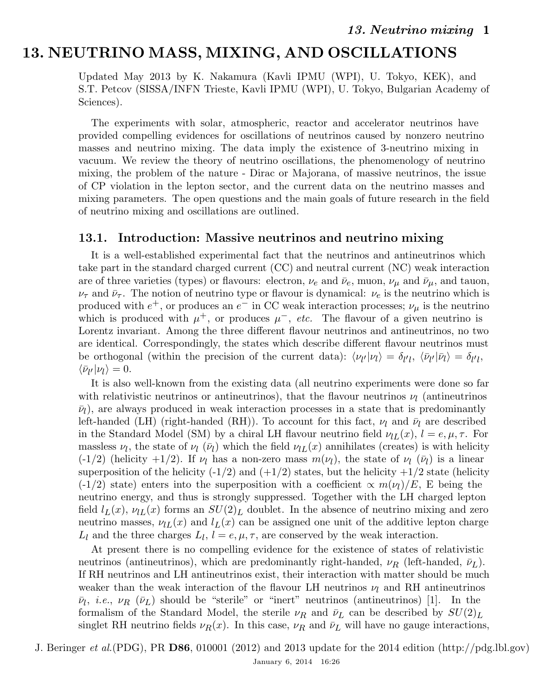# 13. NEUTRINO MASS, MIXING, AND OSCILLATIONS

Updated May 2013 by K. Nakamura (Kavli IPMU (WPI), U. Tokyo, KEK), and S.T. Petcov (SISSA/INFN Trieste, Kavli IPMU (WPI), U. Tokyo, Bulgarian Academy of Sciences).

The experiments with solar, atmospheric, reactor and accelerator neutrinos have provided compelling evidences for oscillations of neutrinos caused by nonzero neutrino masses and neutrino mixing. The data imply the existence of 3-neutrino mixing in vacuum. We review the theory of neutrino oscillations, the phenomenology of neutrino mixing, the problem of the nature - Dirac or Majorana, of massive neutrinos, the issue of CP violation in the lepton sector, and the current data on the neutrino masses and mixing parameters. The open questions and the main goals of future research in the field of neutrino mixing and oscillations are outlined.

### 13.1. Introduction: Massive neutrinos and neutrino mixing

It is a well-established experimental fact that the neutrinos and antineutrinos which take part in the standard charged current (CC) and neutral current (NC) weak interaction are of three varieties (types) or flavours: electron,  $\nu_e$  and  $\bar{\nu}_e$ , muon,  $\nu_\mu$  and  $\bar{\nu}_\mu$ , and tauon,  $\nu_{\tau}$  and  $\bar{\nu}_{\tau}$ . The notion of neutrino type or flavour is dynamical:  $\nu_{e}$  is the neutrino which is produced with  $e^+$ , or produces an  $e^-$  in CC weak interaction processes;  $\nu_\mu$  is the neutrino which is produced with  $\mu^+$ , or produces  $\mu^-$ , etc. The flavour of a given neutrino is Lorentz invariant. Among the three different flavour neutrinos and antineutrinos, no two are identical. Correspondingly, the states which describe different flavour neutrinos must be orthogonal (within the precision of the current data):  $\langle \nu_{l'} | \nu_l \rangle = \delta_{l'l}, \langle \bar{\nu}_{l'} | \bar{\nu}_l \rangle = \delta_{l'l},$  $\langle \bar{\nu}_{l'} | \nu_l \rangle = 0.$ 

It is also well-known from the existing data (all neutrino experiments were done so far with relativistic neutrinos or antineutrinos), that the flavour neutrinos  $\nu_l$  (antineutrinos  $\bar{\nu}_l$ ), are always produced in weak interaction processes in a state that is predominantly left-handed (LH) (right-handed (RH)). To account for this fact,  $\nu_l$  and  $\bar{\nu}_l$  are described in the Standard Model (SM) by a chiral LH flavour neutrino field  $\nu_{LL}(x)$ ,  $l = e, \mu, \tau$ . For massless  $\nu_l$ , the state of  $\nu_l$  ( $\bar{\nu}_l$ ) which the field  $\nu_{lL}(x)$  annihilates (creates) is with helicity (-1/2) (helicity +1/2). If  $\nu_l$  has a non-zero mass  $m(\nu_l)$ , the state of  $\nu_l$  ( $\bar{\nu}_l$ ) is a linear superposition of the helicity  $(-1/2)$  and  $(+1/2)$  states, but the helicity  $+1/2$  state (helicity (-1/2) state) enters into the superposition with a coefficient  $\propto m(\nu_l)/E$ , E being the neutrino energy, and thus is strongly suppressed. Together with the LH charged lepton field  $l_L(x)$ ,  $\nu_{lL}(x)$  forms an  $SU(2)_L$  doublet. In the absence of neutrino mixing and zero neutrino masses,  $\nu_{LL}(x)$  and  $l_L(x)$  can be assigned one unit of the additive lepton charge  $L_l$  and the three charges  $L_l$ ,  $l = e, \mu, \tau$ , are conserved by the weak interaction.

At present there is no compelling evidence for the existence of states of relativistic neutrinos (antineutrinos), which are predominantly right-handed,  $\nu_R$  (left-handed,  $\bar{\nu}_L$ ). If RH neutrinos and LH antineutrinos exist, their interaction with matter should be much weaker than the weak interaction of the flavour LH neutrinos  $\nu_l$  and RH antineutrinos  $\bar{\nu}_l$ , *i.e.*,  $\nu_R$  ( $\bar{\nu}_L$ ) should be "sterile" or "inert" neutrinos (antineutrinos) [1]. In the formalism of the Standard Model, the sterile  $\nu_R$  and  $\bar{\nu}_L$  can be described by  $SU(2)_L$ singlet RH neutrino fields  $\nu_R(x)$ . In this case,  $\nu_R$  and  $\bar{\nu}_L$  will have no gauge interactions,

J. Beringer et al.(PDG), PR D86, 010001 (2012) and 2013 update for the 2014 edition (http://pdg.lbl.gov) January 6, 2014 16:26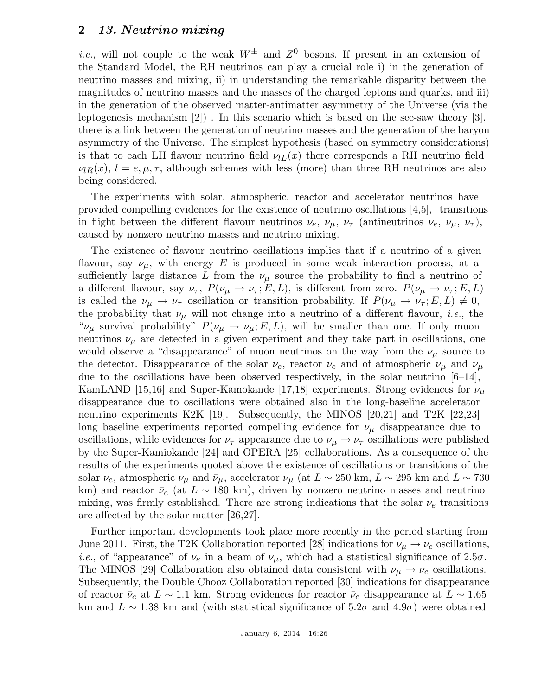*i.e.*, will not couple to the weak  $W^{\pm}$  and  $Z^0$  bosons. If present in an extension of the Standard Model, the RH neutrinos can play a crucial role i) in the generation of neutrino masses and mixing, ii) in understanding the remarkable disparity between the magnitudes of neutrino masses and the masses of the charged leptons and quarks, and iii) in the generation of the observed matter-antimatter asymmetry of the Universe (via the leptogenesis mechanism [2]) . In this scenario which is based on the see-saw theory [3], there is a link between the generation of neutrino masses and the generation of the baryon asymmetry of the Universe. The simplest hypothesis (based on symmetry considerations) is that to each LH flavour neutrino field  $\nu_{LL}(x)$  there corresponds a RH neutrino field  $\nu_{lR}(x)$ ,  $l = e, \mu, \tau$ , although schemes with less (more) than three RH neutrinos are also being considered.

The experiments with solar, atmospheric, reactor and accelerator neutrinos have provided compelling evidences for the existence of neutrino oscillations [4,5], transitions in flight between the different flavour neutrinos  $\nu_e$ ,  $\nu_\mu$ ,  $\nu_\tau$  (antineutrinos  $\bar{\nu}_e$ ,  $\bar{\nu}_\mu$ ,  $\bar{\nu}_\tau$ ), caused by nonzero neutrino masses and neutrino mixing.

The existence of flavour neutrino oscillations implies that if a neutrino of a given flavour, say  $\nu_{\mu}$ , with energy E is produced in some weak interaction process, at a sufficiently large distance L from the  $\nu_{\mu}$  source the probability to find a neutrino of a different flavour, say  $\nu_{\tau}$ ,  $P(\nu_{\mu} \to \nu_{\tau}; E, L)$ , is different from zero.  $P(\nu_{\mu} \to \nu_{\tau}; E, L)$ is called the  $\nu_{\mu} \to \nu_{\tau}$  oscillation or transition probability. If  $P(\nu_{\mu} \to \nu_{\tau}; E, L) \neq 0$ , the probability that  $\nu_{\mu}$  will not change into a neutrino of a different flavour, *i.e.*, the " $\nu_{\mu}$  survival probability"  $P(\nu_{\mu} \to \nu_{\mu}; E, L)$ , will be smaller than one. If only muon neutrinos  $\nu_{\mu}$  are detected in a given experiment and they take part in oscillations, one would observe a "disappearance" of muon neutrinos on the way from the  $\nu_{\mu}$  source to the detector. Disappearance of the solar  $\nu_e$ , reactor  $\bar{\nu}_e$  and of atmospheric  $\nu_\mu$  and  $\bar{\nu}_\mu$ due to the oscillations have been observed respectively, in the solar neutrino [6–14], KamLAND [15,16] and Super-Kamokande [17,18] experiments. Strong evidences for  $\nu_{\mu}$ disappearance due to oscillations were obtained also in the long-baseline accelerator neutrino experiments K2K [19]. Subsequently, the MINOS [20,21] and T2K [22,23] long baseline experiments reported compelling evidence for  $\nu_{\mu}$  disappearance due to oscillations, while evidences for  $\nu_{\tau}$  appearance due to  $\nu_{\mu} \rightarrow \nu_{\tau}$  oscillations were published by the Super-Kamiokande [24] and OPERA [25] collaborations. As a consequence of the results of the experiments quoted above the existence of oscillations or transitions of the solar  $\nu_e$ , atmospheric  $\nu_\mu$  and  $\bar{\nu}_\mu$ , accelerator  $\nu_\mu$  (at  $L \sim 250$  km,  $L \sim 295$  km and  $L \sim 730$ km) and reactor  $\bar{\nu}_e$  (at  $L \sim 180$  km), driven by nonzero neutrino masses and neutrino mixing, was firmly established. There are strong indications that the solar  $\nu_e$  transitions are affected by the solar matter [26,27].

Further important developments took place more recently in the period starting from June 2011. First, the T2K Collaboration reported [28] indications for  $\nu_{\mu} \rightarrow \nu_{e}$  oscillations, *i.e.*, of "appearance" of  $\nu_e$  in a beam of  $\nu_\mu$ , which had a statistical significance of 2.5 $\sigma$ . The MINOS [29] Collaboration also obtained data consistent with  $\nu_{\mu} \rightarrow \nu_{e}$  oscillations. Subsequently, the Double Chooz Collaboration reported [30] indications for disappearance of reactor  $\bar{\nu}_e$  at  $L \sim 1.1$  km. Strong evidences for reactor  $\bar{\nu}_e$  disappearance at  $L \sim 1.65$ km and  $L \sim 1.38$  km and (with statistical significance of 5.2 $\sigma$  and 4.9 $\sigma$ ) were obtained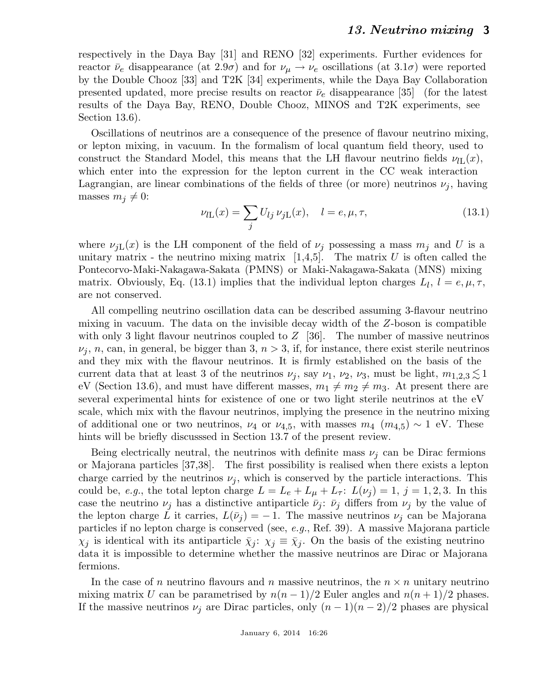respectively in the Daya Bay [31] and RENO [32] experiments. Further evidences for reactor  $\bar{\nu}_e$  disappearance (at 2.9 $\sigma$ ) and for  $\nu_\mu \rightarrow \nu_e$  oscillations (at 3.1 $\sigma$ ) were reported by the Double Chooz [33] and T2K [34] experiments, while the Daya Bay Collaboration presented updated, more precise results on reactor  $\bar{\nu}_e$  disappearance [35] (for the latest results of the Daya Bay, RENO, Double Chooz, MINOS and T2K experiments, see Section 13.6).

Oscillations of neutrinos are a consequence of the presence of flavour neutrino mixing, or lepton mixing, in vacuum. In the formalism of local quantum field theory, used to construct the Standard Model, this means that the LH flavour neutrino fields  $\nu_{\text{IL}}(x)$ , which enter into the expression for the lepton current in the CC weak interaction Lagrangian, are linear combinations of the fields of three (or more) neutrinos  $\nu_j$ , having masses  $m_j \neq 0$ :

$$
\nu_{l\mathcal{L}}(x) = \sum_{j} U_{lj} \,\nu_{j\mathcal{L}}(x), \quad l = e, \mu, \tau,
$$
\n(13.1)

where  $\nu_{jL}(x)$  is the LH component of the field of  $\nu_j$  possessing a mass  $m_j$  and U is a unitary matrix - the neutrino mixing matrix  $[1,4,5]$ . The matrix U is often called the Pontecorvo-Maki-Nakagawa-Sakata (PMNS) or Maki-Nakagawa-Sakata (MNS) mixing matrix. Obviously, Eq. (13.1) implies that the individual lepton charges  $L_l$ ,  $l = e, \mu, \tau$ , are not conserved.

All compelling neutrino oscillation data can be described assuming 3-flavour neutrino mixing in vacuum. The data on the invisible decay width of the Z-boson is compatible with only 3 light flavour neutrinos coupled to  $Z$  [36]. The number of massive neutrinos  $\nu_j$ , n, can, in general, be bigger than 3,  $n > 3$ , if, for instance, there exist sterile neutrinos and they mix with the flavour neutrinos. It is firmly established on the basis of the current data that at least 3 of the neutrinos  $\nu_j$ , say  $\nu_1$ ,  $\nu_2$ ,  $\nu_3$ , must be light,  $m_{1,2,3} \lesssim 1$ eV (Section 13.6), and must have different masses,  $m_1 \neq m_2 \neq m_3$ . At present there are several experimental hints for existence of one or two light sterile neutrinos at the eV scale, which mix with the flavour neutrinos, implying the presence in the neutrino mixing of additional one or two neutrinos,  $\nu_4$  or  $\nu_{4,5}$ , with masses  $m_4$  ( $m_{4,5}$ ) ~ 1 eV. These hints will be briefly discusssed in Section 13.7 of the present review.

Being electrically neutral, the neutrinos with definite mass  $\nu_i$  can be Dirac fermions or Majorana particles [37,38]. The first possibility is realised when there exists a lepton charge carried by the neutrinos  $\nu_j$ , which is conserved by the particle interactions. This could be, e.g., the total lepton charge  $L = L_e + L_\mu + L_\tau$ :  $L(\nu_j) = 1, j = 1, 2, 3$ . In this case the neutrino  $\nu_j$  has a distinctive antiparticle  $\bar{\nu}_j$ :  $\bar{\nu}_j$  differs from  $\nu_j$  by the value of the lepton charge L it carries,  $L(\bar{\nu}_j) = -1$ . The massive neutrinos  $\nu_j$  can be Majorana particles if no lepton charge is conserved (see, e.g., Ref. 39). A massive Majorana particle  $\chi_j$  is identical with its antiparticle  $\bar{\chi}_j$ :  $\chi_j \equiv \bar{\chi}_j$ . On the basis of the existing neutrino data it is impossible to determine whether the massive neutrinos are Dirac or Majorana fermions.

In the case of n neutrino flavours and n massive neutrinos, the  $n \times n$  unitary neutrino mixing matrix U can be parametrised by  $n(n-1)/2$  Euler angles and  $n(n+1)/2$  phases. If the massive neutrinos  $\nu_i$  are Dirac particles, only  $(n-1)(n-2)/2$  phases are physical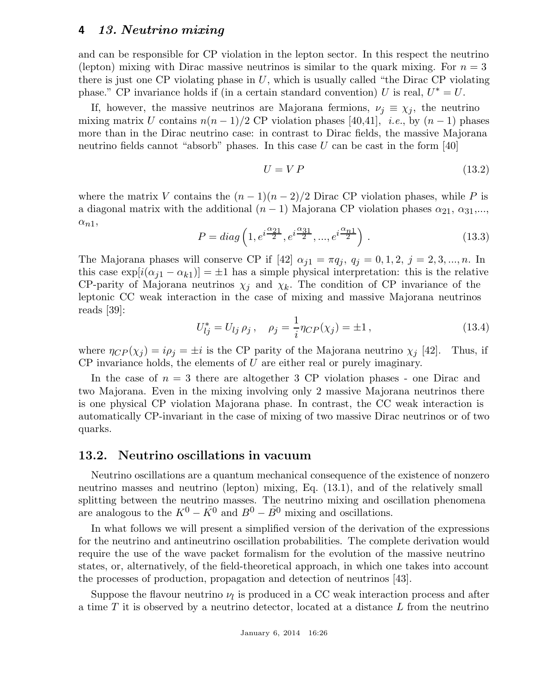and can be responsible for CP violation in the lepton sector. In this respect the neutrino (lepton) mixing with Dirac massive neutrinos is similar to the quark mixing. For  $n = 3$ there is just one CP violating phase in  $U$ , which is usually called "the Dirac CP violating" phase." CP invariance holds if (in a certain standard convention) U is real,  $U^* = U$ .

If, however, the massive neutrinos are Majorana fermions,  $\nu_j \equiv \chi_j$ , the neutrino mixing matrix U contains  $n(n-1)/2$  CP violation phases [40,41], *i.e.*, by  $(n-1)$  phases more than in the Dirac neutrino case: in contrast to Dirac fields, the massive Majorana neutrino fields cannot "absorb" phases. In this case  $U$  can be cast in the form [40]

$$
U = VP \tag{13.2}
$$

where the matrix V contains the  $(n-1)(n-2)/2$  Dirac CP violation phases, while P is a diagonal matrix with the additional  $(n-1)$  Majorana CP violation phases  $\alpha_{21}, \alpha_{31}, \ldots$ ,  $\alpha_{n1},$ 

$$
P = diag\left(1, e^{i\frac{\alpha_{21}}{2}}, e^{i\frac{\alpha_{31}}{2}}, \dots, e^{i\frac{\alpha_{n1}}{2}}\right).
$$
 (13.3)

The Majorana phases will conserve CP if  $[42]$   $\alpha_{j1} = \pi q_j$ ,  $q_j = 0, 1, 2, j = 2, 3, ..., n$ . In this case  $\exp[i(\alpha_{i1} - \alpha_{k1})] = \pm 1$  has a simple physical interpretation: this is the relative CP-parity of Majorana neutrinos  $\chi_i$  and  $\chi_k$ . The condition of CP invariance of the leptonic CC weak interaction in the case of mixing and massive Majorana neutrinos reads [39]:

$$
U_{ij}^* = U_{lj} \rho_j, \quad \rho_j = \frac{1}{i} \eta_{CP}(\chi_j) = \pm 1, \tag{13.4}
$$

where  $\eta_{CP}(\chi_j) = i\rho_j = \pm i$  is the CP parity of the Majorana neutrino  $\chi_j$  [42]. Thus, if  $CP$  invariance holds, the elements of U are either real or purely imaginary.

In the case of  $n = 3$  there are altogether 3 CP violation phases - one Dirac and two Majorana. Even in the mixing involving only 2 massive Majorana neutrinos there is one physical CP violation Majorana phase. In contrast, the CC weak interaction is automatically CP-invariant in the case of mixing of two massive Dirac neutrinos or of two quarks.

### 13.2. Neutrino oscillations in vacuum

Neutrino oscillations are a quantum mechanical consequence of the existence of nonzero neutrino masses and neutrino (lepton) mixing, Eq. (13.1), and of the relatively small splitting between the neutrino masses. The neutrino mixing and oscillation phenomena are analogous to the  $K^0 - \bar{K^0}$  and  $B^0 - \bar{B^0}$  mixing and oscillations.

In what follows we will present a simplified version of the derivation of the expressions for the neutrino and antineutrino oscillation probabilities. The complete derivation would require the use of the wave packet formalism for the evolution of the massive neutrino states, or, alternatively, of the field-theoretical approach, in which one takes into account the processes of production, propagation and detection of neutrinos [43].

Suppose the flavour neutrino  $\nu_l$  is produced in a CC weak interaction process and after a time T it is observed by a neutrino detector, located at a distance L from the neutrino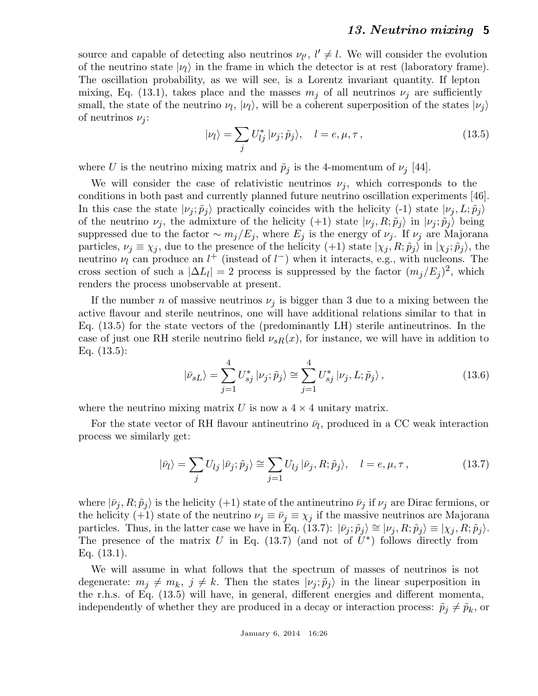source and capable of detecting also neutrinos  $\nu_{l'}$ ,  $l' \neq l$ . We will consider the evolution of the neutrino state  $|v_l\rangle$  in the frame in which the detector is at rest (laboratory frame). The oscillation probability, as we will see, is a Lorentz invariant quantity. If lepton mixing, Eq. (13.1), takes place and the masses  $m_j$  of all neutrinos  $\nu_j$  are sufficiently small, the state of the neutrino  $\nu_l$ ,  $|\nu_l\rangle$ , will be a coherent superposition of the states  $|\nu_j\rangle$ of neutrinos  $\nu_j$ :

$$
|\nu_l\rangle = \sum_j U_{lj}^* |\nu_j; \tilde{p}_j\rangle, \quad l = e, \mu, \tau, \tag{13.5}
$$

where U is the neutrino mixing matrix and  $\tilde{p}_j$  is the 4-momentum of  $\nu_j$  [44].

We will consider the case of relativistic neutrinos  $\nu_j$ , which corresponds to the conditions in both past and currently planned future neutrino oscillation experiments [46]. In this case the state  $|v_j;\tilde{p}_j\rangle$  practically coincides with the helicity (-1) state  $|v_j,L;\tilde{p}_j\rangle$ of the neutrino  $\nu_j$ , the admixture of the helicity (+1) state  $|\nu_j, R; \tilde{p}_j\rangle$  in  $|\nu_j; \tilde{p}_j\rangle$  being suppressed due to the factor  $\sim m_j/E_j$ , where  $E_j$  is the energy of  $\nu_j$ . If  $\nu_j$  are Majorana particles,  $\nu_j \equiv \chi_j$ , due to the presence of the helicity (+1) state  $|\chi_j, R; \tilde{p}_j\rangle$  in  $|\chi_j; \tilde{p}_j\rangle$ , the neutrino  $\nu_l$  can produce an  $l^+$  (instead of  $l^-$ ) when it interacts, e.g., with nucleons. The cross section of such a  $|\Delta L_l| = 2$  process is suppressed by the factor  $(m_j/E_j)^2$ , which renders the process unobservable at present.

If the number *n* of massive neutrinos  $\nu_j$  is bigger than 3 due to a mixing between the active flavour and sterile neutrinos, one will have additional relations similar to that in Eq. (13.5) for the state vectors of the (predominantly LH) sterile antineutrinos. In the case of just one RH sterile neutrino field  $\nu_{sR}(x)$ , for instance, we will have in addition to Eq. (13.5):

$$
|\bar{\nu}_{sL}\rangle = \sum_{j=1}^{4} U_{sj}^* |\nu_j; \tilde{p}_j\rangle \cong \sum_{j=1}^{4} U_{sj}^* |\nu_j, L; \tilde{p}_j\rangle, \qquad (13.6)
$$

where the neutrino mixing matrix U is now a  $4 \times 4$  unitary matrix.

For the state vector of RH flavour antineutrino  $\bar{\nu}_l$ , produced in a CC weak interaction process we similarly get:

$$
|\bar{\nu}_l\rangle = \sum_j U_{lj} | \bar{\nu}_j; \tilde{p}_j\rangle \cong \sum_{j=1} U_{lj} | \bar{\nu}_j, R; \tilde{p}_j\rangle, \quad l = e, \mu, \tau,
$$
\n(13.7)

where  $|\bar{\nu}_j, R; \tilde{p}_j\rangle$  is the helicity (+1) state of the antineutrino  $\bar{\nu}_j$  if  $\nu_j$  are Dirac fermions, or the helicity (+1) state of the neutrino  $\nu_j \equiv \bar{\nu}_j \equiv \chi_j$  if the massive neutrinos are Majorana particles. Thus, in the latter case we have in Eq. (13.7):  $|\bar{\nu}_j; \tilde{p}_j\rangle \cong |\nu_j, R; \tilde{p}_j\rangle \equiv |\chi_j, R; \tilde{p}_j\rangle$ . The presence of the matrix U in Eq. (13.7) (and not of  $\tilde{U}^*$ ) follows directly from Eq. (13.1).

We will assume in what follows that the spectrum of masses of neutrinos is not degenerate:  $m_j \neq m_k$ ,  $j \neq k$ . Then the states  $|\nu_j; \tilde{p}_j\rangle$  in the linear superposition in the r.h.s. of Eq. (13.5) will have, in general, different energies and different momenta, independently of whether they are produced in a decay or interaction process:  $\tilde{p}_j \neq \tilde{p}_k$ , or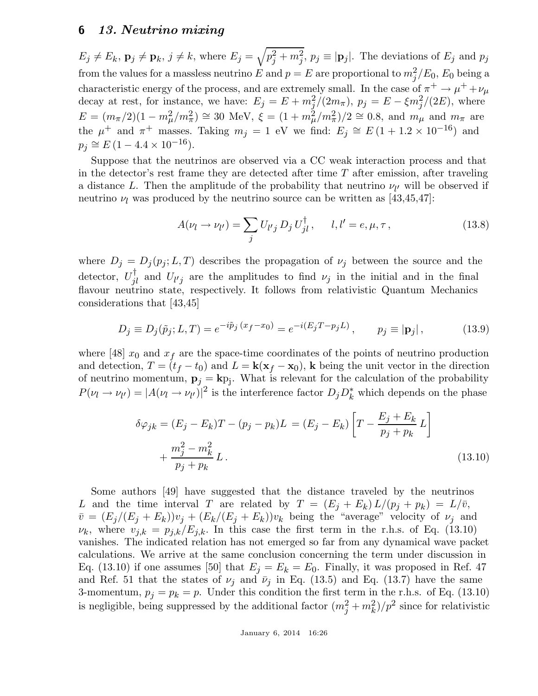$E_j \neq E_k$ ,  $\mathbf{p}_j \neq \mathbf{p}_k$ ,  $j \neq k$ , where  $E_j = \sqrt{p_j^2 + m_j^2}$ ,  $p_j \equiv |\mathbf{p}_j|$ . The deviations of  $E_j$  and  $p_j$ from the values for a massless neutrino  $E$  and  $p = E$  are proportional to  $m_j^2/E_0$ ,  $E_0$  being a characteristic energy of the process, and are extremely small. In the case of  $\pi^+ \to \mu^+ + \nu_\mu$ decay at rest, for instance, we have:  $E_j = E + m_j^2/(2m_\pi)$ ,  $p_j = E - \xi m_j^2/(2E)$ , where  $E = (m_{\pi}/2)(1 - m_{\mu}^2/m_{\pi}^2) \approx 30$  MeV,  $\xi = (1 + m_{\mu}^2/m_{\pi}^2)/2 \approx 0.8$ , and  $m_{\mu}$  and  $m_{\pi}$  are the  $\mu^+$  and  $\pi^+$  masses. Taking  $m_j = 1$  eV we find:  $E_j \cong E(1 + 1.2 \times 10^{-16})$  and  $p_j \cong E \left( 1 - 4.4 \times 10^{-16} \right)$ .

Suppose that the neutrinos are observed via a CC weak interaction process and that in the detector's rest frame they are detected after time  $T$  after emission, after traveling a distance L. Then the amplitude of the probability that neutrino  $\nu_{l'}$  will be observed if neutrino  $\nu_l$  was produced by the neutrino source can be written as [43,45,47]:

$$
A(\nu_l \to \nu_{l'}) = \sum_j U_{l'j} D_j U_{jl}^{\dagger}, \qquad l, l' = e, \mu, \tau,
$$
\n(13.8)

where  $D_j = D_j(p_j; L, T)$  describes the propagation of  $\nu_j$  between the source and the detector,  $U_{jl}^{\dagger}$  and  $U_{l'j}$  are the amplitudes to find  $\nu_j$  in the initial and in the final flavour neutrino state, respectively. It follows from relativistic Quantum Mechanics considerations that [43,45]

$$
D_j \equiv D_j(\tilde{p}_j; L, T) = e^{-i\tilde{p}_j (x_f - x_0)} = e^{-i(E_j T - p_j L)}, \qquad p_j \equiv |\mathbf{p}_j|,
$$
 (13.9)

where [48]  $x_0$  and  $x_f$  are the space-time coordinates of the points of neutrino production and detection,  $T = (t_f - t_0)$  and  $L = k(x_f - x_0)$ , k being the unit vector in the direction of neutrino momentum,  $\mathbf{p}_j = \mathbf{k} p_j$ . What is relevant for the calculation of the probability  $P(\nu_l \to \nu_{l'}) = |A(\nu_l \to \nu_{l'})|^2$  is the interference factor  $D_j D_k^*$  which depends on the phase

$$
\delta\varphi_{jk} = (E_j - E_k)T - (p_j - p_k)L = (E_j - E_k) \left[ T - \frac{E_j + E_k}{p_j + p_k} L \right] + \frac{m_j^2 - m_k^2}{p_j + p_k} L.
$$
\n(13.10)

Some authors [49] have suggested that the distance traveled by the neutrinos L and the time interval T are related by  $T = (E_j + E_k) L/(p_j + p_k) = L/\bar{v}$ ,  $\bar{v} = (E_j/(E_j + E_k))v_j + (E_k/(E_j + E_k))v_k$  being the "average" velocity of  $\nu_j$  and  $\nu_k$ , where  $v_{j,k} = p_{j,k}/E_{j,k}$ . In this case the first term in the r.h.s. of Eq. (13.10) vanishes. The indicated relation has not emerged so far from any dynamical wave packet calculations. We arrive at the same conclusion concerning the term under discussion in Eq. (13.10) if one assumes [50] that  $E_j = E_k = E_0$ . Finally, it was proposed in Ref. 47 and Ref. 51 that the states of  $\nu_j$  and  $\bar{\nu}_j$  in Eq. (13.5) and Eq. (13.7) have the same 3-momentum,  $p_j = p_k = p$ . Under this condition the first term in the r.h.s. of Eq. (13.10) is negligible, being suppressed by the additional factor  $(m_j^2 + m_k^2)/p^2$  since for relativistic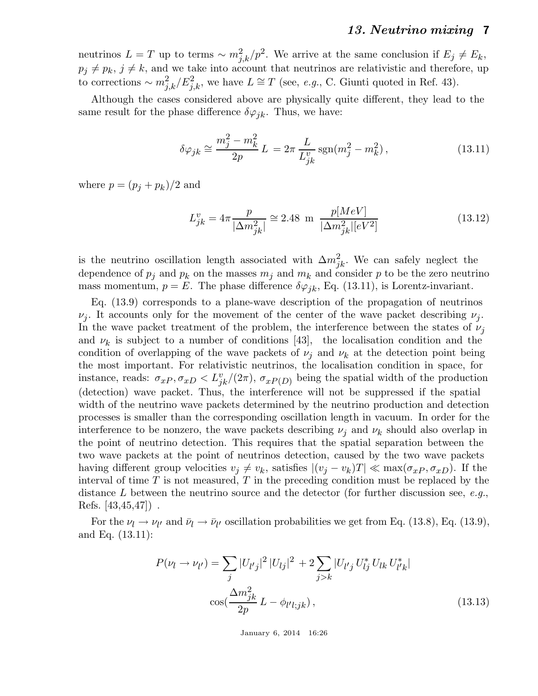neutrinos  $L = T$  up to terms  $\sim m_{j,k}^2/p^2$ . We arrive at the same conclusion if  $E_j \neq E_k$ ,  $p_j \neq p_k$ ,  $j \neq k$ , and we take into account that neutrinos are relativistic and therefore, up to corrections  $\sim m_{j,k}^2/E_{j,k}^2$ , we have  $L \cong T$  (see, *e.g.*, C. Giunti quoted in Ref. 43).

Although the cases considered above are physically quite different, they lead to the same result for the phase difference  $\delta\varphi_{jk}$ . Thus, we have:

$$
\delta \varphi_{jk} \cong \frac{m_j^2 - m_k^2}{2p} L = 2\pi \frac{L}{L_{jk}^v} \operatorname{sgn}(m_j^2 - m_k^2), \qquad (13.11)
$$

where  $p = (p_i + p_k)/2$  and

$$
L_{jk}^{v} = 4\pi \frac{p}{|\Delta m_{jk}^{2}|} \cong 2.48 \text{ m } \frac{p[MeV]}{|\Delta m_{jk}^{2}|[eV^{2}]}
$$
 (13.12)

is the neutrino oscillation length associated with  $\Delta m_{jk}^2$ . We can safely neglect the dependence of  $p_i$  and  $p_k$  on the masses  $m_i$  and  $m_k$  and consider p to be the zero neutrino mass momentum,  $p = E$ . The phase difference  $\delta \varphi_{jk}$ , Eq. (13.11), is Lorentz-invariant.

Eq. (13.9) corresponds to a plane-wave description of the propagation of neutrinos  $\nu_j$ . It accounts only for the movement of the center of the wave packet describing  $\nu_j$ . In the wave packet treatment of the problem, the interference between the states of  $\nu_i$ and  $\nu_k$  is subject to a number of conditions [43], the localisation condition and the condition of overlapping of the wave packets of  $\nu_i$  and  $\nu_k$  at the detection point being the most important. For relativistic neutrinos, the localisation condition in space, for instance, reads:  $\sigma_{xP}, \sigma_{xD} < L_{jk}^v/(2\pi)$ ,  $\sigma_{xP(D)}$  being the spatial width of the production (detection) wave packet. Thus, the interference will not be suppressed if the spatial width of the neutrino wave packets determined by the neutrino production and detection processes is smaller than the corresponding oscillation length in vacuum. In order for the interference to be nonzero, the wave packets describing  $\nu_i$  and  $\nu_k$  should also overlap in the point of neutrino detection. This requires that the spatial separation between the two wave packets at the point of neutrinos detection, caused by the two wave packets having different group velocities  $v_i \neq v_k$ , satisfies  $|(v_i - v_k)T| \ll \max(\sigma_{xP}, \sigma_{xD})$ . If the interval of time  $T$  is not measured,  $T$  in the preceding condition must be replaced by the distance L between the neutrino source and the detector (for further discussion see,  $e.g.,$ Refs. [43,45,47]) .

For the  $\nu_l \to \nu_{l'}$  and  $\bar{\nu}_l \to \bar{\nu}_{l'}$  oscillation probabilities we get from Eq. (13.8), Eq. (13.9), and Eq. (13.11):

$$
P(\nu_l \to \nu_{l'}) = \sum_j |U_{l'j}|^2 |U_{lj}|^2 + 2 \sum_{j>k} |U_{l'j} U_{lj}^* U_{lk} U_{l'k}^*|
$$
  

$$
\cos(\frac{\Delta m_{jk}^2}{2p} L - \phi_{l'l;jk}),
$$
 (13.13)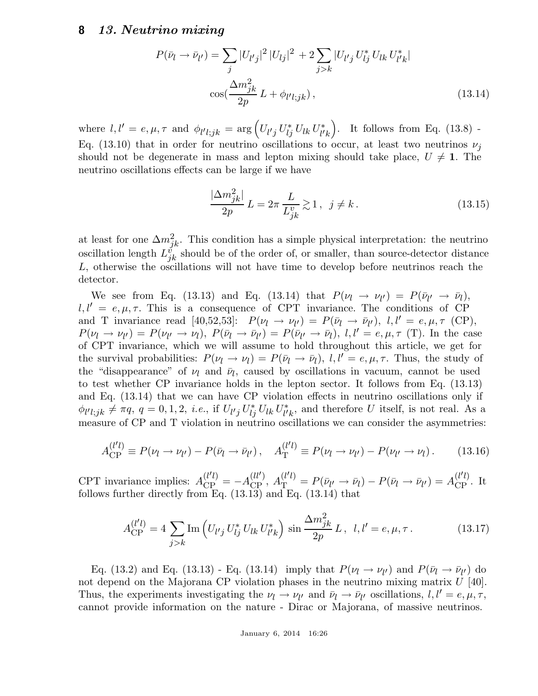$$
P(\bar{\nu}_l \to \bar{\nu}_{l'}) = \sum_{j} |U_{l'j}|^2 |U_{lj}|^2 + 2 \sum_{j>k} |U_{l'j} U_{lj}^* U_{lk} U_{l'k}^*|
$$
  

$$
\cos(\frac{\Delta m_{jk}^2}{2p} L + \phi_{l'l;jk}),
$$
 (13.14)

where  $l, l' = e, \mu, \tau \text{ and } \phi_{l' l; jk} = \arg (U_{l'j} U_{lj}^* U_{lk} U_{l'}^*$  $\binom{1}{l'}k$ . It follows from Eq. (13.8) -Eq. (13.10) that in order for neutrino oscillations to occur, at least two neutrinos  $\nu_i$ should not be degenerate in mass and lepton mixing should take place,  $U \neq 1$ . The neutrino oscillations effects can be large if we have

$$
\frac{|\Delta m_{jk}^2|}{2p}L = 2\pi \frac{L}{L_{jk}^v} \gtrsim 1, \ \ j \neq k. \tag{13.15}
$$

at least for one  $\Delta m_{jk}^2$ . This condition has a simple physical interpretation: the neutrino oscillation length  $L_{jk}^{\check{v}}$  should be of the order of, or smaller, than source-detector distance L, otherwise the oscillations will not have time to develop before neutrinos reach the detector.

We see from Eq. (13.13) and Eq. (13.14) that  $P(\nu_l \rightarrow \nu_{l'}) = P(\bar{\nu}_{l'} \rightarrow \bar{\nu}_l)$ ,  $l, l' = e, \mu, \tau$ . This is a consequence of CPT invariance. The conditions of CP and T invariance read [40,52,53]:  $P(\nu_l \to \nu_{l'}) = P(\bar{\nu}_l \to \bar{\nu}_{l'})$ ,  $l, l' = e, \mu, \tau$  (CP),  $P(\nu_l \to \nu_{l'}) = P(\nu_{l'} \to \nu_l), P(\bar{\nu}_l \to \bar{\nu}_{l'}) = P(\bar{\nu}_{l'} \to \bar{\nu}_l), l, l' = e, \mu, \tau$  (T). In the case of CPT invariance, which we will assume to hold throughout this article, we get for the survival probabilities:  $P(\nu_l \to \nu_l) = P(\bar{\nu}_l \to \bar{\nu}_l)$ ,  $l, l' = e, \mu, \tau$ . Thus, the study of the "disappearance" of  $\nu_l$  and  $\bar{\nu}_l$ , caused by oscillations in vacuum, cannot be used to test whether CP invariance holds in the lepton sector. It follows from Eq. (13.13) and Eq. (13.14) that we can have CP violation effects in neutrino oscillations only if  $\phi_{l'l;jk} \neq \pi q, q = 0, 1, 2, i.e.,$  if  $U_{l'j} U_{lj}^* U_{lk} U_{l'}^*$  $\psi_k^*$ , and therefore U itself, is not real. As a measure of CP and T violation in neutrino oscillations we can consider the asymmetries:

$$
A_{\rm CP}^{(l'l)} \equiv P(\nu_l \to \nu_{l'}) - P(\bar{\nu}_l \to \bar{\nu}_{l'}), \quad A_{\rm T}^{(l'l)} \equiv P(\nu_l \to \nu_{l'}) - P(\nu_{l'} \to \nu_l). \tag{13.16}
$$

CPT invariance implies:  $A_{\text{CP}}^{(l'l)} = -A$ (*ll'*),  $A_{\text{T}}^{(l'l)} = P(\bar{\nu}_{l'} \to \bar{\nu}_{l}) - P(\bar{\nu}_{l} \to \bar{\nu}_{l'}) = A_{\text{CP}}^{(l'l)}$ . It follows further directly from Eq.  $(13.13)$  and Eq.  $(13.14)$  that

$$
A_{\rm CP}^{(l'l)} = 4 \sum_{j>k} \text{Im} \left( U_{l'j} U_{lj}^* U_{lk} U_{l'k}^* \right) \sin \frac{\Delta m_{jk}^2}{2p} L, \ l, l' = e, \mu, \tau. \tag{13.17}
$$

Eq. (13.2) and Eq. (13.13) - Eq. (13.14) imply that  $P(\nu_l \to \nu_{l'})$  and  $P(\bar{\nu}_l \to \bar{\nu}_{l'})$  do not depend on the Majorana CP violation phases in the neutrino mixing matrix  $U$  [40]. Thus, the experiments investigating the  $\nu_l \to \nu_{l'}$  and  $\bar{\nu}_l \to \bar{\nu}_{l'}$  oscillations,  $l, l' = e, \mu, \tau$ , cannot provide information on the nature - Dirac or Majorana, of massive neutrinos.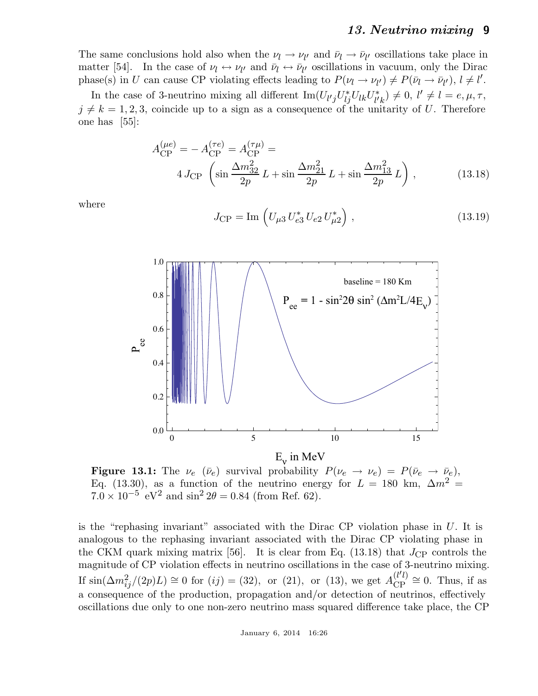The same conclusions hold also when the  $\nu_l \to \nu_{l'}$  and  $\bar{\nu}_l \to \bar{\nu}_{l'}$  oscillations take place in matter [54]. In the case of  $\nu_l \leftrightarrow \nu_{l'}$  and  $\bar{\nu}_l \leftrightarrow \bar{\nu}_{l'}$  oscillations in vacuum, only the Dirac phase(s) in U can cause CP violating effects leading to  $P(\nu_l \to \nu_{l'}) \neq P(\bar{\nu}_l \to \bar{\nu}_{l'})$ ,  $l \neq l'$ .

In the case of 3-neutrino mixing all different  $\text{Im}(U_{l'j}U_{lj}^*U_{lk}U_{l'}^*$  $l'_{l'k}$ )  $\neq 0, l' \neq l = e, \mu, \tau,$  $j \neq k = 1, 2, 3$ , coincide up to a sign as a consequence of the unitarity of U. Therefore one has [55]:

$$
A_{\rm CP}^{(\mu e)} = -A_{\rm CP}^{(\tau e)} = A_{\rm CP}^{(\tau \mu)} =
$$
  
 
$$
4 J_{\rm CP} \left( \sin \frac{\Delta m_{32}^2}{2p} L + \sin \frac{\Delta m_{21}^2}{2p} L + \sin \frac{\Delta m_{13}^2}{2p} L \right),
$$
 (13.18)

where

$$
J_{\rm CP} = \text{Im} \left( U_{\mu 3} U_{e3}^* U_{e2} U_{\mu 2}^* \right), \qquad (13.19)
$$



**Figure 13.1:** The  $\nu_e$  ( $\bar{\nu}_e$ ) survival probability  $P(\nu_e \rightarrow \nu_e) = P(\bar{\nu}_e \rightarrow \bar{\nu}_e)$ , Eq. (13.30), as a function of the neutrino energy for  $L = 180$  km,  $\Delta m^2 =$  $7.0 \times 10^{-5}$  eV<sup>2</sup> and sin<sup>2</sup> 2 $\theta = 0.84$  (from Ref. 62).

is the "rephasing invariant" associated with the Dirac CP violation phase in U. It is analogous to the rephasing invariant associated with the Dirac CP violating phase in the CKM quark mixing matrix [56]. It is clear from Eq. (13.18) that  $J_{\rm CP}$  controls the magnitude of CP violation effects in neutrino oscillations in the case of 3-neutrino mixing. If  $\sin(\Delta m_{ij}^2/(2p)L) \approx 0$  for  $(ij) = (32)$ , or  $(21)$ , or  $(13)$ , we get  $A_{\text{CP}}^{(l'l)}$  ${}_{\text{CP}}^{\text{(t-t)}} \cong 0$ . Thus, if as a consequence of the production, propagation and/or detection of neutrinos, effectively oscillations due only to one non-zero neutrino mass squared difference take place, the CP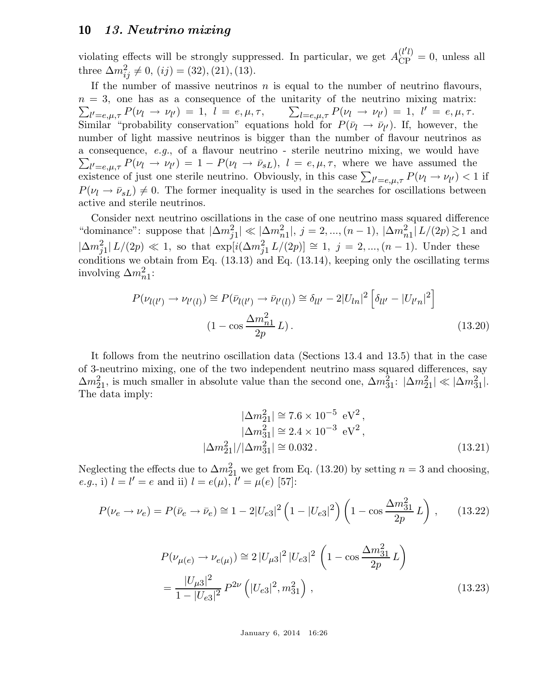violating effects will be strongly suppressed. In particular, we get  $A_{\rm CP}^{(l'l)} = 0$ , unless all three  $\Delta m_{ij}^2 \neq 0$ , (*ij*) = (32), (21), (13).

If the number of massive neutrinos  $n$  is equal to the number of neutrino flavours,  $\sum_{l'=e,\mu,\tau} P(\nu_l \to \nu_{l'}) = 1, \ l = e, \mu, \tau, \qquad \sum_{l=e,\mu,\tau} P(\nu_l \to \nu_{l'}) = 1, \ l' = e, \mu, \tau.$  $n = 3$ , one has as a consequence of the unitarity of the neutrino mixing matrix: Similar "probability conservation" equations hold for  $P(\bar{\nu}_l \to \bar{\nu}_{l'})$ . If, however, the number of light massive neutrinos is bigger than the number of flavour neutrinos as  $\sum_{l'=e,\mu,\tau} P(\nu_l \to \nu_{l'}) = 1 - P(\nu_l \to \bar{\nu}_{sL}), l = e, \mu, \tau$ , where we have assumed the a consequence, e.g., of a flavour neutrino - sterile neutrino mixing, we would have existence of just one sterile neutrino. Obviously, in this case  $\sum_{l'=e,\mu,\tau} P(\nu_l \to \nu_{l'}) < 1$  if  $P(\nu_l \rightarrow \bar{\nu}_{sL}) \neq 0$ . The former inequality is used in the searches for oscillations between active and sterile neutrinos.

Consider next neutrino oscillations in the case of one neutrino mass squared difference "dominance": suppose that  $|\Delta m_{j1}^2| \ll |\Delta m_{n1}^2|$ ,  $j = 2, ..., (n-1)$ ,  $|\Delta m_{n1}^2| L/(2p) \gtrsim 1$  and  $|\Delta m_{j1}^2| L/(2p) \ll 1$ , so that  $\exp[i(\Delta m_{j1}^2 L/(2p)] \cong 1, j = 2, ..., (n-1)$ . Under these conditions we obtain from Eq. (13.13) and Eq. (13.14), keeping only the oscillating terms involving  $\Delta m_{n1}^2$ :

$$
P(\nu_{l(l')} \to \nu_{l'(l)}) \cong P(\bar{\nu}_{l(l')} \to \bar{\nu}_{l'(l)}) \cong \delta_{ll'} - 2|U_{ln}|^2 \left[ \delta_{ll'} - |U_{l'n}|^2 \right]
$$
  

$$
(1 - \cos \frac{\Delta m_{n1}^2}{2p} L). \tag{13.20}
$$

It follows from the neutrino oscillation data (Sections 13.4 and 13.5) that in the case of 3-neutrino mixing, one of the two independent neutrino mass squared differences, say  $\Delta m_{21}^2$ , is much smaller in absolute value than the second one,  $\Delta m_{31}^2$ :  $|\Delta m_{21}^2| \ll |\Delta m_{31}^2|$ . The data imply:

$$
|\Delta m_{21}^2| \cong 7.6 \times 10^{-5} \text{ eV}^2, |\Delta m_{31}^2| \cong 2.4 \times 10^{-3} \text{ eV}^2, |\Delta m_{21}^2|/|\Delta m_{31}^2| \cong 0.032.
$$
 (13.21)

Neglecting the effects due to  $\Delta m_{21}^2$  we get from Eq. (13.20) by setting  $n = 3$  and choosing, *e.g.*, i)  $l = l' = e$  and ii)  $l = e(\mu)$ ,  $l' = \mu(e)$  [57]:

$$
P(\nu_e \to \nu_e) = P(\bar{\nu}_e \to \bar{\nu}_e) \approx 1 - 2|U_{e3}|^2 \left(1 - |U_{e3}|^2\right) \left(1 - \cos \frac{\Delta m_{31}^2}{2p} L\right), \quad (13.22)
$$

$$
P(\nu_{\mu(e)} \to \nu_{e(\mu)}) \approx 2 |U_{\mu 3}|^2 |U_{e3}|^2 \left(1 - \cos \frac{\Delta m_{31}^2}{2p} L\right)
$$
  
= 
$$
\frac{|U_{\mu 3}|^2}{1 - |U_{e3}|^2} P^{2\nu} \left(|U_{e3}|^2, m_{31}^2\right),
$$
 (13.23)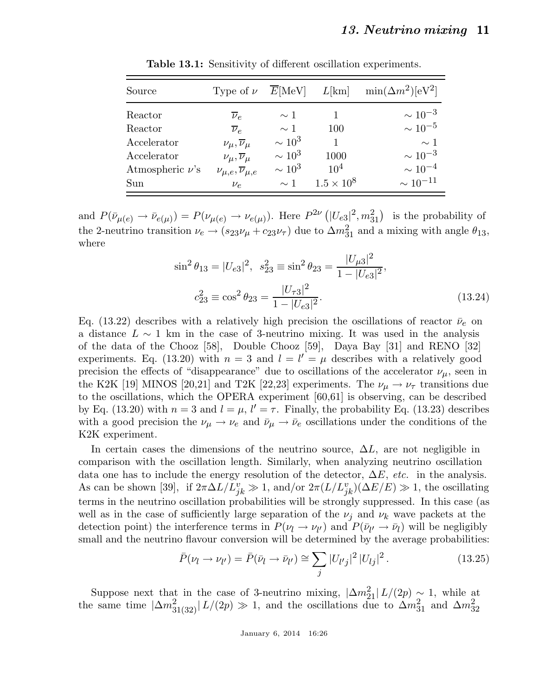| Source               | Type of $\nu$                        | $\overline{E}$ [MeV] | $L$ [km]            | $\min(\Delta m^2)[\text{eV}^2]$ |
|----------------------|--------------------------------------|----------------------|---------------------|---------------------------------|
| Reactor              | $\overline{\nu}_e$                   | $\sim$ 1             |                     | $\sim 10^{-3}$                  |
| Reactor              | $\overline{\nu}_e$                   | $\sim$ 1             | 100                 | $\sim 10^{-5}$                  |
| Accelerator          | $\nu_\mu, \overline{\nu}_\mu$        | $\sim 10^3$          |                     | $\sim$ 1                        |
| Accelerator          | $\nu_\mu, \overline{\nu}_\mu$        | $\sim 10^3$          | 1000                | $\sim 10^{-3}$                  |
| Atmospheric $\nu$ 's | $\nu_{\mu,e},\overline{\nu}_{\mu,e}$ | $\sim 10^3$          | 10 <sup>4</sup>     | $\sim 10^{-4}$                  |
| Sun                  | $\nu_e$                              | $\sim$ 1             | $1.5 \times 10^{8}$ | $\sim 10^{-11}$                 |

Table 13.1: Sensitivity of different oscillation experiments.

and  $P(\bar{\nu}_{\mu(e)} \to \bar{\nu}_{e(\mu)}) = P(\nu_{\mu(e)} \to \nu_{e(\mu)})$ . Here  $P^{2\nu}(|U_{e3}|^2, m_{31}^2)$  is the probability of the 2-neutrino transition  $\nu_e \to (s_{23}\nu_\mu + c_{23}\nu_\tau)$  due to  $\Delta m_{31}^2$  and a mixing with angle  $\theta_{13}$ , where

$$
\sin^2 \theta_{13} = |U_{e3}|^2, \ \ s_{23}^2 \equiv \sin^2 \theta_{23} = \frac{|U_{\mu 3}|^2}{1 - |U_{e3}|^2},
$$

$$
c_{23}^2 \equiv \cos^2 \theta_{23} = \frac{|U_{\tau 3}|^2}{1 - |U_{e3}|^2}.
$$
(13.24)

Eq. (13.22) describes with a relatively high precision the oscillations of reactor  $\bar{\nu}_e$  on a distance  $L \sim 1$  km in the case of 3-neutrino mixing. It was used in the analysis of the data of the Chooz [58], Double Chooz [59], Daya Bay [31] and RENO [32] experiments. Eq. (13.20) with  $n = 3$  and  $l = l' = \mu$  describes with a relatively good precision the effects of "disappearance" due to oscillations of the accelerator  $\nu_{\mu}$ , seen in the K2K [19] MINOS [20,21] and T2K [22,23] experiments. The  $\nu_{\mu} \rightarrow \nu_{\tau}$  transitions due to the oscillations, which the OPERA experiment [60,61] is observing, can be described by Eq. (13.20) with  $n = 3$  and  $l = \mu$ ,  $l' = \tau$ . Finally, the probability Eq. (13.23) describes with a good precision the  $\nu_{\mu} \rightarrow \nu_{e}$  and  $\bar{\nu}_{\mu} \rightarrow \bar{\nu}_{e}$  oscillations under the conditions of the K2K experiment.

In certain cases the dimensions of the neutrino source,  $\Delta L$ , are not negligible in comparison with the oscillation length. Similarly, when analyzing neutrino oscillation data one has to include the energy resolution of the detector,  $\Delta E$ , etc. in the analysis. As can be shown [39], if  $2\pi \Delta L/L_{jk}^v \gg 1$ , and/or  $2\pi (L/L_{jk}^v)(\Delta E/E) \gg 1$ , the oscillating terms in the neutrino oscillation probabilities will be strongly suppressed. In this case (as well as in the case of sufficiently large separation of the  $\nu_j$  and  $\nu_k$  wave packets at the detection point) the interference terms in  $P(\nu_l \to \nu_{l'})$  and  $P(\bar{\nu}_{l'} \to \bar{\nu}_l)$  will be negligibly small and the neutrino flavour conversion will be determined by the average probabilities:

$$
\bar{P}(\nu_l \to \nu_{l'}) = \bar{P}(\bar{\nu}_l \to \bar{\nu}_{l'}) \cong \sum_j |U_{l'j}|^2 |U_{lj}|^2.
$$
\n(13.25)

Suppose next that in the case of 3-neutrino mixing,  $|\Delta m_{21}^2| L/(2p) \sim 1$ , while at the same time  $|\Delta m_{31(32)}^2| L/(2p) \gg 1$ , and the oscillations due to  $\Delta m_{31}^2$  and  $\Delta m_{32}^2$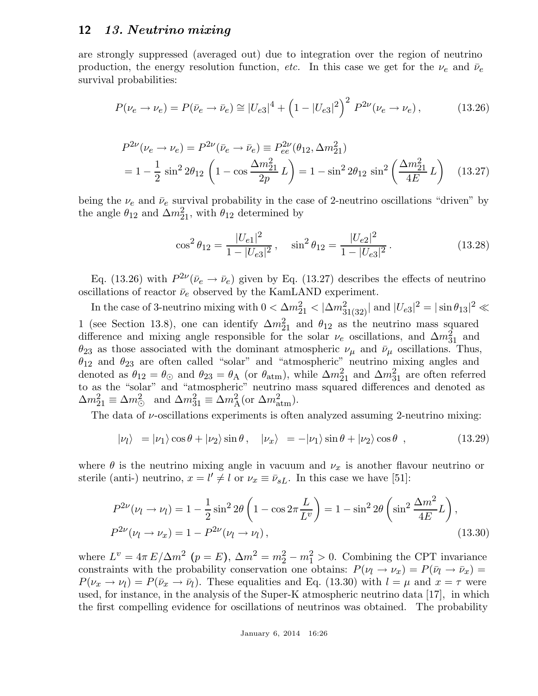are strongly suppressed (averaged out) due to integration over the region of neutrino production, the energy resolution function, etc. In this case we get for the  $\nu_e$  and  $\bar{\nu}_e$ survival probabilities:

$$
P(\nu_e \to \nu_e) = P(\bar{\nu}_e \to \bar{\nu}_e) \approx |U_{e3}|^4 + \left(1 - |U_{e3}|^2\right)^2 P^{2\nu}(\nu_e \to \nu_e),\tag{13.26}
$$

$$
P^{2\nu}(\nu_e \to \nu_e) = P^{2\nu}(\bar{\nu}_e \to \bar{\nu}_e) \equiv P_{ee}^{2\nu}(\theta_{12}, \Delta m_{21}^2)
$$
  
=  $1 - \frac{1}{2} \sin^2 2\theta_{12} \left(1 - \cos \frac{\Delta m_{21}^2}{2p} L\right) = 1 - \sin^2 2\theta_{12} \sin^2 \left(\frac{\Delta m_{21}^2}{4E} L\right)$  (13.27)

being the  $\nu_e$  and  $\bar{\nu}_e$  survival probability in the case of 2-neutrino oscillations "driven" by the angle  $\theta_{12}$  and  $\Delta m_{21}^2$ , with  $\theta_{12}$  determined by

$$
\cos^2 \theta_{12} = \frac{|U_{e1}|^2}{1 - |U_{e3}|^2}, \quad \sin^2 \theta_{12} = \frac{|U_{e2}|^2}{1 - |U_{e3}|^2}.
$$
 (13.28)

Eq. (13.26) with  $P^{2\nu}(\bar{\nu}_e \to \bar{\nu}_e)$  given by Eq. (13.27) describes the effects of neutrino oscillations of reactor  $\bar{\nu}_e$  observed by the KamLAND experiment.

In the case of 3-neutrino mixing with  $0 < \Delta m_{21}^2 < |\Delta m_{31(32)}^2|$  and  $|U_{e3}|^2 = |\sin \theta_{13}|^2 \ll$ 1 (see Section 13.8), one can identify  $\Delta m_{21}^2$  and  $\theta_{12}$  as the neutrino mass squared difference and mixing angle responsible for the solar  $\nu_e$  oscillations, and  $\Delta m_{31}^2$  and  $\theta_{23}$  as those associated with the dominant atmospheric  $\nu_{\mu}$  and  $\bar{\nu}_{\mu}$  oscillations. Thus,  $\theta_{12}$  and  $\theta_{23}$  are often called "solar" and "atmospheric" neutrino mixing angles and denoted as  $\theta_{12} = \theta_{\odot}$  and  $\theta_{23} = \theta_{\rm A}$  (or  $\theta_{\rm atm}$ ), while  $\Delta m_{21}^2$  and  $\Delta m_{31}^2$  are often referred to as the "solar" and "atmospheric" neutrino mass squared differences and denoted as  $\Delta m_{21}^2 \equiv \Delta m_{\odot}^2$  and  $\Delta m_{31}^2 \equiv \Delta m_{\rm A}^2$  (or  $\Delta m_{\rm atm}^2$ ).

The data of  $\nu$ -oscillations experiments is often analyzed assuming 2-neutrino mixing:

$$
|\nu_l\rangle = |\nu_1\rangle \cos\theta + |\nu_2\rangle \sin\theta \,, \quad |\nu_x\rangle = -|\nu_1\rangle \sin\theta + |\nu_2\rangle \cos\theta \,, \tag{13.29}
$$

where  $\theta$  is the neutrino mixing angle in vacuum and  $\nu_x$  is another flavour neutrino or sterile (anti-) neutrino,  $x = l' \neq l$  or  $\nu_x \equiv \bar{\nu}_{sL}$ . In this case we have [51]:

$$
P^{2\nu}(\nu_l \to \nu_l) = 1 - \frac{1}{2}\sin^2 2\theta \left(1 - \cos 2\pi \frac{L}{L^{\nu}}\right) = 1 - \sin^2 2\theta \left(\sin^2 \frac{\Delta m^2}{4E}L\right),
$$
  

$$
P^{2\nu}(\nu_l \to \nu_x) = 1 - P^{2\nu}(\nu_l \to \nu_l),
$$
 (13.30)

where  $L^v = 4\pi E/\Delta m^2$   $(p = E)$ ,  $\Delta m^2 = m_2^2 - m_1^2 > 0$ . Combining the CPT invariance constraints with the probability conservation one obtains:  $P(\nu_l \to \nu_x) = P(\bar{\nu}_l \to \bar{\nu}_x) =$  $P(\nu_x \to \nu_l) = P(\bar{\nu}_x \to \bar{\nu}_l)$ . These equalities and Eq. (13.30) with  $l = \mu$  and  $x = \tau$  were used, for instance, in the analysis of the Super-K atmospheric neutrino data [17], in which the first compelling evidence for oscillations of neutrinos was obtained. The probability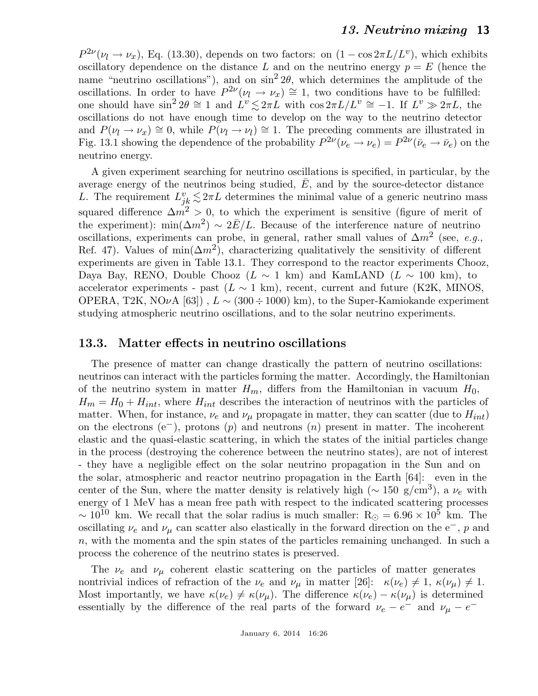$P^{2\nu}(\nu_l \to \nu_x)$ , Eq. (13.30), depends on two factors: on  $(1 - \cos 2\pi L/L^{\nu})$ , which exhibits oscillatory dependence on the distance L and on the neutrino energy  $p = E$  (hence the name "neutrino oscillations"), and on  $\sin^2 2\theta$ , which determines the amplitude of the oscillations. In order to have  $P^{2\nu}(\nu_l \to \nu_x) \cong 1$ , two conditions have to be fulfilled: one should have  $\sin^2 2\theta \cong 1$  and  $L^v \lesssim 2\pi L$  with  $\cos 2\pi L/L^v \cong -1$ . If  $L^v \gg 2\pi L$ , the oscillations do not have enough time to develop on the way to the neutrino detector and  $P(\nu_l \to \nu_x) \cong 0$ , while  $P(\nu_l \to \nu_l) \cong 1$ . The preceding comments are illustrated in Fig. 13.1 showing the dependence of the probability  $P^{2\nu}(\nu_e \to \nu_e) = P^{2\nu}(\bar{\nu}_e \to \bar{\nu}_e)$  on the neutrino energy.

A given experiment searching for neutrino oscillations is specified, in particular, by the average energy of the neutrinos being studied,  $E$ , and by the source-detector distance L. The requirement  $L_{jk}^v \lesssim 2\pi L$  determines the minimal value of a generic neutrino mass squared difference  $\Delta m^2 > 0$ , to which the experiment is sensitive (figure of merit of the experiment):  $\min(\Delta m^2) \sim 2\bar{E}/L$ . Because of the interference nature of neutrino oscillations, experiments can probe, in general, rather small values of  $\Delta m^2$  (see, e.g., Ref. 47). Values of  $\min(\Delta m^2)$ , characterizing qualitatively the sensitivity of different experiments are given in Table 13.1. They correspond to the reactor experiments Chooz, Daya Bay, RENO, Double Chooz (L  $\sim$  1 km) and KamLAND (L  $\sim$  100 km), to accelerator experiments - past ( $L \sim 1 \text{ km}$ ), recent, current and future (K2K, MINOS, OPERA, T2K, NO $\nu$ A [63]),  $L \sim (300 \div 1000)$  km), to the Super-Kamiokande experiment studying atmospheric neutrino oscillations, and to the solar neutrino experiments.

### 13.3. Matter effects in neutrino oscillations

The presence of matter can change drastically the pattern of neutrino oscillations: neutrinos can interact with the particles forming the matter. Accordingly, the Hamiltonian of the neutrino system in matter  $H_m$ , differs from the Hamiltonian in vacuum  $H_0$ ,  $H_m = H_0 + H_{int}$ , where  $H_{int}$  describes the interaction of neutrinos with the particles of matter. When, for instance,  $\nu_e$  and  $\nu_\mu$  propagate in matter, they can scatter (due to  $H_{int}$ ) on the electrons (e<sup>-</sup>), protons (p) and neutrons (n) present in matter. The incoherent elastic and the quasi-elastic scattering, in which the states of the initial particles change in the process (destroying the coherence between the neutrino states), are not of interest - they have a negligible effect on the solar neutrino propagation in the Sun and on the solar, atmospheric and reactor neutrino propagation in the Earth [64]: even in the center of the Sun, where the matter density is relatively high ( $\sim 150 \text{ g/cm}^3$ ), a  $\nu_e$  with energy of 1 MeV has a mean free path with respect to the indicated scattering processes  $\sim 10^{10}$  km. We recall that the solar radius is much smaller: R<sub>☉</sub> = 6.96  $\times 10^5$  km. The oscillating  $\nu_e$  and  $\nu_\mu$  can scatter also elastically in the forward direction on the e<sup>-</sup>, p and  $n$ , with the momenta and the spin states of the particles remaining unchanged. In such a process the coherence of the neutrino states is preserved.

The  $\nu_e$  and  $\nu_\mu$  coherent elastic scattering on the particles of matter generates nontrivial indices of refraction of the  $\nu_e$  and  $\nu_\mu$  in matter [26]:  $\kappa(\nu_e) \neq 1$ ,  $\kappa(\nu_\mu) \neq 1$ . Most importantly, we have  $\kappa(\nu_e) \neq \kappa(\nu_\mu)$ . The difference  $\kappa(\nu_e) - \kappa(\nu_\mu)$  is determined essentially by the difference of the real parts of the forward  $\nu_e - e^-$  and  $\nu_\mu - e^-$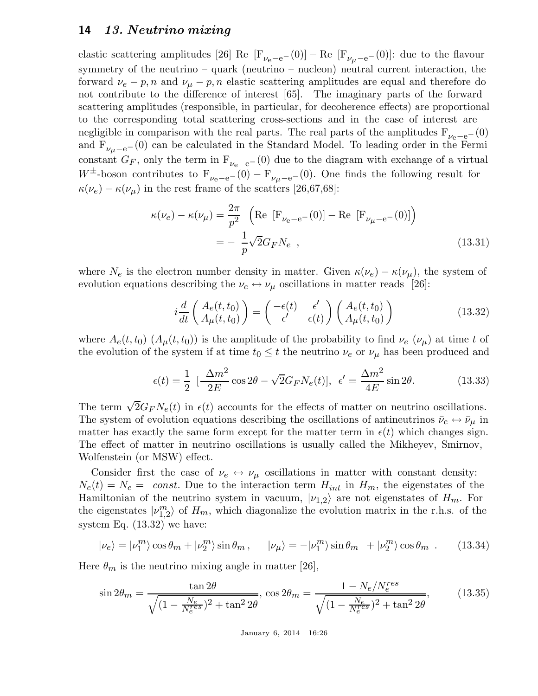elastic scattering amplitudes [26] Re  $[F_{\nu_e-e^-}(0)]$  – Re  $[F_{\nu_\mu-e^-}(0)]$ : due to the flavour symmetry of the neutrino – quark (neutrino – nucleon) neutral current interaction, the forward  $\nu_e$  – p, n and  $\nu_\mu$  – p, n elastic scattering amplitudes are equal and therefore do not contribute to the difference of interest [65]. The imaginary parts of the forward scattering amplitudes (responsible, in particular, for decoherence effects) are proportional to the corresponding total scattering cross-sections and in the case of interest are negligible in comparison with the real parts. The real parts of the amplitudes  $F_{\nu_e-e^-}(0)$ and  $F_{\nu_{\mu}-e^{-}}(0)$  can be calculated in the Standard Model. To leading order in the Fermi constant  $G_F$ , only the term in  $F_{\nu_e-e^-}(0)$  due to the diagram with exchange of a virtual W<sup>±</sup>-boson contributes to  $F_{\nu_e-e^-}(0) - F_{\nu_\mu-e^-}(0)$ . One finds the following result for  $\kappa(\nu_e) - \kappa(\nu_\mu)$  in the rest frame of the scatters [26,67,68]:

$$
\kappa(\nu_e) - \kappa(\nu_\mu) = \frac{2\pi}{p^2} \left( \text{Re} \left[ F_{\nu_e - e^-}(0) \right] - \text{Re} \left[ F_{\nu_\mu - e^-}(0) \right] \right)
$$
  
= 
$$
- \frac{1}{p} \sqrt{2} G_F N_e , \qquad (13.31)
$$

where  $N_e$  is the electron number density in matter. Given  $\kappa(\nu_e) - \kappa(\nu_\mu)$ , the system of evolution equations describing the  $\nu_e \leftrightarrow \nu_\mu$  oscillations in matter reads [26]:

$$
i\frac{d}{dt}\begin{pmatrix} A_e(t,t_0) \\ A_\mu(t,t_0) \end{pmatrix} = \begin{pmatrix} -\epsilon(t) & \epsilon' \\ \epsilon' & \epsilon(t) \end{pmatrix} \begin{pmatrix} A_e(t,t_0) \\ A_\mu(t,t_0) \end{pmatrix}
$$
(13.32)

where  $A_e(t, t_0)$   $(A_\mu(t, t_0))$  is the amplitude of the probability to find  $\nu_e$   $(\nu_\mu)$  at time t of the evolution of the system if at time  $t_0 \leq t$  the neutrino  $\nu_e$  or  $\nu_\mu$  has been produced and

$$
\epsilon(t) = \frac{1}{2} \left[ \frac{\Delta m^2}{2E} \cos 2\theta - \sqrt{2} G_F N_e(t) \right], \ \epsilon' = \frac{\Delta m^2}{4E} \sin 2\theta. \tag{13.33}
$$

The term  $\sqrt{2}G_F N_e(t)$  in  $\epsilon(t)$  accounts for the effects of matter on neutrino oscillations. The system of evolution equations describing the oscillations of antineutrinos  $\bar{\nu}_e \leftrightarrow \bar{\nu}_\mu$  in matter has exactly the same form except for the matter term in  $\epsilon(t)$  which changes sign. The effect of matter in neutrino oscillations is usually called the Mikheyev, Smirnov, Wolfenstein (or MSW) effect.

Consider first the case of  $\nu_e \leftrightarrow \nu_\mu$  oscillations in matter with constant density:  $N_e(t) = N_e =$  const. Due to the interaction term  $H_{int}$  in  $H_m$ , the eigenstates of the Hamiltonian of the neutrino system in vacuum,  $|\nu_{1,2}\rangle$  are not eigenstates of  $H_m$ . For the eigenstates  $|v_{1,2}^m\rangle$  of  $H_m$ , which diagonalize the evolution matrix in the r.h.s. of the system Eq. (13.32) we have:

$$
|\nu_e\rangle = |\nu_1^m\rangle \cos\theta_m + |\nu_2^m\rangle \sin\theta_m, \qquad |\nu_\mu\rangle = -|\nu_1^m\rangle \sin\theta_m + |\nu_2^m\rangle \cos\theta_m. \qquad (13.34)
$$

Here  $\theta_m$  is the neutrino mixing angle in matter [26],

$$
\sin 2\theta_m = \frac{\tan 2\theta}{\sqrt{(1 - \frac{N_e}{N_e^{res}})^2 + \tan^2 2\theta}}, \cos 2\theta_m = \frac{1 - N_e / N_e^{res}}{\sqrt{(1 - \frac{N_e}{N_e^{res}})^2 + \tan^2 2\theta}},
$$
(13.35)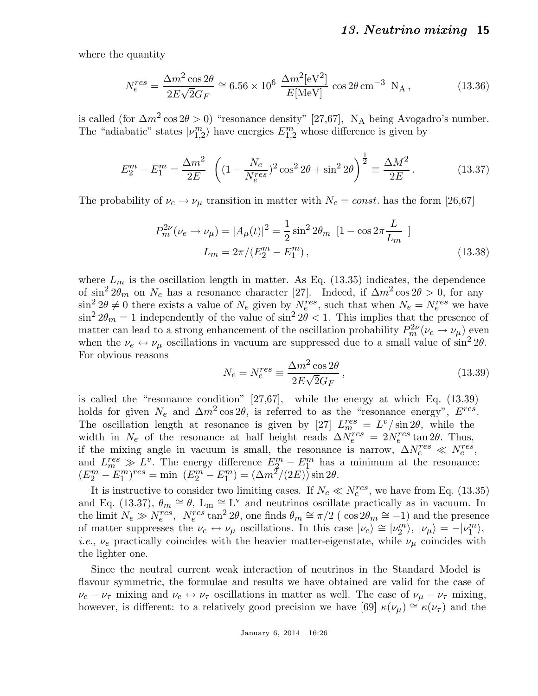where the quantity

$$
N_e^{res} = \frac{\Delta m^2 \cos 2\theta}{2E\sqrt{2}G_F} \approx 6.56 \times 10^6 \frac{\Delta m^2 [\text{eV}^2]}{E[\text{MeV}]} \cos 2\theta \text{ cm}^{-3} \text{ N}_\text{A},\tag{13.36}
$$

is called (for  $\Delta m^2 \cos 2\theta > 0$ ) "resonance density" [27,67], N<sub>A</sub> being Avogadro's number. The "adiabatic" states  $|\nu_{1,2}^m\rangle$  have energies  $E_{1,2}^m$  whose difference is given by

$$
E_2^m - E_1^m = \frac{\Delta m^2}{2E} \left( (1 - \frac{N_e}{N_e^{res}})^2 \cos^2 2\theta + \sin^2 2\theta \right)^{\frac{1}{2}} \equiv \frac{\Delta M^2}{2E} \,. \tag{13.37}
$$

The probability of  $\nu_e \rightarrow \nu_\mu$  transition in matter with  $N_e = const.$  has the form [26,67]

$$
P_m^{2\nu}(\nu_e \to \nu_\mu) = |A_\mu(t)|^2 = \frac{1}{2}\sin^2 2\theta_m \left[1 - \cos 2\pi \frac{L}{L_m}\right]
$$
  

$$
L_m = 2\pi/(E_2^m - E_1^m),
$$
 (13.38)

where  $L_m$  is the oscillation length in matter. As Eq. (13.35) indicates, the dependence of  $\sin^2 2\theta_m$  on  $N_e$  has a resonance character [27]. Indeed, if  $\Delta m^2 \cos 2\theta > 0$ , for any  $\sin^2 2\theta \neq 0$  there exists a value of  $N_e$  given by  $N_e^{res}$ , such that when  $N_e = N_e^{res}$  we have  $\sin^2 2\theta_m = 1$  independently of the value of  $\sin^2 2\theta < 1$ . This implies that the presence of matter can lead to a strong enhancement of the oscillation probability  $P_m^{2\nu}(\nu_e \to \nu_\mu)$  even when the  $\nu_e \leftrightarrow \nu_\mu$  oscillations in vacuum are suppressed due to a small value of  $\sin^2 2\theta$ . For obvious reasons

$$
N_e = N_e^{res} \equiv \frac{\Delta m^2 \cos 2\theta}{2E\sqrt{2}G_F},\qquad(13.39)
$$

is called the "resonance condition" [27,67], while the energy at which Eq. (13.39) holds for given  $N_e$  and  $\Delta m^2 \cos 2\theta$ , is referred to as the "resonance energy",  $E^{res}$ . The oscillation length at resonance is given by [27]  $L_m^{res} = L^v / \sin 2\theta$ , while the width in  $N_e$  of the resonance at half height reads  $\Delta N_e^{res} = 2N_e^{res} \tan 2\theta$ . Thus, if the mixing angle in vacuum is small, the resonance is narrow,  $\Delta N_e^{res} \ll N_e^{res}$ , and  $L_{m}^{res} \gg L^{v}$ . The energy difference  $E_{2}^{m} - E_{1}^{m}$  has a minimum at the resonance:  $(E_2^m - E_1^m)^{res} = \min (E_2^m - E_1^m) = (\Delta m^2/(2E)) \sin 2\theta.$ 

It is instructive to consider two limiting cases. If  $N_e \ll N_e^{res}$ , we have from Eq. (13.35) and Eq. (13.37),  $\theta_m \cong \theta$ ,  $L_m \cong L^{\nu}$  and neutrinos oscillate practically as in vacuum. In the limit  $N_e \gg N_e^{res}$ ,  $N_e^{res}$  tan<sup>2</sup> 2 $\theta$ , one finds  $\theta_m \cong \pi/2$  (cos  $2\theta_m \cong -1$ ) and the presence of matter suppresses the  $\nu_e \leftrightarrow \nu_\mu$  oscillations. In this case  $|\nu_e\rangle \cong |\nu_2^m\rangle, |\nu_\mu\rangle = -|\nu_1^m\rangle,$ *i.e.*,  $\nu_e$  practically coincides with the heavier matter-eigenstate, while  $\nu_\mu$  coincides with the lighter one.

Since the neutral current weak interaction of neutrinos in the Standard Model is flavour symmetric, the formulae and results we have obtained are valid for the case of  $\nu_e - \nu_\tau$  mixing and  $\nu_e \leftrightarrow \nu_\tau$  oscillations in matter as well. The case of  $\nu_\mu - \nu_\tau$  mixing, however, is different: to a relatively good precision we have [69]  $\kappa(\nu_{\mu}) \cong \kappa(\nu_{\tau})$  and the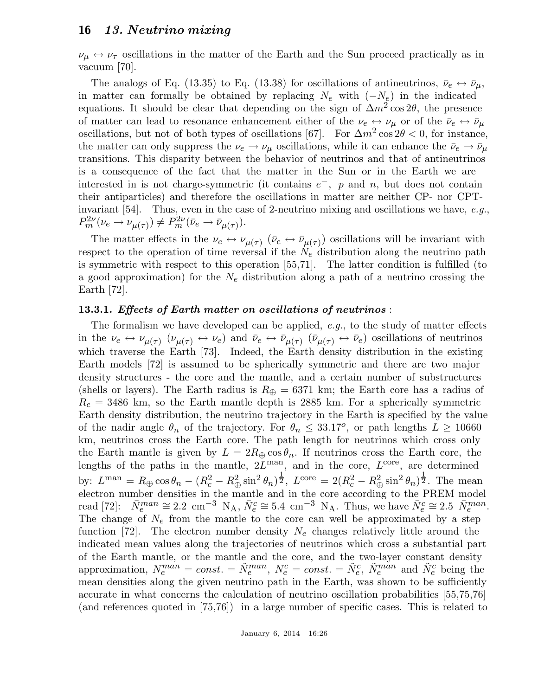$\nu_{\mu} \leftrightarrow \nu_{\tau}$  oscillations in the matter of the Earth and the Sun proceed practically as in vacuum [70].

The analogs of Eq. (13.35) to Eq. (13.38) for oscillations of antineutrinos,  $\bar{\nu}_e \leftrightarrow \bar{\nu}_\mu$ , in matter can formally be obtained by replacing  $N_e$  with  $(-N_e)$  in the indicated equations. It should be clear that depending on the sign of  $\Delta m^2 \cos 2\theta$ , the presence of matter can lead to resonance enhancement either of the  $\nu_e \leftrightarrow \nu_\mu$  or of the  $\bar{\nu}_e \leftrightarrow \bar{\nu}_\mu$ oscillations, but not of both types of oscillations [67]. For  $\Delta m^2 \cos 2\theta < 0$ , for instance, the matter can only suppress the  $\nu_e \rightarrow \nu_\mu$  oscillations, while it can enhance the  $\bar{\nu}_e \rightarrow \bar{\nu}_\mu$ transitions. This disparity between the behavior of neutrinos and that of antineutrinos is a consequence of the fact that the matter in the Sun or in the Earth we are interested in is not charge-symmetric (it contains  $e^-$ , p and n, but does not contain their antiparticles) and therefore the oscillations in matter are neither CP- nor CPTinvariant [54]. Thus, even in the case of 2-neutrino mixing and oscillations we have, e.g.,  $P_m^{2\nu}(\nu_e \to \nu_{\mu(\tau)}) \neq P_m^{2\nu}(\bar{\nu}_e \to \bar{\nu}_{\mu(\tau)}).$ 

The matter effects in the  $\nu_e \leftrightarrow \nu_{\mu(\tau)}$  ( $\bar{\nu}_e \leftrightarrow \bar{\nu}_{\mu(\tau)}$ ) oscillations will be invariant with respect to the operation of time reversal if the  $N_e$  distribution along the neutrino path is symmetric with respect to this operation [55,71]. The latter condition is fulfilled (to a good approximation) for the  $N_e$  distribution along a path of a neutrino crossing the Earth [72].

#### 13.3.1. Effects of Earth matter on oscillations of neutrinos :

The formalism we have developed can be applied, e.g., to the study of matter effects in the  $\nu_e \leftrightarrow \nu_{\mu(\tau)} \ (\nu_{\mu(\tau)} \leftrightarrow \nu_e)$  and  $\bar{\nu}_e \leftrightarrow \bar{\nu}_{\mu(\tau)} \ (\bar{\nu}_{\mu(\tau)} \leftrightarrow \bar{\nu}_e)$  oscillations of neutrinos which traverse the Earth [73]. Indeed, the Earth density distribution in the existing Earth models [72] is assumed to be spherically symmetric and there are two major density structures - the core and the mantle, and a certain number of substructures (shells or layers). The Earth radius is  $R_{\oplus} = 6371$  km; the Earth core has a radius of  $R_c = 3486$  km, so the Earth mantle depth is 2885 km. For a spherically symmetric Earth density distribution, the neutrino trajectory in the Earth is specified by the value of the nadir angle  $\theta_n$  of the trajectory. For  $\theta_n \leq 33.17^{\circ}$ , or path lengths  $L \geq 10660$ km, neutrinos cross the Earth core. The path length for neutrinos which cross only the Earth mantle is given by  $L = 2R_{\oplus} \cos \theta_n$ . If neutrinos cross the Earth core, the lengths of the paths in the mantle,  $2L^{\text{man}}$ , and in the core,  $L^{\text{core}}$ , are determined by:  $L^{\text{man}} = R_{\oplus} \cos \theta_n - (R_c^2 - R_{\oplus}^2 \sin^2 \theta_n)^{\frac{1}{2}}, L^{\text{core}} = 2(R_c^2 - R_{\oplus}^2 \sin^2 \theta_n)^{\frac{1}{2}}.$  The mean electron number densities in the mantle and in the core according to the PREM model read [72]:  $\bar{N}_e^{man} \cong 2.2 \text{ cm}^{-3} \text{ N}_A, \bar{N}_e^c \cong 5.4 \text{ cm}^{-3} \text{ N}_A$ . Thus, we have  $\bar{N}_e^c \cong 2.5 \bar{N}_e^{man}$ . The change of  $N_e$  from the mantle to the core can well be approximated by a step function [72]. The electron number density  $N_e$  changes relatively little around the indicated mean values along the trajectories of neutrinos which cross a substantial part of the Earth mantle, or the mantle and the core, and the two-layer constant density approximation,  $N_e^{man} = const. = \tilde{N}_e^{man}$ ,  $N_e^c = const. = \tilde{N}_e^c$ ,  $\tilde{N}_e^{man}$  and  $\tilde{N}_e^c$  being the mean densities along the given neutrino path in the Earth, was shown to be sufficiently accurate in what concerns the calculation of neutrino oscillation probabilities [55,75,76] (and references quoted in [75,76]) in a large number of specific cases. This is related to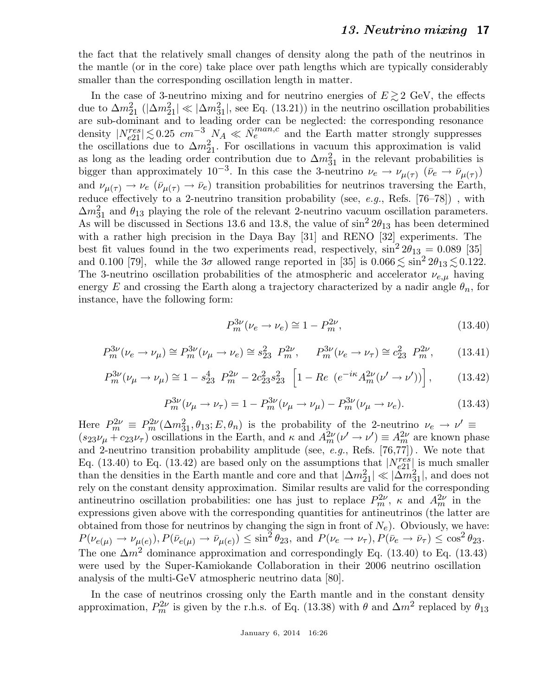the fact that the relatively small changes of density along the path of the neutrinos in the mantle (or in the core) take place over path lengths which are typically considerably smaller than the corresponding oscillation length in matter.

In the case of 3-neutrino mixing and for neutrino energies of  $E \gtrsim 2 \text{ GeV}$ , the effects due to  $\Delta m_{21}^2$  ( $|\Delta m_{21}^2| \ll |\Delta m_{31}^2|$ , see Eq. (13.21)) in the neutrino oscillation probabilities are sub-dominant and to leading order can be neglected: the corresponding resonance density  $|N_{e21}^{res}| \lesssim 0.25$   $cm^{-3}$   $N_A \ll \bar{N}_e^{man,c}$  and the Earth matter strongly suppresses the oscillations due to  $\Delta m_{21}^2$ . For oscillations in vacuum this approximation is valid as long as the leading order contribution due to  $\Delta m_{31}^2$  in the relevant probabilities is bigger than approximately 10<sup>-3</sup>. In this case the 3-neutrino  $\nu_e \to \nu_{\mu(\tau)}$  ( $\bar{\nu}_e \to \bar{\nu}_{\mu(\tau)}$ ) and  $\nu_{\mu(\tau)} \to \nu_e \ (\bar{\nu}_{\mu(\tau)} \to \bar{\nu}_e)$  transition probabilities for neutrinos traversing the Earth, reduce effectively to a 2-neutrino transition probability (see, e.g., Refs.  $[76–78]$ ), with  $\Delta m_{31}^2$  and  $\theta_{13}$  playing the role of the relevant 2-neutrino vacuum oscillation parameters. As will be discussed in Sections 13.6 and 13.8, the value of  $\sin^2 2\theta_{13}$  has been determined with a rather high precision in the Daya Bay [31] and RENO [32] experiments. The best fit values found in the two experiments read, respectively,  $\sin^2 2\theta_{13} = 0.089$  [35] and 0.100 [79], while the  $3\sigma$  allowed range reported in [35] is  $0.066 \lesssim \sin^2 2\theta_{13} \lesssim 0.122$ . The 3-neutrino oscillation probabilities of the atmospheric and accelerator  $\nu_{e,\mu}$  having energy E and crossing the Earth along a trajectory characterized by a nadir angle  $\theta_n$ , for instance, have the following form:

$$
P_m^{3\nu}(\nu_e \to \nu_e) \cong 1 - P_m^{2\nu}, \tag{13.40}
$$

$$
P_m^{3\nu}(\nu_e \to \nu_\mu) \cong P_m^{3\nu}(\nu_\mu \to \nu_e) \cong s_{23}^2 \ P_m^{2\nu}, \qquad P_m^{3\nu}(\nu_e \to \nu_\tau) \cong c_{23}^2 \ P_m^{2\nu}, \tag{13.41}
$$

$$
P_m^{3\nu}(\nu_\mu \to \nu_\mu) \cong 1 - s_{23}^4 \ P_m^{2\nu} - 2c_{23}^2 s_{23}^2 \ \left[ 1 - Re \ (e^{-i\kappa} A_m^{2\nu} (\nu' \to \nu')) \right], \tag{13.42}
$$

$$
P_m^{3\nu}(\nu_\mu \to \nu_\tau) = 1 - P_m^{3\nu}(\nu_\mu \to \nu_\mu) - P_m^{3\nu}(\nu_\mu \to \nu_e). \tag{13.43}
$$

Here  $P_m^{2\nu} \equiv P_m^{2\nu}(\Delta m_{31}^2, \theta_{13}; E, \theta_n)$  is the probability of the 2-neutrino  $\nu_e \rightarrow \nu' \equiv$  $(s_{23}\nu_{\mu} + c_{23}\nu_{\tau})$  oscillations in the Earth, and  $\kappa$  and  $A_{m}^{2\nu}(\nu' \to \nu') \equiv A_{m}^{2\nu}$  are known phase and 2-neutrino transition probability amplitude (see, e.g., Refs.  $[76,77]$ ). We note that Eq. (13.40) to Eq. (13.42) are based only on the assumptions that  $|N_{e21}^{res}|$  is much smaller than the densities in the Earth mantle and core and that  $|\Delta m_{21}^2| \ll |\Delta m_{31}^2|$ , and does not rely on the constant density approximation. Similar results are valid for the corresponding antineutrino oscillation probabilities: one has just to replace  $P_m^{2\nu}$ ,  $\kappa$  and  $A_m^{2\nu}$  in the expressions given above with the corresponding quantities for antineutrinos (the latter are obtained from those for neutrinos by changing the sign in front of  $N_e$ ). Obviously, we have:  $P(\nu_{e(\mu)} \to \nu_{\mu(e)}), P(\bar{\nu}_{e(\mu)} \to \bar{\nu}_{\mu(e)}) \le \sin^2 \theta_{23}$ , and  $P(\nu_e \to \nu_{\tau}), P(\bar{\nu}_e \to \bar{\nu}_{\tau}) \le \cos^2 \theta_{23}$ . The one  $\Delta m^2$  dominance approximation and correspondingly Eq. (13.40) to Eq. (13.43) were used by the Super-Kamiokande Collaboration in their 2006 neutrino oscillation analysis of the multi-GeV atmospheric neutrino data [80].

In the case of neutrinos crossing only the Earth mantle and in the constant density approximation,  $P_m^{2\nu}$  is given by the r.h.s. of Eq. (13.38) with  $\theta$  and  $\Delta m^2$  replaced by  $\theta_{13}$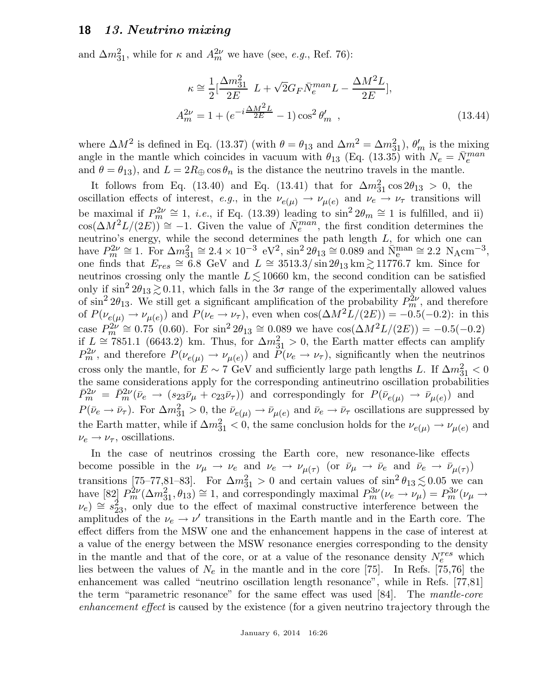and  $\Delta m_{31}^2$ , while for  $\kappa$  and  $A_m^{2\nu}$  we have (see, *e.g.*, Ref. 76):

$$
\kappa \approx \frac{1}{2} \left[ \frac{\Delta m_{31}^2}{2E} L + \sqrt{2} G_F \bar{N}_e^{man} L - \frac{\Delta M^2 L}{2E} \right],
$$
  
\n
$$
A_m^{2\nu} = 1 + (e^{-i\frac{\Delta M^2 L}{2E}} - 1) \cos^2 \theta'_m ,
$$
\n(13.44)

where  $\Delta M^2$  is defined in Eq. (13.37) (with  $\theta = \theta_{13}$  and  $\Delta m^2 = \Delta m_{31}^2$ ),  $\theta'_m$  is the mixing angle in the mantle which coincides in vacuum with  $\theta_{13}$  (Eq. (13.35) with  $N_e = \bar{N}_e^{man}$ and  $\theta = \theta_{13}$ , and  $L = 2R_{\oplus} \cos \theta_n$  is the distance the neutrino travels in the mantle.

It follows from Eq. (13.40) and Eq. (13.41) that for  $\Delta m_{31}^2 \cos 2\theta_{13} > 0$ , the oscillation effects of interest, e.g., in the  $\nu_{e(\mu)} \to \nu_{\mu(e)}$  and  $\nu_e \to \nu_{\tau}$  transitions will be maximal if  $P_m^{2\nu} \cong 1$ , *i.e.*, if Eq. (13.39) leading to  $\sin^2 2\theta_m \cong 1$  is fulfilled, and ii)  $\cos(\Delta M^2 L/(2E)) \cong -1$ . Given the value of  $\bar{N}_e^{man}$ , the first condition determines the neutrino's energy, while the second determines the path length L, for which one can have  $P_m^{2\nu} \cong 1$ . For  $\Delta m_{31}^2 \cong 2.4 \times 10^{-3} \text{ eV}^2$ ,  $\sin^2 2\theta_{13} \cong 0.089$  and  $\bar{\text{N}}_e^{\text{man}} \cong 2.2 \text{ N}_A \text{cm}^{-3}$ , one finds that  $E_{res} \cong 6.8$  GeV and  $L \cong 3513.3/\sin 2\theta_{13} \text{ km} \gtrsim 11776.7 \text{ km}$ . Since for neutrinos crossing only the mantle  $L \leq 10660$  km, the second condition can be satisfied only if  $\sin^2 2\theta_{13} \gtrsim 0.11$ , which falls in the  $3\sigma$  range of the experimentally allowed values of  $\sin^2 2\theta_{13}$ . We still get a significant amplification of the probability  $P_m^{2\nu}$ , and therefore of  $P(\nu_{e(\mu)} \to \nu_{\mu(e)})$  and  $P(\nu_e \to \nu_\tau)$ , even when  $\cos(\Delta M^2 L/(2E)) = -0.5(-0.2)$ : in this case  $P_m^{2\nu} \cong 0.75$  (0.60). For  $\sin^2 2\theta_{13} \cong 0.089$  we have  $\cos(\Delta M^2 L/(2E)) = -0.5(-0.2)$ if  $L \approx 7851.1$  (6643.2) km. Thus, for  $\Delta m_{31}^2 > 0$ , the Earth matter effects can amplify  $P_m^{2\nu}$ , and therefore  $P(\nu_{e(\mu)} \to \nu_{\mu(e)})$  and  $P(\nu_e \to \nu_{\tau})$ , significantly when the neutrinos cross only the mantle, for  $E \sim 7$  GeV and sufficiently large path lengths L. If  $\Delta m_{31}^2 < 0$ the same considerations apply for the corresponding antineutrino oscillation probabilities  $\bar{P}_m^{2\nu} = \bar{P}_m^{2\nu}(\bar{\nu}_e \to (s_{23}\bar{\nu}_\mu + c_{23}\bar{\nu}_\tau))$  and correspondingly for  $P(\bar{\nu}_{e(\mu)} \to \bar{\nu}_{\mu(e)})$  and  $P(\bar{\nu}_e \to \bar{\nu}_\tau)$ . For  $\Delta m_{31}^2 > 0$ , the  $\bar{\nu}_{e(\mu)} \to \bar{\nu}_{\mu(e)}$  and  $\bar{\nu}_e \to \bar{\nu}_\tau$  oscillations are suppressed by the Earth matter, while if  $\Delta m_{31}^2 < 0$ , the same conclusion holds for the  $\nu_{e(\mu)} \to \nu_{\mu(e)}$  and  $\nu_e \rightarrow \nu_\tau$ , oscillations.

In the case of neutrinos crossing the Earth core, new resonance-like effects become possible in the  $\nu_{\mu} \to \nu_e$  and  $\nu_e \to \nu_{\mu(\tau)}$  (or  $\bar{\nu}_{\mu} \to \bar{\nu}_e$  and  $\bar{\nu}_e \to \bar{\nu}_{\mu(\tau)}$ ) transitions [75–77,81–83]. For  $\Delta m_{31}^2 > 0$  and certain values of  $\sin^2 \theta_{13} \lesssim 0.05$  we can have [82]  $P_m^{2\nu}(\Delta m_{31}^2, \theta_{13}) \cong 1$ , and correspondingly maximal  $P_m^{3\nu}(\nu_e \to \nu_\mu) = P_m^{3\nu}(\nu_\mu \to \mu_\mu)$  $(\nu_e) \approx s_{23}^2$ , only due to the effect of maximal constructive interference between the amplitudes of the  $\nu_e \rightarrow \nu'$  transitions in the Earth mantle and in the Earth core. The effect differs from the MSW one and the enhancement happens in the case of interest at a value of the energy between the MSW resonance energies corresponding to the density in the mantle and that of the core, or at a value of the resonance density  $N_e^{res}$  which lies between the values of  $N_e$  in the mantle and in the core [75]. In Refs. [75,76] the enhancement was called "neutrino oscillation length resonance", while in Refs. [77,81] the term "parametric resonance" for the same effect was used [84]. The mantle-core enhancement effect is caused by the existence (for a given neutrino trajectory through the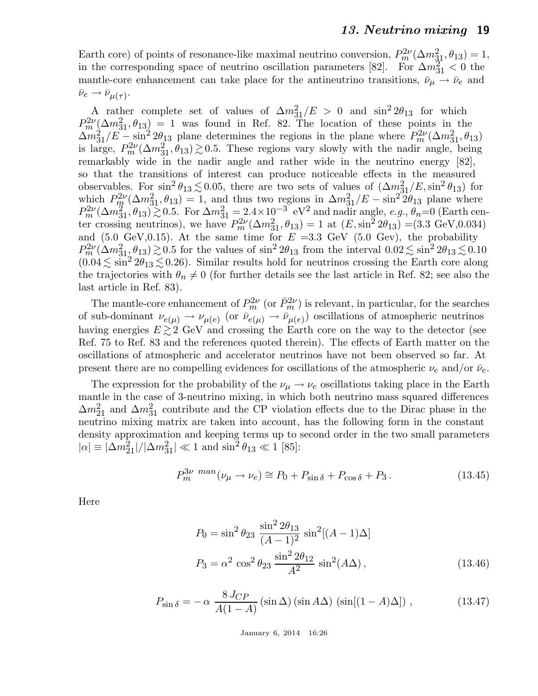Earth core) of points of resonance-like maximal neutrino conversion,  $P_m^{2\nu}(\Delta m_{31}^2, \theta_{13}) = 1$ , in the corresponding space of neutrino oscillation parameters [82]. For  $\Delta m_{31}^2 < 0$  the mantle-core enhancement can take place for the antineutrino transitions,  $\bar{\nu}_{\mu} \rightarrow \bar{\nu}_{e}$  and  $\bar{\nu}_e \rightarrow \bar{\nu}_{\mu(\tau)}$ .

A rather complete set of values of  $\Delta m_{31}^2/E > 0$  and  $\sin^2 2\theta_{13}$  for which  $P_m^{2\nu}(\Delta m_{31}^2, \theta_{13}) = 1$  was found in Ref. 82. The location of these points in the  $\Delta m_{31}^2/E - \sin^2 2\theta_{13}$  plane determines the regions in the plane where  $P_m^{2\nu}(\Delta m_{31}^2, \theta_{13})$ is large,  $P_m^{2\nu}(\Delta m_{31}^2, \theta_{13}) \gtrsim 0.5$ . These regions vary slowly with the nadir angle, being remarkably wide in the nadir angle and rather wide in the neutrino energy [82], so that the transitions of interest can produce noticeable effects in the measured observables. For  $\sin^2 \theta_{13} \lesssim 0.05$ , there are two sets of values of  $(\Delta m_{31}^2/E, \sin^2 \theta_{13})$  for which  $P_{m}^{2\nu}(\Delta m_{31}^2, \theta_{13}) = 1$ , and thus two regions in  $\Delta m_{31}^2/E - \sin^2 2\theta_{13}$  plane where  $P_m^{2\nu}(\Delta m_{31}^2, \theta_{13}) \gtrsim 0.5$ . For  $\Delta m_{31}^2 = 2.4 \times 10^{-3}$  eV<sup>2</sup> and nadir angle, e.g.,  $\theta_n = 0$  (Earth center crossing neutrinos), we have  $P_m^{2\nu}(\Delta m_{31}^2, \theta_{13}) = 1$  at  $(E, \sin^2 2\theta_{13}) = (3.3 \text{ GeV}, 0.034)$ and (5.0 GeV,0.15). At the same time for  $E = 3.3$  GeV (5.0 Gev), the probability  $P_m^{2\nu}(\Delta m^2_{31}, \theta_{13}) \gtrsim 0.5$  for the values of  $\sin^2 2\theta_{13}$  from the interval  $0.02 \lesssim \sin^2 2\theta_{13} \lesssim 0.10$  $(0.04 \lesssim \sin^2 2\theta_{13} \lesssim 0.26)$ . Similar results hold for neutrinos crossing the Earth core along the trajectories with  $\theta_n \neq 0$  (for further details see the last article in Ref. 82; see also the last article in Ref. 83).

The mantle-core enhancement of  $P_m^{2\nu}$  (or  $\bar{P}_m^{2\nu}$ ) is relevant, in particular, for the searches of sub-dominant  $\nu_{e(\mu)} \to \nu_{\mu(e)}$  (or  $\bar{\nu}_{e(\mu)} \to \bar{\nu}_{\mu(e)}$ ) oscillations of atmospheric neutrinos having energies  $E \gtrsim 2$  GeV and crossing the Earth core on the way to the detector (see Ref. 75 to Ref. 83 and the references quoted therein). The effects of Earth matter on the oscillations of atmospheric and accelerator neutrinos have not been observed so far. At present there are no compelling evidences for oscillations of the atmospheric  $\nu_e$  and/or  $\bar{\nu}_e$ .

The expression for the probability of the  $\nu_{\mu} \rightarrow \nu_{e}$  oscillations taking place in the Earth mantle in the case of 3-neutrino mixing, in which both neutrino mass squared differences  $\Delta m_{21}^2$  and  $\Delta m_{31}^2$  contribute and the CP violation effects due to the Dirac phase in the neutrino mixing matrix are taken into account, has the following form in the constant density approximation and keeping terms up to second order in the two small parameters  $|\alpha| \equiv |\Delta m_{21}^2|/|\Delta m_{31}^2| \ll 1$  and  $\sin^2 \theta_{13} \ll 1$  [85]:

$$
P_m^{3\nu \text{ man}}(\nu_\mu \to \nu_e) \cong P_0 + P_{\sin \delta} + P_{\cos \delta} + P_3. \tag{13.45}
$$

Here

$$
P_0 = \sin^2 \theta_{23} \frac{\sin^2 2\theta_{13}}{(A-1)^2} \sin^2[(A-1)\Delta]
$$
  

$$
P_3 = \alpha^2 \cos^2 \theta_{23} \frac{\sin^2 2\theta_{12}}{A^2} \sin^2(A\Delta),
$$
 (13.46)

$$
P_{\sin\delta} = -\alpha \frac{8 J_{CP}}{A(1 - A)} (\sin \Delta) (\sin A \Delta) (\sin[(1 - A)\Delta]), \qquad (13.47)
$$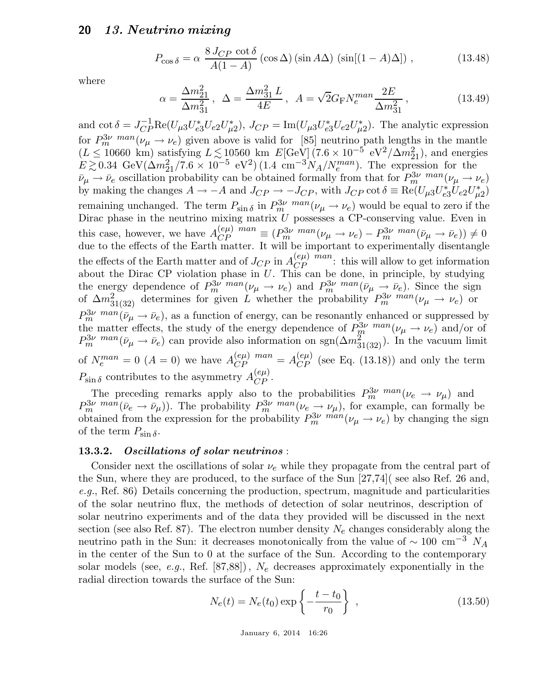$$
P_{\cos\delta} = \alpha \frac{8 J_{CP} \cot\delta}{A(1 - A)} (\cos\Delta) (\sin A\Delta) (\sin[(1 - A)\Delta]), \qquad (13.48)
$$

where

$$
\alpha = \frac{\Delta m_{21}^2}{\Delta m_{31}^2}, \ \ \Delta = \frac{\Delta m_{31}^2 L}{4E}, \ \ A = \sqrt{2} G_{\rm F} N_e^{man} \frac{2E}{\Delta m_{31}^2}, \tag{13.49}
$$

and  $\cot \delta = J_{CP}^{-1} \text{Re}(U_{\mu 3} U_{e3}^* U_{e2} U_{\mu}^*$ <sup>\*</sup>\*<sub> $\mu$ 2</sub>),  $J_{CP} = \text{Im}(U_{\mu 3} U_{e3}^* U_{e2} U_{\mu}^*$  $\mu_2^*$ ). The analytic expression for  $P_m^{3\nu}$  man( $\nu_\mu \rightarrow \nu_e$ ) given above is valid for [85] neutrino path lengths in the mantle  $(L \leq 10660 \text{ km})$  satisfying  $L \lesssim 10560 \text{ km}$   $E[\text{GeV}](7.6 \times 10^{-5} \text{ eV}^2/\Delta m_{21}^2)$ , and energies  $E \gtrsim 0.34 \text{ GeV}(\Delta m_{21}^2 / 7.6 \times 10^{-5} \text{ eV}^2) (1.4 \text{ cm}^{-3} N_A / N_e^{man})$ . The expression for the  $\bar{\nu}_{\mu} \rightarrow \bar{\nu}_{e}$  oscillation probability can be obtained formally from that for  $P_{m}^{3\nu}$  man  $(\nu_{\mu} \rightarrow \nu_{e})$ by making the changes  $A \to -A$  and  $J_{CP} \to -J_{CP}$ , with  $J_{CP} \cot \delta \equiv \text{Re}(U_{\mu 3} U_{e3}^* U_{e2} U_{\mu}^*$  $_{\mu 2}^{*})$ remaining unchanged. The term  $P_{\sin \delta}$  in  $P_{m}^{3\nu}$  man $(\nu_{\mu} \to \nu_{e})$  would be equal to zero if the Dirac phase in the neutrino mixing matrix  $U$  possesses a CP-conserving value. Even in this case, however, we have  $A_{CP}^{(e\mu)}$  man  $\equiv (P_m^{3\nu} \text{ man}_{(\nu_\mu \to \nu_e) - P_m^{3\nu} \text{ man}_{(\bar{\nu}_\mu \to \bar{\nu}_e)) \neq 0}$ due to the effects of the Earth matter. It will be important to experimentally disentangle the effects of the Earth matter and of  $J_{CP}$  in  $A_{CP}^{(e\mu)}$  man: this will allow to get information about the Dirac CP violation phase in  $U$ . This can be done, in principle, by studying the energy dependence of  $P_m^{3\nu}$  man $(\nu_\mu \to \nu_e)$  and  $P_m^{3\nu}$  man $(\bar{\nu}_\mu \to \bar{\nu}_e)$ . Since the sign of  $\Delta m_{31(32)}^2$  determines for given L whether the probability  $P_m^{3\nu}$  man  $(\nu_\mu \to \nu_e)$  or  $P_m^{3\nu \text{ man}}(\bar{\nu}_\mu \rightarrow \bar{\nu}_e)$ , as a function of energy, can be resonantly enhanced or suppressed by the matter effects, the study of the energy dependence of  $P_m^{3\nu}$  man  $(\nu_\mu \to \nu_e)$  and/or of  $P_m^{3\nu \text{ man}}(\bar{\nu}_\mu \to \bar{\nu}_e)$  can provide also information on sgn $(\Delta m^2_{31(32)})$ . In the vacuum limit of  $N_e^{man} = 0$  ( $A = 0$ ) we have  $A_{CP}^{(e\mu)}$   $^{man} = A_{CP}^{(e\mu)}$  (see Eq. (13.18)) and only the term  $P_{\sin\delta}$  contributes to the asymmetry  $A_{CP}^{(e\mu)}$ .

The preceding remarks apply also to the probabilities  $P_m^{3\nu}$  man ( $\nu_e \rightarrow \nu_\mu$ ) and  $P_m^{3\nu}$  man( $\bar{\nu}_e \rightarrow \bar{\nu}_\mu$ ). The probability  $P_m^{3\nu}$  man( $\nu_e \rightarrow \nu_\mu$ ), for example, can formally be obtained from the expression for the probability  $P_m^{3\nu}$   $m \alpha n}(\nu_\mu \to \nu_e)$  by changing the sign of the term  $P_{\sin \delta}$ .

#### 13.3.2. Oscillations of solar neutrinos :

Consider next the oscillations of solar  $\nu_e$  while they propagate from the central part of the Sun, where they are produced, to the surface of the Sun [27,74]( see also Ref. 26 and, e.g., Ref. 86). Details concerning the production, spectrum, magnitude and particularities of the solar neutrino flux, the methods of detection of solar neutrinos, description of solar neutrino experiments and of the data they provided will be discussed in the next section (see also Ref. 87). The electron number density  $N_e$  changes considerably along the neutrino path in the Sun: it decreases monotonically from the value of  $\sim 100$  cm<sup>-3</sup> N<sub>A</sub> in the center of the Sun to 0 at the surface of the Sun. According to the contemporary solar models (see, e.g., Ref.  $[87,88]$ ),  $N_e$  decreases approximately exponentially in the radial direction towards the surface of the Sun:

$$
N_e(t) = N_e(t_0) \exp\left\{-\frac{t - t_0}{r_0}\right\},
$$
\n(13.50)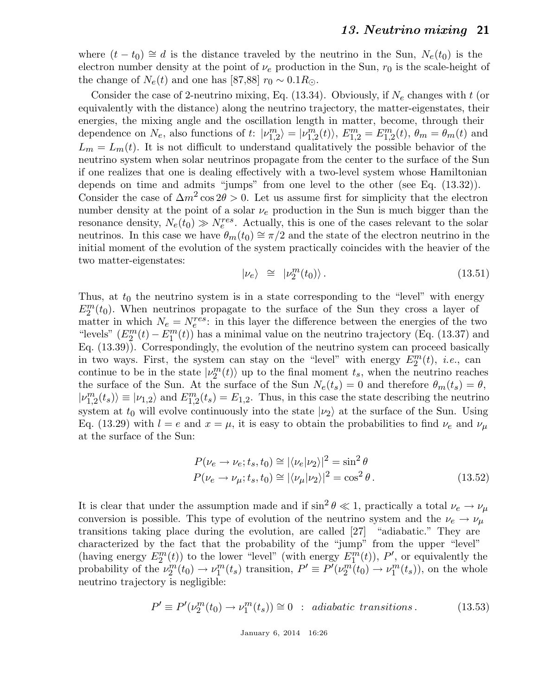where  $(t - t_0) \approx d$  is the distance traveled by the neutrino in the Sun,  $N_e(t_0)$  is the electron number density at the point of  $\nu_e$  production in the Sun,  $r_0$  is the scale-height of the change of  $N_e(t)$  and one has [87,88]  $r_0 \sim 0.1 R_{\odot}$ .

Consider the case of 2-neutrino mixing, Eq.  $(13.34)$ . Obviously, if  $N_e$  changes with t (or equivalently with the distance) along the neutrino trajectory, the matter-eigenstates, their energies, the mixing angle and the oscillation length in matter, become, through their dependence on  $N_e$ , also functions of t:  $|v_{1,2}^m\rangle = |v_{1,2}^m(t)\rangle$ ,  $E_{1,2}^m = E_{1,2}^m(t)$ ,  $\theta_m = \theta_m(t)$  and  $L_m = L_m(t)$ . It is not difficult to understand qualitatively the possible behavior of the neutrino system when solar neutrinos propagate from the center to the surface of the Sun if one realizes that one is dealing effectively with a two-level system whose Hamiltonian depends on time and admits "jumps" from one level to the other (see Eq. (13.32)). Consider the case of  $\Delta m^2 \cos 2\theta > 0$ . Let us assume first for simplicity that the electron number density at the point of a solar  $\nu_e$  production in the Sun is much bigger than the resonance density,  $N_e(t_0) \gg N_e^{res}$ . Actually, this is one of the cases relevant to the solar neutrinos. In this case we have  $\theta_m(t_0) \cong \pi/2$  and the state of the electron neutrino in the initial moment of the evolution of the system practically coincides with the heavier of the two matter-eigenstates:

$$
|\nu_e\rangle \cong |\nu_2^m(t_0)\rangle. \tag{13.51}
$$

Thus, at  $t_0$  the neutrino system is in a state corresponding to the "level" with energy  $E_2^m(t_0)$ . When neutrinos propagate to the surface of the Sun they cross a layer of matter in which  $N_e = N_e^{res}$ : in this layer the difference between the energies of the two "levels"  $(E_2^m(t) - E_1^m(t))$  has a minimal value on the neutrino trajectory (Eq. (13.37) and Eq. (13.39)). Correspondingly, the evolution of the neutrino system can proceed basically in two ways. First, the system can stay on the "level" with energy  $E_2^m(t)$ , *i.e.*, can continue to be in the state  $|v_2^m(t)\rangle$  up to the final moment  $t_s$ , when the neutrino reaches the surface of the Sun. At the surface of the Sun  $N_e(t_s) = 0$  and therefore  $\theta_m(t_s) = \theta$ ,  $|\nu_{1,2}^m(t_s)\rangle \equiv |\nu_{1,2}\rangle$  and  $E_{1,2}^m(t_s) = E_{1,2}$ . Thus, in this case the state describing the neutrino system at  $t_0$  will evolve continuously into the state  $|\nu_2\rangle$  at the surface of the Sun. Using Eq. (13.29) with  $l = e$  and  $x = \mu$ , it is easy to obtain the probabilities to find  $\nu_e$  and  $\nu_\mu$ at the surface of the Sun:

$$
P(\nu_e \to \nu_e; t_s, t_0) \approx |\langle \nu_e | \nu_2 \rangle|^2 = \sin^2 \theta
$$
  
\n
$$
P(\nu_e \to \nu_\mu; t_s, t_0) \approx |\langle \nu_\mu | \nu_2 \rangle|^2 = \cos^2 \theta.
$$
 (13.52)

It is clear that under the assumption made and if  $\sin^2 \theta \ll 1$ , practically a total  $\nu_e \to \nu_\mu$ conversion is possible. This type of evolution of the neutrino system and the  $\nu_e \rightarrow \nu_\mu$ transitions taking place during the evolution, are called [27] "adiabatic." They are characterized by the fact that the probability of the "jump" from the upper "level" (having energy  $E_2^m(t)$ ) to the lower "level" (with energy  $E_1^m(t)$ ), P', or equivalently the probability of the  $\nu_2^m(t_0) \to \nu_1^m(t_s)$  transition,  $P' \equiv P'(\nu_2^m(t_0) \to \nu_1^m(t_s))$ , on the whole neutrino trajectory is negligible:

$$
P' \equiv P'(\nu_2^m(t_0) \to \nu_1^m(t_s)) \cong 0 \quad : \text{ adiabatic transitions.} \tag{13.53}
$$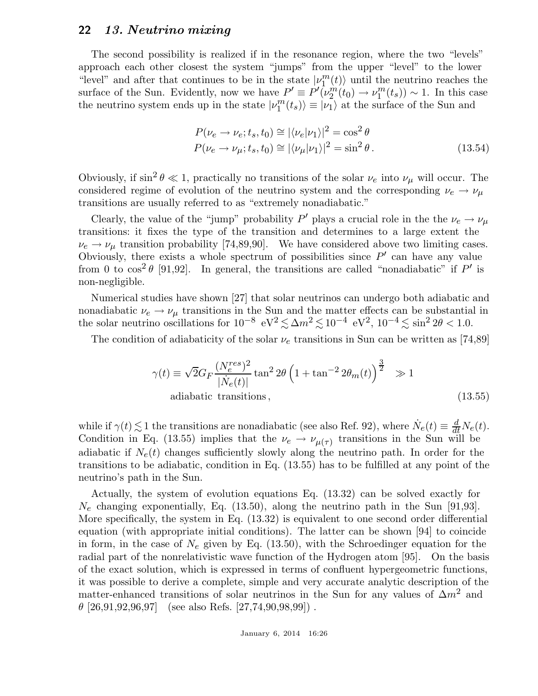The second possibility is realized if in the resonance region, where the two "levels" approach each other closest the system "jumps" from the upper "level" to the lower "level" and after that continues to be in the state  $|v_1^m(t)\rangle$  until the neutrino reaches the surface of the Sun. Evidently, now we have  $P' \equiv P'(\nu_2^m(t_0) \to \nu_1^m(t_s)) \sim 1$ . In this case the neutrino system ends up in the state  $|\nu_1^m(t_s)\rangle \equiv |\nu_1\rangle$  at the surface of the Sun and

$$
P(\nu_e \to \nu_e; t_s, t_0) \cong |\langle \nu_e | \nu_1 \rangle|^2 = \cos^2 \theta
$$
  
\n
$$
P(\nu_e \to \nu_\mu; t_s, t_0) \cong |\langle \nu_\mu | \nu_1 \rangle|^2 = \sin^2 \theta.
$$
 (13.54)

Obviously, if  $\sin^2 \theta \ll 1$ , practically no transitions of the solar  $\nu_e$  into  $\nu_\mu$  will occur. The considered regime of evolution of the neutrino system and the corresponding  $\nu_e \rightarrow \nu_\mu$ transitions are usually referred to as "extremely nonadiabatic."

Clearly, the value of the "jump" probability  $P'$  plays a crucial role in the the  $\nu_e \to \nu_\mu$ transitions: it fixes the type of the transition and determines to a large extent the  $\nu_e \rightarrow \nu_\mu$  transition probability [74,89,90]. We have considered above two limiting cases. Obviously, there exists a whole spectrum of possibilities since  $P'$  can have any value from 0 to  $\cos^2 \theta$  [91,92]. In general, the transitions are called "nonadiabatic" if P' is non-negligible.

Numerical studies have shown [27] that solar neutrinos can undergo both adiabatic and nonadiabatic  $\nu_e \rightarrow \nu_\mu$  transitions in the Sun and the matter effects can be substantial in the solar neutrino oscillations for  $10^{-8}$  eV<sup>2</sup> $\lesssim \Delta m^2 \lesssim 10^{-4}$  eV<sup>2</sup>,  $10^{-4} \lesssim \sin^2 2\theta < 1.0$ .

The condition of adiabaticity of the solar  $\nu_e$  transitions in Sun can be written as [74,89]

$$
\gamma(t) \equiv \sqrt{2}G_F \frac{(N_e^{res})^2}{|\dot{N}_e(t)|} \tan^2 2\theta \left(1 + \tan^{-2} 2\theta_m(t)\right)^{\frac{3}{2}} \gg 1
$$
  
adiabatic transitions, (13.55)

while if  $\gamma(t) \lesssim 1$  the transitions are nonadiabatic (see also Ref. 92), where  $N_e(t) \equiv \frac{d}{dt} N_e(t)$ . Condition in Eq. (13.55) implies that the  $\nu_e \rightarrow \nu_{\mu(\tau)}$  transitions in the Sun will be adiabatic if  $N_e(t)$  changes sufficiently slowly along the neutrino path. In order for the transitions to be adiabatic, condition in Eq. (13.55) has to be fulfilled at any point of the neutrino's path in the Sun.

Actually, the system of evolution equations Eq. (13.32) can be solved exactly for  $N_e$  changing exponentially, Eq. (13.50), along the neutrino path in the Sun [91,93]. More specifically, the system in Eq. (13.32) is equivalent to one second order differential equation (with appropriate initial conditions). The latter can be shown [94] to coincide in form, in the case of  $N_e$  given by Eq. (13.50), with the Schroedinger equation for the radial part of the nonrelativistic wave function of the Hydrogen atom [95]. On the basis of the exact solution, which is expressed in terms of confluent hypergeometric functions, it was possible to derive a complete, simple and very accurate analytic description of the matter-enhanced transitions of solar neutrinos in the Sun for any values of  $\Delta m^2$  and  $\theta$  [26,91,92,96,97] (see also Refs. [27,74,90,98,99]).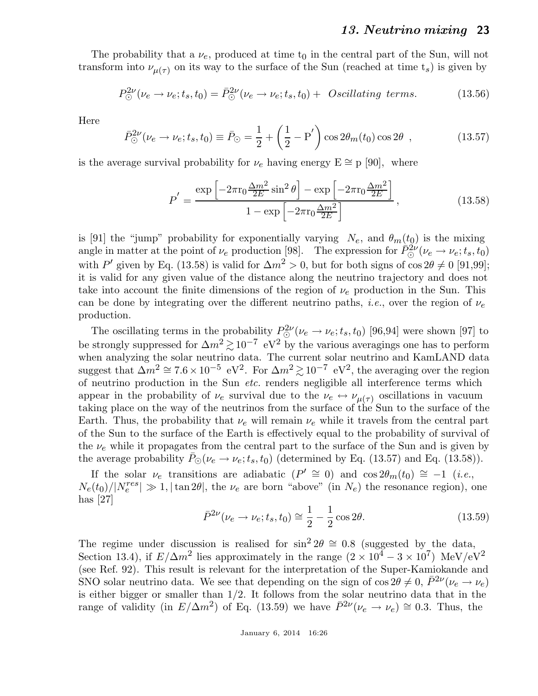The probability that a  $\nu_e$ , produced at time  $t_0$  in the central part of the Sun, will not transform into  $\nu_{\mu(\tau)}$  on its way to the surface of the Sun (reached at time  $t_s$ ) is given by

$$
P_{\odot}^{2\nu}(\nu_e \to \nu_e; t_s, t_0) = \bar{P}_{\odot}^{2\nu}(\nu_e \to \nu_e; t_s, t_0) + \text{ Oscillating terms.} \tag{13.56}
$$

Here

$$
\bar{P}_{\odot}^{2\nu}(\nu_e \to \nu_e; t_s, t_0) \equiv \bar{P}_{\odot} = \frac{1}{2} + \left(\frac{1}{2} - P'\right) \cos 2\theta_m(t_0) \cos 2\theta \quad , \tag{13.57}
$$

is the average survival probability for  $\nu_e$  having energy  $E \cong p$  [90], where

$$
P' = \frac{\exp\left[-2\pi r_0 \frac{\Delta m^2}{2E} \sin^2 \theta\right] - \exp\left[-2\pi r_0 \frac{\Delta m^2}{2E}\right]}{1 - \exp\left[-2\pi r_0 \frac{\Delta m^2}{2E}\right]},
$$
\n(13.58)

is [91] the "jump" probability for exponentially varying  $N_e$ , and  $\theta_m(t_0)$  is the mixing angle in matter at the point of  $\nu_e$  production [98]. The expression for  $\bar{P}_{\odot}^{2\nu}(\nu_e \to \nu_e; t_s, t_0)$ with P' given by Eq. (13.58) is valid for  $\Delta m^2 > 0$ , but for both signs of  $\cos 2\theta \neq 0$  [91,99]; it is valid for any given value of the distance along the neutrino trajectory and does not take into account the finite dimensions of the region of  $\nu_e$  production in the Sun. This can be done by integrating over the different neutrino paths, *i.e.*, over the region of  $\nu_e$ production.

The oscillating terms in the probability  $P_{\odot}^{2\nu}(\nu_e \to \nu_e; t_s, t_0)$  [96,94] were shown [97] to be strongly suppressed for  $\Delta m^2 \gtrsim 10^{-7}$  eV<sup>2</sup> by the various averagings one has to perform when analyzing the solar neutrino data. The current solar neutrino and KamLAND data suggest that  $\Delta m^2 \cong 7.6 \times 10^{-5}$  eV<sup>2</sup>. For  $\Delta m^2 \gtrsim 10^{-7}$  eV<sup>2</sup>, the averaging over the region of neutrino production in the Sun etc. renders negligible all interference terms which appear in the probability of  $\nu_e$  survival due to the  $\nu_e \leftrightarrow \nu_{\mu(\tau)}$  oscillations in vacuum taking place on the way of the neutrinos from the surface of the Sun to the surface of the Earth. Thus, the probability that  $\nu_e$  will remain  $\nu_e$  while it travels from the central part of the Sun to the surface of the Earth is effectively equal to the probability of survival of the  $\nu_e$  while it propagates from the central part to the surface of the Sun and is given by the average probability  $P_{\odot}(\nu_e \rightarrow \nu_e; t_s, t_0)$  (determined by Eq. (13.57) and Eq. (13.58)).

If the solar  $\nu_e$  transitions are adiabatic  $(P' \cong 0)$  and  $\cos 2\theta_m(t_0) \cong -1$  (*i.e.*,  $N_e(t_0)/|N_e^{res}| \gg 1, |\tan 2\theta|$ , the  $\nu_e$  are born "above" (in  $N_e$ ) the resonance region), one has [27]

$$
\bar{P}^{2\nu}(\nu_e \to \nu_e; t_s, t_0) \approx \frac{1}{2} - \frac{1}{2} \cos 2\theta.
$$
 (13.59)

The regime under discussion is realised for  $\sin^2 2\theta \cong 0.8$  (suggested by the data, Section 13.4), if  $E/\Delta m^2$  lies approximately in the range  $(2 \times 10^4 - 3 \times 10^7)$  MeV/eV<sup>2</sup> (see Ref. 92). This result is relevant for the interpretation of the Super-Kamiokande and SNO solar neutrino data. We see that depending on the sign of  $\cos 2\theta \neq 0$ ,  $\bar{P}^{2\nu}(\nu_e \to \nu_e)$ is either bigger or smaller than 1/2. It follows from the solar neutrino data that in the range of validity (in  $E/\Delta m^2$ ) of Eq. (13.59) we have  $\bar{P}^{2\nu}(\nu_e \to \nu_e) \approx 0.3$ . Thus, the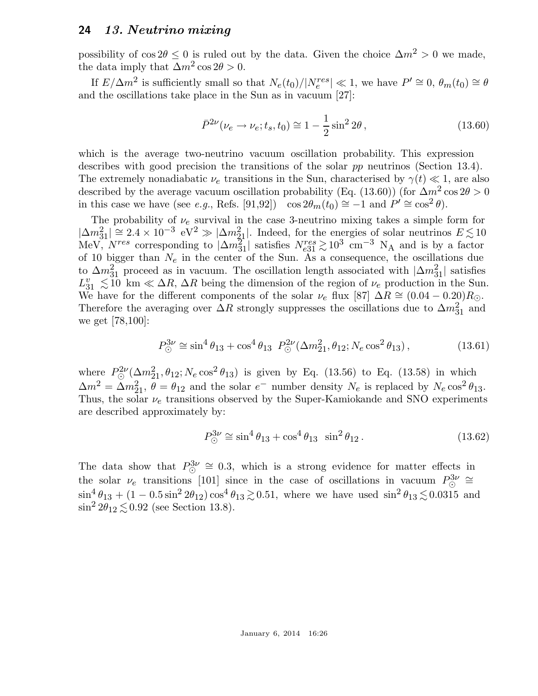possibility of  $\cos 2\theta \leq 0$  is ruled out by the data. Given the choice  $\Delta m^2 > 0$  we made, the data imply that  $\Delta m^2 \cos 2\theta > 0$ .

If  $E/\Delta m^2$  is sufficiently small so that  $N_e(t_0)/|N_e^{res}| \ll 1$ , we have  $P' \cong 0$ ,  $\theta_m(t_0) \cong \theta_m$ and the oscillations take place in the Sun as in vacuum [27]:

$$
\bar{P}^{2\nu}(\nu_e \to \nu_e; t_s, t_0) \cong 1 - \frac{1}{2}\sin^2 2\theta\,,\tag{13.60}
$$

which is the average two-neutrino vacuum oscillation probability. This expression describes with good precision the transitions of the solar pp neutrinos (Section 13.4). The extremely nonadiabatic  $\nu_e$  transitions in the Sun, characterised by  $\gamma(t) \ll 1$ , are also described by the average vacuum oscillation probability (Eq. (13.60)) (for  $\Delta m^2 \cos 2\theta > 0$ in this case we have (see *e.g.*, Refs. [91,92])  $\cos 2\theta_m(t_0) \approx -1$  and  $P' \approx \cos^2 \theta$ ).

The probability of  $\nu_e$  survival in the case 3-neutrino mixing takes a simple form for  $|\Delta m_{31}^2| \cong 2.4 \times 10^{-3} \text{ eV}^2 \gg |\Delta m_{21}^2|$ . Indeed, for the energies of solar neutrinos  $E \lesssim 10$ MeV,  $N^{res}$  corresponding to  $|\Delta m_{31}^2|$  satisfies  $N_{e31}^{res} \gtrsim 10^3$  cm<sup>-3</sup> N<sub>A</sub> and is by a factor of 10 bigger than  $N_e$  in the center of the Sun. As a consequence, the oscillations due to  $\Delta m_{31}^2$  proceed as in vacuum. The oscillation length associated with  $|\Delta m_{31}^2|$  satisfies  $L_{31}^v \lesssim 10 \text{ km} \ll \Delta R$ ,  $\Delta R$  being the dimension of the region of  $\nu_e$  production in the Sun. We have for the different components of the solar  $\nu_e$  flux [87]  $\Delta R \cong (0.04 - 0.20)R_{\odot}$ . Therefore the averaging over  $\Delta R$  strongly suppresses the oscillations due to  $\Delta m_{31}^2$  and we get [78,100]:

$$
P_{\odot}^{3\nu} \cong \sin^4 \theta_{13} + \cos^4 \theta_{13} \ P_{\odot}^{2\nu}(\Delta m_{21}^2, \theta_{12}; N_e \cos^2 \theta_{13}), \tag{13.61}
$$

where  $P_{\odot}^{2\nu}(\Delta m_{21}^2, \theta_{12}; N_e \cos^2 \theta_{13})$  is given by Eq. (13.56) to Eq. (13.58) in which  $\Delta m^2 = \Delta m_{21}^2$ ,  $\theta = \theta_{12}$  and the solar  $e^-$  number density  $N_e$  is replaced by  $N_e \cos^2 \theta_{13}$ . Thus, the solar  $\nu_e$  transitions observed by the Super-Kamiokande and SNO experiments are described approximately by:

$$
P_{\odot}^{3\nu} \cong \sin^4 \theta_{13} + \cos^4 \theta_{13} \sin^2 \theta_{12}. \tag{13.62}
$$

The data show that  $P_{\odot}^{3\nu} \cong 0.3$ , which is a strong evidence for matter effects in the solar  $\nu_e$  transitions [101] since in the case of oscillations in vacuum  $P^3_{\odot} \cong$  $\sin^4 \theta_{13} + (1 - 0.5 \sin^2 2\theta_{12}) \cos^4 \theta_{13} \gtrsim 0.51$ , where we have used  $\sin^2 \theta_{13} \lesssim 0.0315$  and  $\sin^2 2\theta_{12} \lesssim 0.92$  (see Section 13.8).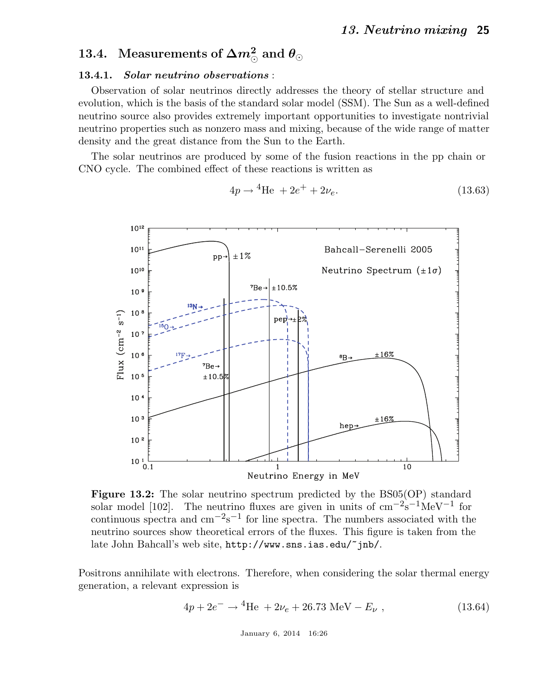# 13.4. Measurements of  $\Delta m^2_{\odot}$  and  $\theta_{\odot}$

#### 13.4.1. Solar neutrino observations :

Observation of solar neutrinos directly addresses the theory of stellar structure and evolution, which is the basis of the standard solar model (SSM). The Sun as a well-defined neutrino source also provides extremely important opportunities to investigate nontrivial neutrino properties such as nonzero mass and mixing, because of the wide range of matter density and the great distance from the Sun to the Earth.

The solar neutrinos are produced by some of the fusion reactions in the pp chain or CNO cycle. The combined effect of these reactions is written as



$$
4p \to {}^{4}\text{He} + 2e^{+} + 2\nu_{e}.
$$
 (13.63)

Figure 13.2: The solar neutrino spectrum predicted by the BS05(OP) standard solar model [102]. The neutrino fluxes are given in units of  $\text{cm}^{-2}\text{s}^{-1}\text{MeV}^{-1}$  for continuous spectra and  $\text{cm}^{-2}\text{s}^{-1}$  for line spectra. The numbers associated with the neutrino sources show theoretical errors of the fluxes. This figure is taken from the late John Bahcall's web site, http://www.sns.ias.edu/~jnb/.

Positrons annihilate with electrons. Therefore, when considering the solar thermal energy generation, a relevant expression is

$$
4p + 2e^- \rightarrow {}^4\text{He} + 2\nu_e + 26.73 \text{ MeV} - E_\nu , \qquad (13.64)
$$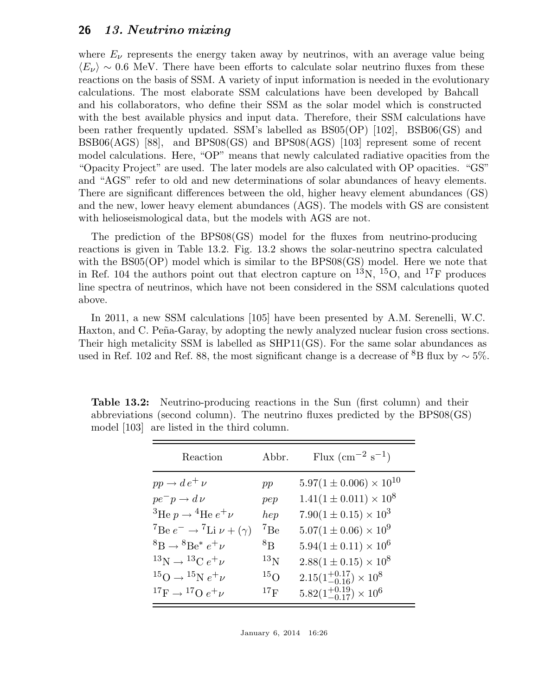where  $E_{\nu}$  represents the energy taken away by neutrinos, with an average value being  $\langle E_{\nu} \rangle \sim 0.6$  MeV. There have been efforts to calculate solar neutrino fluxes from these reactions on the basis of SSM. A variety of input information is needed in the evolutionary calculations. The most elaborate SSM calculations have been developed by Bahcall and his collaborators, who define their SSM as the solar model which is constructed with the best available physics and input data. Therefore, their SSM calculations have been rather frequently updated. SSM's labelled as BS05(OP) [102], BSB06(GS) and BSB06(AGS) [88], and BPS08(GS) and BPS08(AGS) [103] represent some of recent model calculations. Here, "OP" means that newly calculated radiative opacities from the "Opacity Project" are used. The later models are also calculated with OP opacities. "GS" and "AGS" refer to old and new determinations of solar abundances of heavy elements. There are significant differences between the old, higher heavy element abundances (GS) and the new, lower heavy element abundances (AGS). The models with GS are consistent with helioseismological data, but the models with AGS are not.

The prediction of the BPS08(GS) model for the fluxes from neutrino-producing reactions is given in Table 13.2. Fig. 13.2 shows the solar-neutrino spectra calculated with the BS05(OP) model which is similar to the BPS08(GS) model. Here we note that in Ref. 104 the authors point out that electron capture on  $^{13}N$ ,  $^{15}O$ , and  $^{17}F$  produces line spectra of neutrinos, which have not been considered in the SSM calculations quoted above.

In 2011, a new SSM calculations [105] have been presented by A.M. Serenelli, W.C. Haxton, and C. Peña-Garay, by adopting the newly analyzed nuclear fusion cross sections. Their high metalicity SSM is labelled as SHP11(GS). For the same solar abundances as used in Ref. 102 and Ref. 88, the most significant change is a decrease of <sup>8</sup>B flux by  $\sim$  5%.

| model [103] are listed in the third column. |  | abbreviations (second column). The neutrino fluxes predicted by the BPS08(GS) |                                                                                                                                                                                                                                                                                                                                              |  |
|---------------------------------------------|--|-------------------------------------------------------------------------------|----------------------------------------------------------------------------------------------------------------------------------------------------------------------------------------------------------------------------------------------------------------------------------------------------------------------------------------------|--|
|                                             |  |                                                                               | $\cdots$ $\cdots$ $\cdots$ $\cdots$ $\cdots$ $\cdots$ $\cdots$ $\cdots$ $\cdots$ $\cdots$ $\cdots$ $\cdots$ $\cdots$ $\cdots$ $\cdots$ $\cdots$ $\cdots$ $\cdots$ $\cdots$ $\cdots$ $\cdots$ $\cdots$ $\cdots$ $\cdots$ $\cdots$ $\cdots$ $\cdots$ $\cdots$ $\cdots$ $\cdots$ $\cdots$ $\cdots$ $\cdots$ $\cdots$ $\cdots$ $\cdots$ $\cdots$ |  |

Table 13.2: Neutrino-producing reactions in the Sun (first column) and their

| Reaction                                                  | Abbr.           | Flux $\rm (cm^{-2} s^{-1})$           |
|-----------------------------------------------------------|-----------------|---------------------------------------|
| $pp \rightarrow d e^+ \nu$                                | pp              | $5.97(1 \pm 0.006) \times 10^{10}$    |
| $pe^-p \rightarrow d\nu$                                  | pep             | $1.41(1 \pm 0.011) \times 10^8$       |
| <sup>3</sup> He $p \rightarrow$ <sup>4</sup> He $e^+ \nu$ | hep             | $7.90(1 \pm 0.15) \times 10^3$        |
| $^7$ Be $e^ \rightarrow$ $^7$ Li $\nu$ + $(\gamma)$       | ${}^{7}Be$      | $5.07(1 \pm 0.06) \times 10^9$        |
| ${}^{8}B \rightarrow {}^{8}Be^*e^+\nu$                    | $8_{\rm B}$     | $5.94(1 \pm 0.11) \times 10^6$        |
| ${}^{13}N \rightarrow {}^{13}C e^+ \nu$                   | $^{13}$ N       | $2.88(1 \pm 0.15) \times 10^8$        |
| $^{15}O \rightarrow ^{15}Ne^+\nu$                         | 15 <sub>O</sub> | $2.15(1^{+0.17}_{-0.16}) \times 10^8$ |
| ${}^{17}F \rightarrow {}^{17}O e^+ \nu$                   | $17_F$          | $5.82(1^{+0.19}_{-0.17}) \times 10^6$ |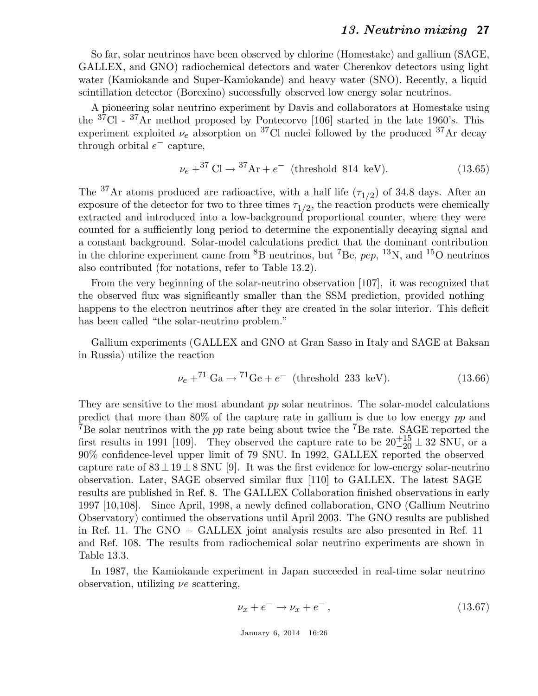So far, solar neutrinos have been observed by chlorine (Homestake) and gallium (SAGE, GALLEX, and GNO) radiochemical detectors and water Cherenkov detectors using light water (Kamiokande and Super-Kamiokande) and heavy water (SNO). Recently, a liquid scintillation detector (Borexino) successfully observed low energy solar neutrinos.

A pioneering solar neutrino experiment by Davis and collaborators at Homestake using the <sup>37</sup>Cl - <sup>37</sup>Ar method proposed by Pontecorvo [106] started in the late 1960's. This experiment exploited  $\nu_e$  absorption on <sup>37</sup>Cl nuclei followed by the produced <sup>37</sup>Ar decay through orbital  $e^-$  capture,

$$
\nu_e + {}^{37}Cl \to {}^{37}Ar + e^-
$$
 (threshold 814 keV). (13.65)

The <sup>37</sup>Ar atoms produced are radioactive, with a half life  $(\tau_{1/2})$  of 34.8 days. After an exposure of the detector for two to three times  $\tau_{1/2}$ , the reaction products were chemically extracted and introduced into a low-background proportional counter, where they were counted for a sufficiently long period to determine the exponentially decaying signal and a constant background. Solar-model calculations predict that the dominant contribution in the chlorine experiment came from <sup>8</sup>B neutrinos, but <sup>7</sup>Be,  $pep$ , <sup>13</sup>N, and <sup>15</sup>O neutrinos also contributed (for notations, refer to Table 13.2).

From the very beginning of the solar-neutrino observation [107], it was recognized that the observed flux was significantly smaller than the SSM prediction, provided nothing happens to the electron neutrinos after they are created in the solar interior. This deficit has been called "the solar-neutrino problem."

Gallium experiments (GALLEX and GNO at Gran Sasso in Italy and SAGE at Baksan in Russia) utilize the reaction

$$
\nu_e + {}^{71} \text{Ga} \to {}^{71} \text{Ge} + e^- \text{ (threshold 233 keV)}.
$$
 (13.66)

They are sensitive to the most abundant pp solar neutrinos. The solar-model calculations predict that more than 80% of the capture rate in gallium is due to low energy pp and  $7B$ e solar neutrinos with the pp rate being about twice the  $7B$ e rate. SAGE reported the first results in 1991 [109]. They observed the capture rate to be  $20^{+15}_{-20} \pm 32$  SNU, or a 90% confidence-level upper limit of 79 SNU. In 1992, GALLEX reported the observed capture rate of  $83 \pm 19 \pm 8$  SNU [9]. It was the first evidence for low-energy solar-neutrino observation. Later, SAGE observed similar flux [110] to GALLEX. The latest SAGE results are published in Ref. 8. The GALLEX Collaboration finished observations in early 1997 [10,108]. Since April, 1998, a newly defined collaboration, GNO (Gallium Neutrino Observatory) continued the observations until April 2003. The GNO results are published in Ref. 11. The GNO + GALLEX joint analysis results are also presented in Ref. 11 and Ref. 108. The results from radiochemical solar neutrino experiments are shown in Table 13.3.

In 1987, the Kamiokande experiment in Japan succeeded in real-time solar neutrino observation, utilizing  $\nu e$  scattering,

$$
\nu_x + e^- \to \nu_x + e^-, \tag{13.67}
$$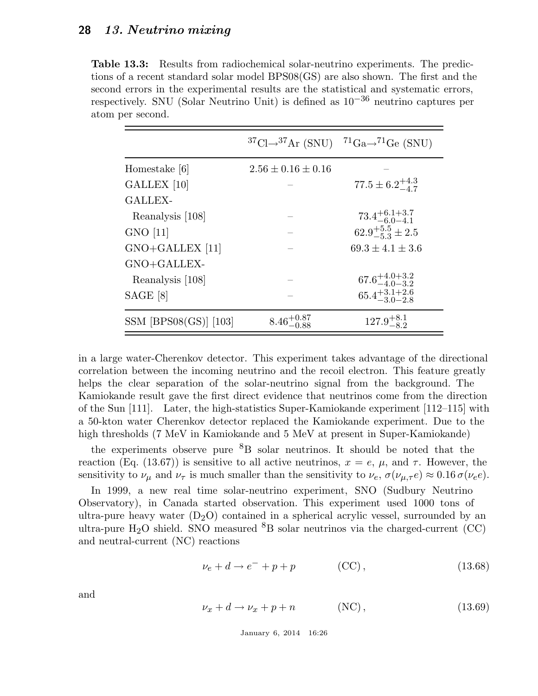Table 13.3: Results from radiochemical solar-neutrino experiments. The predictions of a recent standard solar model BPS08(GS) are also shown. The first and the second errors in the experimental results are the statistical and systematic errors, respectively. SNU (Solar Neutrino Unit) is defined as  $10^{-36}$  neutrino captures per atom per second.

|                         |                          | ${}^{37}Cl\rightarrow {}^{37}Ar$ (SNU) ${}^{71}Ga\rightarrow {}^{71}Ge$ (SNU) |
|-------------------------|--------------------------|-------------------------------------------------------------------------------|
| Homestake [6]           | $2.56 \pm 0.16 \pm 0.16$ |                                                                               |
| GALLEX <sup>[10]</sup>  |                          | $77.5 \pm 6.2^{+4.3}_{-4.7}$                                                  |
| <b>GALLEX-</b>          |                          |                                                                               |
| Reanalysis [108]        |                          | $73.4^{+6.1+3.7}_{-6.0-4.1}$                                                  |
| $GNO$ [11]              |                          | $62.9^{+5.5}_{-5.3}\pm 2.5$                                                   |
| $GNO + GALLEX$ [11]     |                          | $69.3 \pm 4.1 \pm 3.6$                                                        |
| $GNO+GALLEX-$           |                          |                                                                               |
| Reanalysis [108]        |                          | $67.6^{+4.0+3.2}_{-4.0-3.2}$                                                  |
| SAGE [8]                |                          | $65.4_{-3.0-2.8}^{+3.1+2.6}$                                                  |
| $SSM$ [BPS08(GS)] [103] | $8.46^{+0.87}_{-0.88}$   | $127.9^{+8.1}_{-8.2}$                                                         |

in a large water-Cherenkov detector. This experiment takes advantage of the directional correlation between the incoming neutrino and the recoil electron. This feature greatly helps the clear separation of the solar-neutrino signal from the background. The Kamiokande result gave the first direct evidence that neutrinos come from the direction of the Sun [111]. Later, the high-statistics Super-Kamiokande experiment [112–115] with a 50-kton water Cherenkov detector replaced the Kamiokande experiment. Due to the high thresholds (7 MeV in Kamiokande and 5 MeV at present in Super-Kamiokande)

the experiments observe pure  ${}^{8}B$  solar neutrinos. It should be noted that the reaction (Eq. (13.67)) is sensitive to all active neutrinos,  $x = e$ ,  $\mu$ , and  $\tau$ . However, the sensitivity to  $\nu_{\mu}$  and  $\nu_{\tau}$  is much smaller than the sensitivity to  $\nu_e$ ,  $\sigma(\nu_{\mu,\tau}e) \approx 0.16 \sigma(\nu_e e)$ .

In 1999, a new real time solar-neutrino experiment, SNO (Sudbury Neutrino Observatory), in Canada started observation. This experiment used 1000 tons of ultra-pure heavy water  $(D_2O)$  contained in a spherical acrylic vessel, surrounded by an ultra-pure H<sub>2</sub>O shield. SNO measured <sup>8</sup>B solar neutrinos via the charged-current (CC) and neutral-current (NC) reactions

$$
\nu_e + d \rightarrow e^- + p + p \tag{CC}, \tag{13.68}
$$

and

$$
\nu_x + d \to \nu_x + p + n \tag{NC}, \tag{13.69}
$$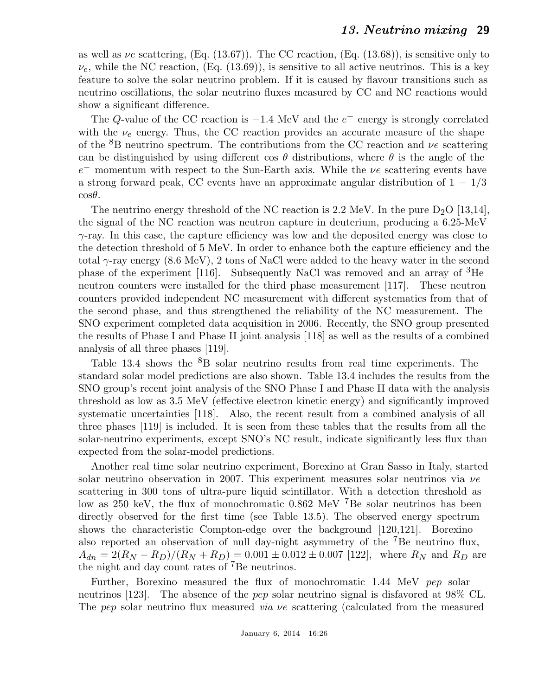as well as  $\nu e$  scattering, (Eq. (13.67)). The CC reaction, (Eq. (13.68)), is sensitive only to  $\nu_e$ , while the NC reaction, (Eq. (13.69)), is sensitive to all active neutrinos. This is a key feature to solve the solar neutrino problem. If it is caused by flavour transitions such as neutrino oscillations, the solar neutrino fluxes measured by CC and NC reactions would show a significant difference.

The Q-value of the CC reaction is  $-1.4$  MeV and the  $e^-$  energy is strongly correlated with the  $\nu_e$  energy. Thus, the CC reaction provides an accurate measure of the shape of the  ${}^{8}B$  neutrino spectrum. The contributions from the CC reaction and  $\nu e$  scattering can be distinguished by using different cos  $\theta$  distributions, where  $\theta$  is the angle of the  $e^-$  momentum with respect to the Sun-Earth axis. While the  $\nu e$  scattering events have a strong forward peak, CC events have an approximate angular distribution of  $1 - 1/3$  $\cos\theta$ .

The neutrino energy threshold of the NC reaction is 2.2 MeV. In the pure  $D_2O$  [13,14], the signal of the NC reaction was neutron capture in deuterium, producing a 6.25-MeV  $\gamma$ -ray. In this case, the capture efficiency was low and the deposited energy was close to the detection threshold of 5 MeV. In order to enhance both the capture efficiency and the total  $\gamma$ -ray energy (8.6 MeV), 2 tons of NaCl were added to the heavy water in the second phase of the experiment [116]. Subsequently NaCl was removed and an array of <sup>3</sup>He neutron counters were installed for the third phase measurement [117]. These neutron counters provided independent NC measurement with different systematics from that of the second phase, and thus strengthened the reliability of the NC measurement. The SNO experiment completed data acquisition in 2006. Recently, the SNO group presented the results of Phase I and Phase II joint analysis [118] as well as the results of a combined analysis of all three phases [119].

Table 13.4 shows the  ${}^{8}B$  solar neutrino results from real time experiments. The standard solar model predictions are also shown. Table 13.4 includes the results from the SNO group's recent joint analysis of the SNO Phase I and Phase II data with the analysis threshold as low as 3.5 MeV (effective electron kinetic energy) and significantly improved systematic uncertainties [118]. Also, the recent result from a combined analysis of all three phases [119] is included. It is seen from these tables that the results from all the solar-neutrino experiments, except SNO's NC result, indicate significantly less flux than expected from the solar-model predictions.

Another real time solar neutrino experiment, Borexino at Gran Sasso in Italy, started solar neutrino observation in 2007. This experiment measures solar neutrinos via  $\nu e$ scattering in 300 tons of ultra-pure liquid scintillator. With a detection threshold as low as 250 keV, the flux of monochromatic 0.862 MeV  ${}^{7}$ Be solar neutrinos has been directly observed for the first time (see Table 13.5). The observed energy spectrum shows the characteristic Compton-edge over the background [120,121]. Borexino also reported an observation of null day-night asymmetry of the <sup>7</sup>Be neutrino flux,  $A_{dn} = 2(R_N - R_D)/(R_N + R_D) = 0.001 \pm 0.012 \pm 0.007$  [122], where  $R_N$  and  $R_D$  are the night and day count rates of <sup>7</sup>Be neutrinos.

Further, Borexino measured the flux of monochromatic 1.44 MeV pep solar neutrinos [123]. The absence of the pep solar neutrino signal is disfavored at 98% CL. The pep solar neutrino flux measured *via ve* scattering (calculated from the measured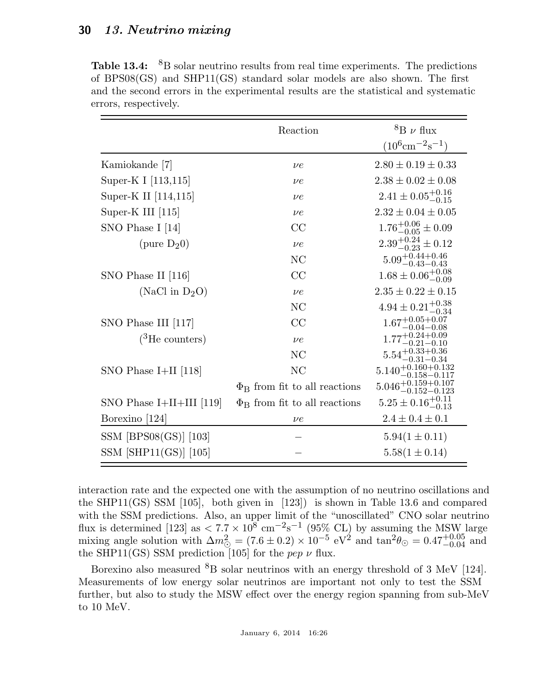**Table 13.4:**  ${}^{8}B$  solar neutrino results from real time experiments. The predictions of BPS08(GS) and SHP11(GS) standard solar models are also shown. The first and the second errors in the experimental results are the statistical and systematic errors, respectively.

|                            | Reaction                                 | ${}^{8}B \nu$ flux                    |
|----------------------------|------------------------------------------|---------------------------------------|
|                            |                                          | $(10^6 \text{cm}^{-2}\text{s}^{-1})$  |
| Kamiokande [7]             | $\nu e$                                  | $2.80 \pm 0.19 \pm 0.33$              |
| Super-K I [113,115]        | $\nu e$                                  | $2.38 \pm 0.02 \pm 0.08$              |
| Super-K II [114,115]       | $\nu e$                                  | $2.41 \pm 0.05_{-0.15}^{+0.16}$       |
| Super-K III [115]          | $\nu e$                                  | $2.32 \pm 0.04 \pm 0.05$              |
| SNO Phase I [14]           | CC                                       | $1.76^{+0.06}_{-0.05} \pm 0.09$       |
| (pure $D_2(0)$ )           | $\nu e$                                  | $2.39_{-0.23}^{+0.24} \pm 0.12$       |
|                            | NC                                       | $5.09_{-0.43-0.43}^{+0.44+0.46}$      |
| SNO Phase II [116]         | CC                                       | $1.68 \pm 0.06_{-0.09}^{+0.08}$       |
| (NaCl in $D_2O$ )          | $\nu e$                                  | $2.35 \pm 0.22 \pm 0.15$              |
|                            | NC                                       | $4.94 \pm 0.21_{-0.34}^{+0.38}$       |
| SNO Phase III [117]        | CC                                       | $1.67^{+0.05+0.07}_{-0.04-0.08}$      |
| $(^3$ He counters)         | $\nu e$                                  | $1.77^{+0.24+0.09}_{-0.21-0.10}$      |
|                            | NC                                       | $5.54_{-0.31-0.34}^{+0.33+0.36}$      |
| SNO Phase I+II $[118]$     | NC                                       | $5.140^{+0.160+0.132}_{-0.158-0.117}$ |
|                            | $\Phi_{\rm B}$ from fit to all reactions | $5.046_{-0.152-0.123}^{+0.159+0.107}$ |
| SNO Phase $I+II+III$ [119] | $\Phi_{\rm B}$ from fit to all reactions | $5.25 \pm 0.16_{-0.13}^{+0.11}$       |
| Borexino [124]             | $\nu e$                                  | $2.4 \pm 0.4 \pm 0.1$                 |
| $SSM$ [BPS08(GS)] [103]    |                                          | $5.94(1 \pm 0.11)$                    |
| $SSM$ [SHP11(GS)] [105]    |                                          | $5.58(1 \pm 0.14)$                    |

interaction rate and the expected one with the assumption of no neutrino oscillations and the SHP11(GS) SSM [105], both given in [123]) is shown in Table 13.6 and compared with the SSM predictions. Also, an upper limit of the "unoscillated" CNO solar neutrino flux is determined [123] as  $\langle 7.7 \times 10^8 \text{ cm}^{-2} \text{s}^{-1}$  (95% CL) by assuming the MSW large mixing angle solution with  $\Delta m_{\odot}^2 = (7.6 \pm 0.2) \times 10^{-5} \text{ eV}^2$  and  $\tan^2 \theta_{\odot} = 0.47_{-0.04}^{+0.05}$  and the SHP11(GS) SSM prediction [105] for the *pep v* flux.

Borexino also measured  ${}^{8}B$  solar neutrinos with an energy threshold of 3 MeV [124]. Measurements of low energy solar neutrinos are important not only to test the SSM further, but also to study the MSW effect over the energy region spanning from sub-MeV to 10 MeV.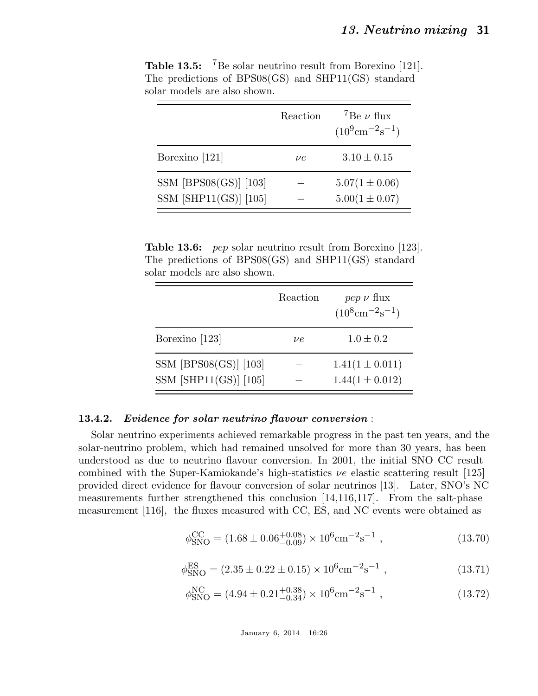|                                                    | Reaction | <sup>7</sup> Be $\nu$ flux<br>$(10^9 \text{cm}^{-2}\text{s}^{-1})$ |
|----------------------------------------------------|----------|--------------------------------------------------------------------|
| Borexino [121]                                     | $\nu e$  | $3.10 \pm 0.15$                                                    |
| $SSM$ [BPS08(GS)] [103]<br>$SSM$ [SHP11(GS)] [105] |          | $5.07(1 \pm 0.06)$<br>$5.00(1 \pm 0.07)$                           |

Table 13.5: <sup>7</sup>Be solar neutrino result from Borexino [121]. The predictions of BPS08(GS) and SHP11(GS) standard solar models are also shown.

Table 13.6: pep solar neutrino result from Borexino [123]. The predictions of BPS08(GS) and SHP11(GS) standard solar models are also shown.

|                         | Reaction | $pep \nu$ flux<br>$(10^8 \text{cm}^{-2}\text{s}^{-1})$ |
|-------------------------|----------|--------------------------------------------------------|
| Borexino [123]          | ve       | $1.0 \pm 0.2$                                          |
| $SSM$ [BPS08(GS)] [103] |          | $1.41(1 \pm 0.011)$                                    |
| $SSM$ [SHP11(GS)] [105] |          | $1.44(1 \pm 0.012)$                                    |

### 13.4.2. Evidence for solar neutrino flavour conversion :

Solar neutrino experiments achieved remarkable progress in the past ten years, and the solar-neutrino problem, which had remained unsolved for more than 30 years, has been understood as due to neutrino flavour conversion. In 2001, the initial SNO CC result combined with the Super-Kamiokande's high-statistics  $\nu e$  elastic scattering result [125] provided direct evidence for flavour conversion of solar neutrinos [13]. Later, SNO's NC measurements further strengthened this conclusion [14,116,117]. From the salt-phase measurement [116], the fluxes measured with CC, ES, and NC events were obtained as

$$
\phi_{\rm SNO}^{\rm CC} = (1.68 \pm 0.06^{+0.08}_{-0.09}) \times 10^6 \text{cm}^{-2} \text{s}^{-1} , \qquad (13.70)
$$

$$
\phi_{\rm SNO}^{\rm ES} = (2.35 \pm 0.22 \pm 0.15) \times 10^6 \text{cm}^{-2} \text{s}^{-1} , \qquad (13.71)
$$

$$
\phi_{\rm SNO}^{\rm NC} = (4.94 \pm 0.21^{+0.38}_{-0.34}) \times 10^6 \text{cm}^{-2} \text{s}^{-1} , \qquad (13.72)
$$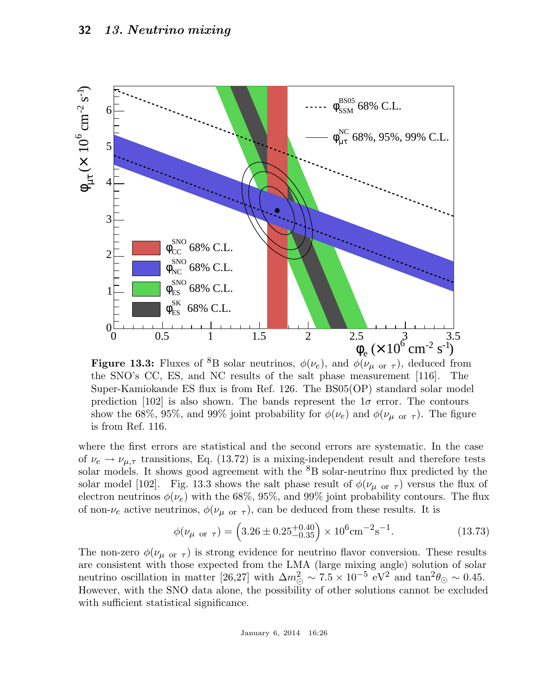

**Figure 13.3:** Fluxes of <sup>8</sup>B solar neutrinos,  $\phi(\nu_e)$ , and  $\phi(\nu_{\mu \text{ or } \tau})$ , deduced from the SNO's CC, ES, and NC results of the salt phase measurement [116]. The Super-Kamiokande ES flux is from Ref. 126. The BS05(OP) standard solar model prediction [102] is also shown. The bands represent the  $1\sigma$  error. The contours show the 68%, 95%, and 99% joint probability for  $\phi(\nu_e)$  and  $\phi(\nu_{\mu \text{ or } \tau})$ . The figure is from Ref. 116.

where the first errors are statistical and the second errors are systematic. In the case of  $\nu_e \rightarrow \nu_{\mu,\tau}$  transitions, Eq. (13.72) is a mixing-independent result and therefore tests solar models. It shows good agreement with the <sup>8</sup>B solar-neutrino flux predicted by the solar model [102]. Fig. 13.3 shows the salt phase result of  $\phi(\nu_{\mu \text{ or } \tau})$  versus the flux of electron neutrinos  $\phi(\nu_e)$  with the 68%, 95%, and 99% joint probability contours. The flux of non- $\nu_e$  active neutrinos,  $\phi(\nu_{\mu \text{ or } \tau})$ , can be deduced from these results. It is

$$
\phi(\nu_{\mu \text{ or } \tau}) = \left(3.26 \pm 0.25^{+0.40}_{-0.35}\right) \times 10^6 \text{cm}^{-2} \text{s}^{-1}.
$$
\n(13.73)

The non-zero  $\phi(\nu_{\mu \text{ or } \tau})$  is strong evidence for neutrino flavor conversion. These results are consistent with those expected from the LMA (large mixing angle) solution of solar neutrino oscillation in matter [26,27] with  $\Delta m_{\odot}^2 \sim 7.5 \times 10^{-5}$  eV<sup>2</sup> and  $\tan^2\theta_{\odot} \sim 0.45$ . However, with the SNO data alone, the possibility of other solutions cannot be excluded with sufficient statistical significance.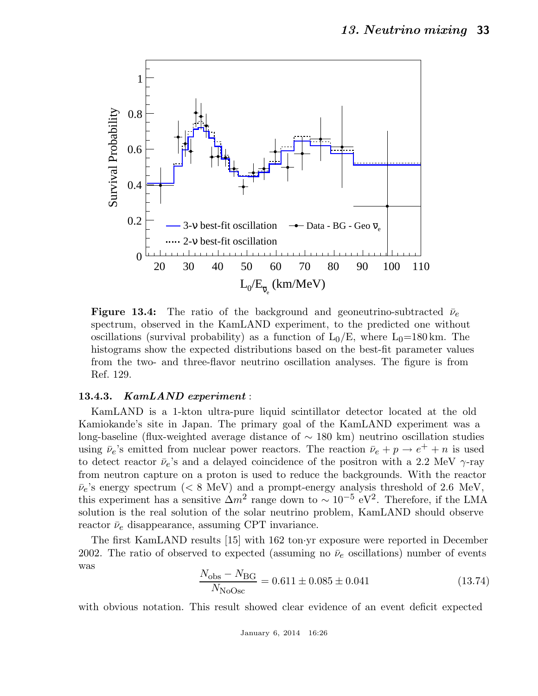

**Figure 13.4:** The ratio of the background and geoneutrino-subtracted  $\bar{\nu}_e$ spectrum, observed in the KamLAND experiment, to the predicted one without oscillations (survival probability) as a function of  $L_0/E$ , where  $L_0=180 \text{ km}$ . The histograms show the expected distributions based on the best-fit parameter values from the two- and three-flavor neutrino oscillation analyses. The figure is from Ref. 129.

#### 13.4.3. KamLAND experiment :

KamLAND is a 1-kton ultra-pure liquid scintillator detector located at the old Kamiokande's site in Japan. The primary goal of the KamLAND experiment was a long-baseline (flux-weighted average distance of ∼ 180 km) neutrino oscillation studies using  $\bar{\nu}_e$ 's emitted from nuclear power reactors. The reaction  $\bar{\nu}_e + p \rightarrow e^+ + n$  is used to detect reactor  $\bar{\nu}_e$ 's and a delayed coincidence of the positron with a 2.2 MeV  $\gamma$ -ray from neutron capture on a proton is used to reduce the backgrounds. With the reactor  $\bar{\nu}_e$ 's energy spectrum (< 8 MeV) and a prompt-energy analysis threshold of 2.6 MeV, this experiment has a sensitive  $\Delta m^2$  range down to ~ 10<sup>-5</sup> eV<sup>2</sup>. Therefore, if the LMA solution is the real solution of the solar neutrino problem, KamLAND should observe reactor  $\bar{\nu}_e$  disappearance, assuming CPT invariance.

The first KamLAND results [15] with 162 ton·yr exposure were reported in December 2002. The ratio of observed to expected (assuming no  $\bar{\nu}_e$  oscillations) number of events was

$$
\frac{N_{\rm obs} - N_{\rm BG}}{N_{\rm NoOsc}} = 0.611 \pm 0.085 \pm 0.041
$$
\n(13.74)

with obvious notation. This result showed clear evidence of an event deficit expected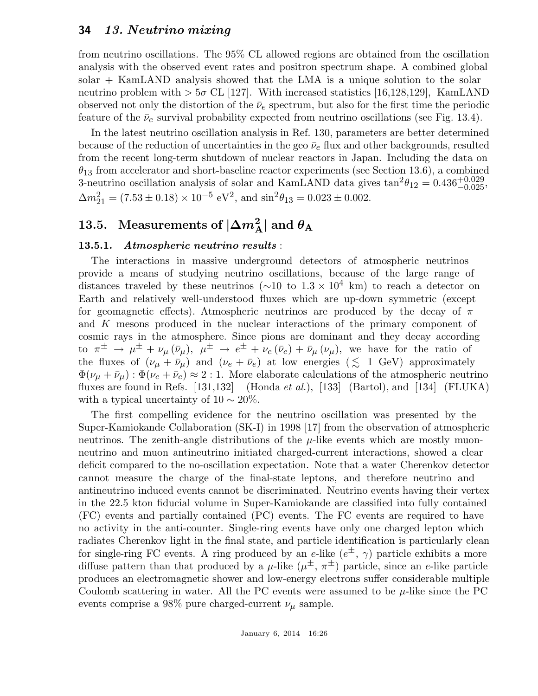from neutrino oscillations. The 95% CL allowed regions are obtained from the oscillation analysis with the observed event rates and positron spectrum shape. A combined global solar + KamLAND analysis showed that the LMA is a unique solution to the solar neutrino problem with  $> 5\sigma$  CL [127]. With increased statistics [16,128,129], KamLAND observed not only the distortion of the  $\bar{\nu}_e$  spectrum, but also for the first time the periodic feature of the  $\bar{\nu}_e$  survival probability expected from neutrino oscillations (see Fig. 13.4).

In the latest neutrino oscillation analysis in Ref. 130, parameters are better determined because of the reduction of uncertainties in the geo  $\bar{\nu}_e$  flux and other backgrounds, resulted from the recent long-term shutdown of nuclear reactors in Japan. Including the data on  $\theta_{13}$  from accelerator and short-baseline reactor experiments (see Section 13.6), a combined 3-neutrino oscillation analysis of solar and KamLAND data gives  $\tan^2\theta_{12} = 0.436^{+0.029}_{-0.025}$ ,  $\Delta m_{21}^2 = (7.53 \pm 0.18) \times 10^{-5} \text{ eV}^2$ , and  $\sin^2 \theta_{13} = 0.023 \pm 0.002$ .

# 13.5. Measurements of  $|\Delta m_{\rm A}^2|$  and  $\theta_{\rm A}$

### 13.5.1. Atmospheric neutrino results :

The interactions in massive underground detectors of atmospheric neutrinos provide a means of studying neutrino oscillations, because of the large range of distances traveled by these neutrinos ( $\sim$ 10 to 1.3 × 10<sup>4</sup> km) to reach a detector on Earth and relatively well-understood fluxes which are up-down symmetric (except for geomagnetic effects). Atmospheric neutrinos are produced by the decay of  $\pi$ and K mesons produced in the nuclear interactions of the primary component of cosmic rays in the atmosphere. Since pions are dominant and they decay according to  $\pi^{\pm} \rightarrow \mu^{\pm} + \nu_{\mu} (\bar{\nu}_{\mu}), \ \mu^{\pm} \rightarrow e^{\pm} + \nu_{e} (\bar{\nu}_{e}) + \bar{\nu}_{\mu} (\nu_{\mu}),$  we have for the ratio of the fluxes of  $(\nu_{\mu} + \bar{\nu}_{\mu})$  and  $(\nu_{e} + \bar{\nu}_{e})$  at low energies (  $\lesssim$  1 GeV) approximately  $\Phi(\nu_{\mu} + \bar{\nu}_{\mu}) : \Phi(\nu_{e} + \bar{\nu}_{e}) \approx 2 : 1$ . More elaborate calculations of the atmospheric neutrino fluxes are found in Refs. [131,132] (Honda *et al.*), [133] (Bartol), and [134] (FLUKA) with a typical uncertainty of  $10 \sim 20\%$ .

The first compelling evidence for the neutrino oscillation was presented by the Super-Kamiokande Collaboration (SK-I) in 1998 [17] from the observation of atmospheric neutrinos. The zenith-angle distributions of the  $\mu$ -like events which are mostly muonneutrino and muon antineutrino initiated charged-current interactions, showed a clear deficit compared to the no-oscillation expectation. Note that a water Cherenkov detector cannot measure the charge of the final-state leptons, and therefore neutrino and antineutrino induced events cannot be discriminated. Neutrino events having their vertex in the 22.5 kton fiducial volume in Super-Kamiokande are classified into fully contained (FC) events and partially contained (PC) events. The FC events are required to have no activity in the anti-counter. Single-ring events have only one charged lepton which radiates Cherenkov light in the final state, and particle identification is particularly clean for single-ring FC events. A ring produced by an e-like  $(e^{\pm}, \gamma)$  particle exhibits a more diffuse pattern than that produced by a  $\mu$ -like  $(\mu^{\pm}, \pi^{\pm})$  particle, since an e-like particle produces an electromagnetic shower and low-energy electrons suffer considerable multiple Coulomb scattering in water. All the PC events were assumed to be  $\mu$ -like since the PC events comprise a 98% pure charged-current  $\nu_{\mu}$  sample.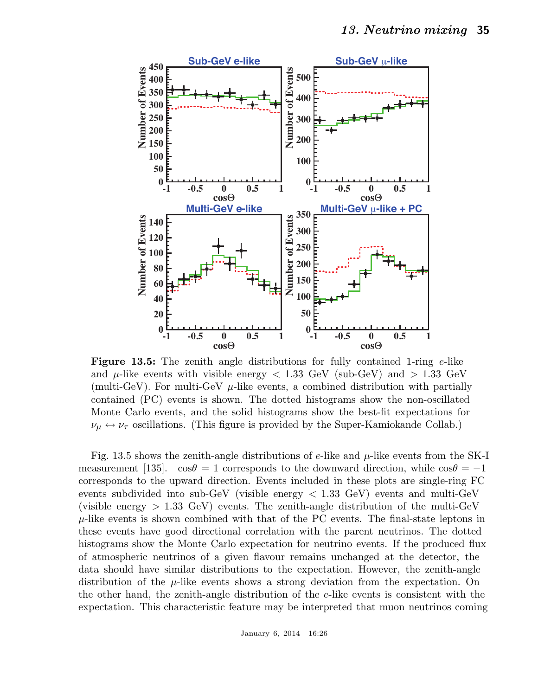

**Figure 13.5:** The zenith angle distributions for fully contained 1-ring  $e$ -like and  $\mu$ -like events with visible energy  $< 1.33$  GeV (sub-GeV) and  $> 1.33$  GeV (multi-GeV). For multi-GeV  $\mu$ -like events, a combined distribution with partially contained (PC) events is shown. The dotted histograms show the non-oscillated Monte Carlo events, and the solid histograms show the best-fit expectations for  $\nu_{\mu} \leftrightarrow \nu_{\tau}$  oscillations. (This figure is provided by the Super-Kamiokande Collab.)

Fig. 13.5 shows the zenith-angle distributions of e-like and  $\mu$ -like events from the SK-I measurement [135].  $\cos\theta = 1$  corresponds to the downward direction, while  $\cos\theta = -1$ corresponds to the upward direction. Events included in these plots are single-ring FC events subdivided into sub-GeV (visible energy  $\langle 1.33 \text{ GeV} \rangle$ ) events and multi-GeV (visible energy  $> 1.33$  GeV) events. The zenith-angle distribution of the multi-GeV  $\mu$ -like events is shown combined with that of the PC events. The final-state leptons in these events have good directional correlation with the parent neutrinos. The dotted histograms show the Monte Carlo expectation for neutrino events. If the produced flux of atmospheric neutrinos of a given flavour remains unchanged at the detector, the data should have similar distributions to the expectation. However, the zenith-angle distribution of the  $\mu$ -like events shows a strong deviation from the expectation. On the other hand, the zenith-angle distribution of the e-like events is consistent with the expectation. This characteristic feature may be interpreted that muon neutrinos coming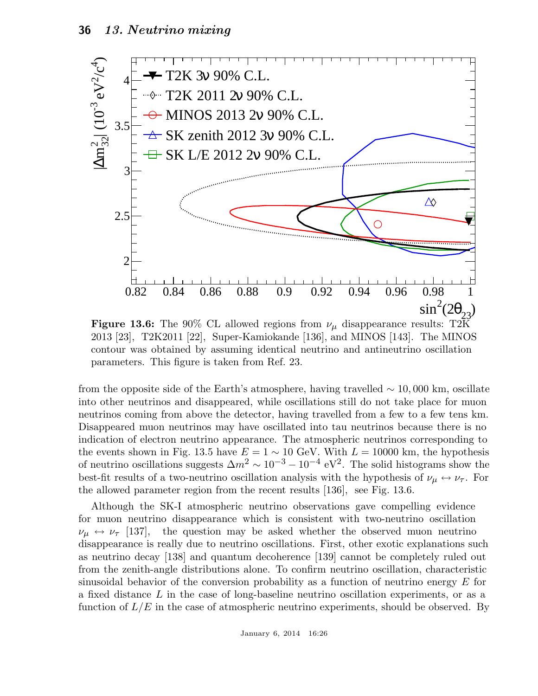

**Figure 13.6:** The 90% CL allowed regions from  $\nu_{\mu}$  disappearance results: T2K 2013 [23], T2K2011 [22], Super-Kamiokande [136], and MINOS [143]. The MINOS contour was obtained by assuming identical neutrino and antineutrino oscillation parameters. This figure is taken from Ref. 23.

from the opposite side of the Earth's atmosphere, having travelled  $\sim 10,000$  km, oscillate into other neutrinos and disappeared, while oscillations still do not take place for muon neutrinos coming from above the detector, having travelled from a few to a few tens km. Disappeared muon neutrinos may have oscillated into tau neutrinos because there is no indication of electron neutrino appearance. The atmospheric neutrinos corresponding to the events shown in Fig. 13.5 have  $E = 1 \sim 10$  GeV. With  $L = 10000$  km, the hypothesis of neutrino oscillations suggests  $\Delta m^2 \sim 10^{-3} - 10^{-4} \text{ eV}^2$ . The solid histograms show the best-fit results of a two-neutrino oscillation analysis with the hypothesis of  $\nu_\mu \leftrightarrow \nu_\tau$ . For the allowed parameter region from the recent results [136], see Fig. 13.6.

Although the SK-I atmospheric neutrino observations gave compelling evidence for muon neutrino disappearance which is consistent with two-neutrino oscillation  $\nu_{\mu} \leftrightarrow \nu_{\tau}$  [137], the question may be asked whether the observed muon neutrino disappearance is really due to neutrino oscillations. First, other exotic explanations such as neutrino decay [138] and quantum decoherence [139] cannot be completely ruled out from the zenith-angle distributions alone. To confirm neutrino oscillation, characteristic sinusoidal behavior of the conversion probability as a function of neutrino energy  $E$  for a fixed distance L in the case of long-baseline neutrino oscillation experiments, or as a function of  $L/E$  in the case of atmospheric neutrino experiments, should be observed. By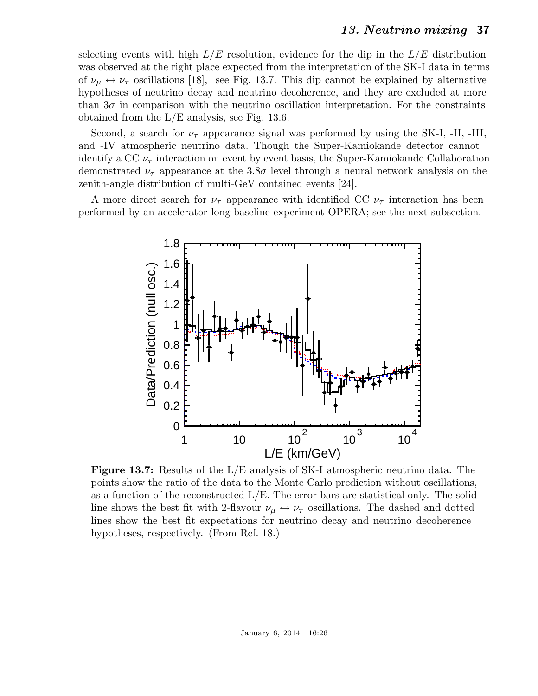selecting events with high  $L/E$  resolution, evidence for the dip in the  $L/E$  distribution was observed at the right place expected from the interpretation of the SK-I data in terms of  $\nu_{\mu} \leftrightarrow \nu_{\tau}$  oscillations [18], see Fig. 13.7. This dip cannot be explained by alternative hypotheses of neutrino decay and neutrino decoherence, and they are excluded at more than  $3\sigma$  in comparison with the neutrino oscillation interpretation. For the constraints obtained from the L/E analysis, see Fig. 13.6.

Second, a search for  $\nu_{\tau}$  appearance signal was performed by using the SK-I, -II, -III, and -IV atmospheric neutrino data. Though the Super-Kamiokande detector cannot identify a CC  $\nu_{\tau}$  interaction on event by event basis, the Super-Kamiokande Collaboration demonstrated  $\nu_{\tau}$  appearance at the 3.8 $\sigma$  level through a neural network analysis on the zenith-angle distribution of multi-GeV contained events [24].

A more direct search for  $\nu_{\tau}$  appearance with identified CC  $\nu_{\tau}$  interaction has been performed by an accelerator long baseline experiment OPERA; see the next subsection.



Figure 13.7: Results of the L/E analysis of SK-I atmospheric neutrino data. The points show the ratio of the data to the Monte Carlo prediction without oscillations, as a function of the reconstructed L/E. The error bars are statistical only. The solid line shows the best fit with 2-flavour  $\nu_{\mu} \leftrightarrow \nu_{\tau}$  oscillations. The dashed and dotted lines show the best fit expectations for neutrino decay and neutrino decoherence hypotheses, respectively. (From Ref. 18.)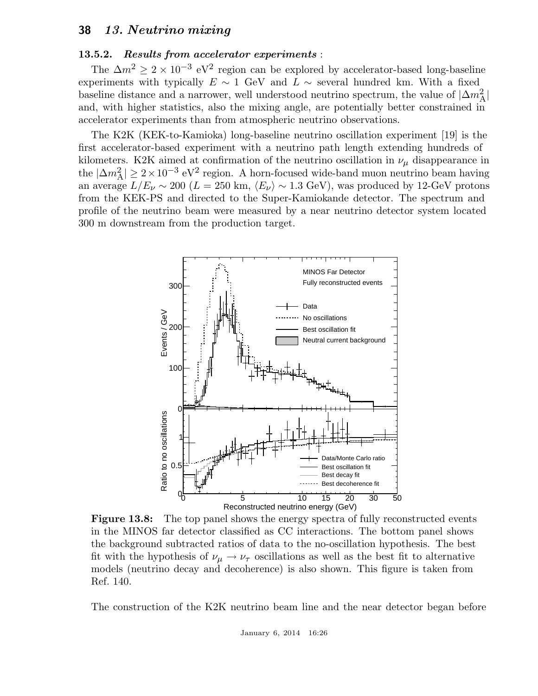### 13.5.2. Results from accelerator experiments :

The  $\Delta m^2 \geq 2 \times 10^{-3}$  eV<sup>2</sup> region can be explored by accelerator-based long-baseline experiments with typically  $E \sim 1$  GeV and  $L \sim$  several hundred km. With a fixed baseline distance and a narrower, well understood neutrino spectrum, the value of  $|\Delta m_{\rm A}^2|$ and, with higher statistics, also the mixing angle, are potentially better constrained in accelerator experiments than from atmospheric neutrino observations.

The K2K (KEK-to-Kamioka) long-baseline neutrino oscillation experiment [19] is the first accelerator-based experiment with a neutrino path length extending hundreds of kilometers. K2K aimed at confirmation of the neutrino oscillation in  $\nu_{\mu}$  disappearance in the  $|\Delta m_{\rm A}^2| \geq 2 \times 10^{-3}$  eV<sup>2</sup> region. A horn-focused wide-band muon neutrino beam having an average  $L/E_\nu \sim 200$  ( $L = 250$  km,  $\langle E_\nu \rangle \sim 1.3$  GeV), was produced by 12-GeV protons from the KEK-PS and directed to the Super-Kamiokande detector. The spectrum and profile of the neutrino beam were measured by a near neutrino detector system located 300 m downstream from the production target.



Figure 13.8: The top panel shows the energy spectra of fully reconstructed events in the MINOS far detector classified as CC interactions. The bottom panel shows the background subtracted ratios of data to the no-oscillation hypothesis. The best fit with the hypothesis of  $\nu_{\mu} \rightarrow \nu_{\tau}$  oscillations as well as the best fit to alternative models (neutrino decay and decoherence) is also shown. This figure is taken from Ref. 140.

The construction of the K2K neutrino beam line and the near detector began before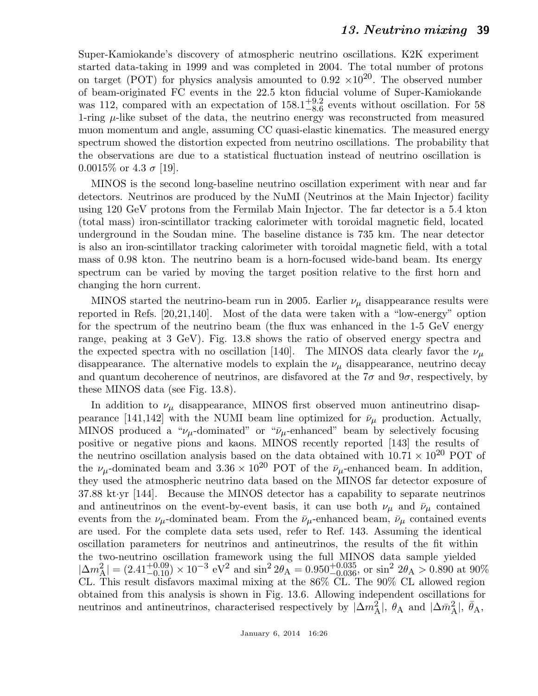Super-Kamiokande's discovery of atmospheric neutrino oscillations. K2K experiment started data-taking in 1999 and was completed in 2004. The total number of protons on target (POT) for physics analysis amounted to  $0.92 \times 10^{20}$ . The observed number of beam-originated FC events in the 22.5 kton fiducial volume of Super-Kamiokande was 112, compared with an expectation of  $158.1_{-8.6}^{+9.2}$  $^{+9.2}_{-8.6}$  events without oscillation. For 58 1-ring  $\mu$ -like subset of the data, the neutrino energy was reconstructed from measured muon momentum and angle, assuming CC quasi-elastic kinematics. The measured energy spectrum showed the distortion expected from neutrino oscillations. The probability that the observations are due to a statistical fluctuation instead of neutrino oscillation is 0.0015\% or 4.3  $\sigma$  [19].

MINOS is the second long-baseline neutrino oscillation experiment with near and far detectors. Neutrinos are produced by the NuMI (Neutrinos at the Main Injector) facility using 120 GeV protons from the Fermilab Main Injector. The far detector is a 5.4 kton (total mass) iron-scintillator tracking calorimeter with toroidal magnetic field, located underground in the Soudan mine. The baseline distance is 735 km. The near detector is also an iron-scintillator tracking calorimeter with toroidal magnetic field, with a total mass of 0.98 kton. The neutrino beam is a horn-focused wide-band beam. Its energy spectrum can be varied by moving the target position relative to the first horn and changing the horn current.

MINOS started the neutrino-beam run in 2005. Earlier  $\nu_{\mu}$  disappearance results were reported in Refs. [20,21,140]. Most of the data were taken with a "low-energy" option for the spectrum of the neutrino beam (the flux was enhanced in the 1-5 GeV energy range, peaking at 3 GeV). Fig. 13.8 shows the ratio of observed energy spectra and the expected spectra with no oscillation [140]. The MINOS data clearly favor the  $\nu_{\mu}$ disappearance. The alternative models to explain the  $\nu_{\mu}$  disappearance, neutrino decay and quantum decoherence of neutrinos, are disfavored at the  $7\sigma$  and  $9\sigma$ , respectively, by these MINOS data (see Fig. 13.8).

In addition to  $\nu_{\mu}$  disappearance, MINOS first observed muon antineutrino disappearance [141,142] with the NUMI beam line optimized for  $\bar{\nu}_{\mu}$  production. Actually, MINOS produced a " $\nu_{\mu}$ -dominated" or " $\bar{\nu}_{\mu}$ -enhanced" beam by selectively focusing positive or negative pions and kaons. MINOS recently reported [143] the results of the neutrino oscillation analysis based on the data obtained with  $10.71 \times 10^{20}$  POT of the  $\nu_{\mu}$ -dominated beam and 3.36 × 10<sup>20</sup> POT of the  $\bar{\nu}_{\mu}$ -enhanced beam. In addition, they used the atmospheric neutrino data based on the MINOS far detector exposure of 37.88 kt·yr [144]. Because the MINOS detector has a capability to separate neutrinos and antineutrinos on the event-by-event basis, it can use both  $\nu_{\mu}$  and  $\bar{\nu}_{\mu}$  contained events from the  $\nu_{\mu}$ -dominated beam. From the  $\bar{\nu}_{\mu}$ -enhanced beam,  $\bar{\nu}_{\mu}$  contained events are used. For the complete data sets used, refer to Ref. 143. Assuming the identical oscillation parameters for neutrinos and antineutrinos, the results of the fit within the two-neutrino oscillation framework using the full MINOS data sample yielded  $|\Delta m_{\rm A}^2| = (2.41^{+0.09}_{-0.10}) \times 10^{-3} \text{ eV}^2$  and  $\sin^2 2\theta_{\rm A} = 0.950^{+0.035}_{-0.036}$ , or  $\sin^2 2\theta_{\rm A} > 0.890$  at 90% CL. This result disfavors maximal mixing at the 86% CL. The 90% CL allowed region obtained from this analysis is shown in Fig. 13.6. Allowing independent oscillations for neutrinos and antineutrinos, characterised respectively by  $|\Delta m_A^2|$ ,  $\theta_A$  and  $|\Delta \bar{m}_A^2|$ ,  $\bar{\theta}_A$ ,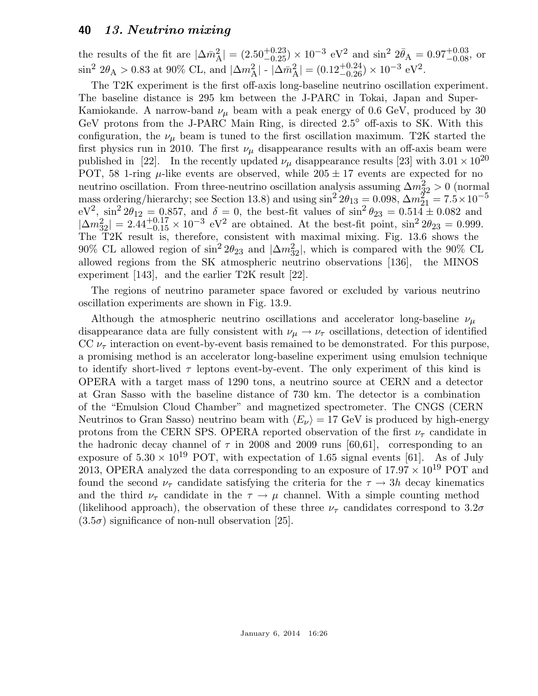the results of the fit are  $|\Delta \bar{m}_{\rm A}^2| = (2.50_{-0.25}^{+0.23}) \times 10^{-3} \text{ eV}^2$  and  $\sin^2 2\bar{\theta}_{\rm A} = 0.97_{-0.08}^{+0.03}$ , or  $\sin^2 2\theta_A > 0.83$  at 90% CL, and  $|\Delta m_A^2|$  -  $|\Delta \bar{m}_A^2| = (0.12^{+0.24}_{-0.26}) \times 10^{-3}$  eV<sup>2</sup>.

The T2K experiment is the first off-axis long-baseline neutrino oscillation experiment. The baseline distance is 295 km between the J-PARC in Tokai, Japan and Super-Kamiokande. A narrow-band  $\nu_{\mu}$  beam with a peak energy of 0.6 GeV, produced by 30 GeV protons from the J-PARC Main Ring, is directed  $2.5^{\circ}$  off-axis to SK. With this configuration, the  $\nu_{\mu}$  beam is tuned to the first oscillation maximum. T2K started the first physics run in 2010. The first  $\nu_{\mu}$  disappearance results with an off-axis beam were published in [22]. In the recently updated  $\nu_{\mu}$  disappearance results [23] with  $3.01 \times 10^{20}$ POT, 58 1-ring  $\mu$ -like events are observed, while 205  $\pm$  17 events are expected for no neutrino oscillation. From three-neutrino oscillation analysis assuming  $\Delta m_{32}^2 > 0$  (normal mass ordering/hierarchy; see Section 13.8) and using  $\sin^2 2\theta_{13} = 0.098$ ,  $\Delta m_{21}^{27} = 7.5 \times 10^{-5}$  $eV^2$ ,  $\sin^2 2\theta_{12} = 0.857$ , and  $\delta = 0$ , the best-fit values of  $\sin^2 \theta_{23} = 0.514 \pm 0.082$  and  $|\Delta m_{32}^2| = 2.44_{-0.15}^{+0.17} \times 10^{-3}$  eV<sup>2</sup> are obtained. At the best-fit point, sin<sup>2</sup> 2 $\theta_{23} = 0.999$ . The T2K result is, therefore, consistent with maximal mixing. Fig. 13.6 shows the 90% CL allowed region of  $\sin^2 2\theta_{23}$  and  $|\Delta m_{32}^2|$ , which is compared with the 90% CL allowed regions from the SK atmospheric neutrino observations [136], the MINOS experiment [143], and the earlier T2K result [22].

The regions of neutrino parameter space favored or excluded by various neutrino oscillation experiments are shown in Fig. 13.9.

Although the atmospheric neutrino oscillations and accelerator long-baseline  $\nu_{\mu}$ disappearance data are fully consistent with  $\nu_{\mu} \rightarrow \nu_{\tau}$  oscillations, detection of identified CC  $\nu_{\tau}$  interaction on event-by-event basis remained to be demonstrated. For this purpose, a promising method is an accelerator long-baseline experiment using emulsion technique to identify short-lived  $\tau$  leptons event-by-event. The only experiment of this kind is OPERA with a target mass of 1290 tons, a neutrino source at CERN and a detector at Gran Sasso with the baseline distance of 730 km. The detector is a combination of the "Emulsion Cloud Chamber" and magnetized spectrometer. The CNGS (CERN Neutrinos to Gran Sasso) neutrino beam with  $\langle E_{\nu} \rangle = 17$  GeV is produced by high-energy protons from the CERN SPS. OPERA reported observation of the first  $\nu_{\tau}$  candidate in the hadronic decay channel of  $\tau$  in 2008 and 2009 runs [60,61], corresponding to an exposure of  $5.30 \times 10^{19}$  POT, with expectation of 1.65 signal events [61]. As of July 2013, OPERA analyzed the data corresponding to an exposure of  $17.97 \times 10^{19}$  POT and found the second  $\nu_{\tau}$  candidate satisfying the criteria for the  $\tau \rightarrow 3h$  decay kinematics and the third  $\nu_{\tau}$  candidate in the  $\tau \rightarrow \mu$  channel. With a simple counting method (likelihood approach), the observation of these three  $\nu_{\tau}$  candidates correspond to  $3.2\sigma$  $(3.5\sigma)$  significance of non-null observation [25].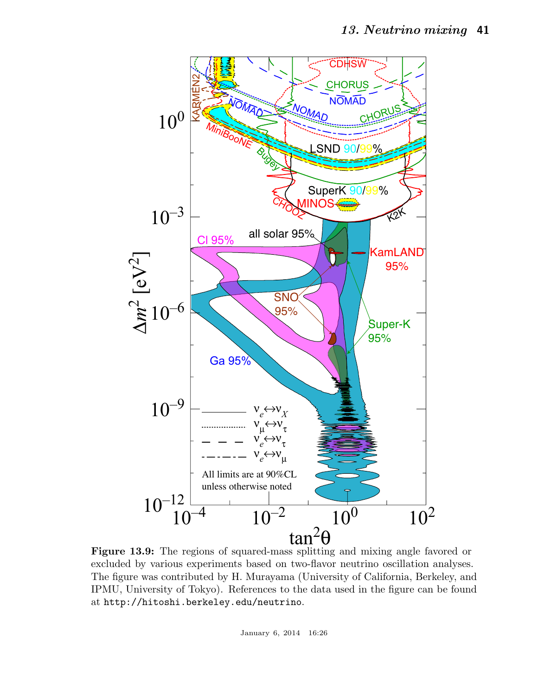

Figure 13.9: The regions of squared-mass splitting and mixing angle favored or excluded by various experiments based on two-flavor neutrino oscillation analyses. The figure was contributed by H. Murayama (University of California, Berkeley, and IPMU, University of Tokyo). References to the data used in the figure can be found at http://hitoshi.berkeley.edu/neutrino.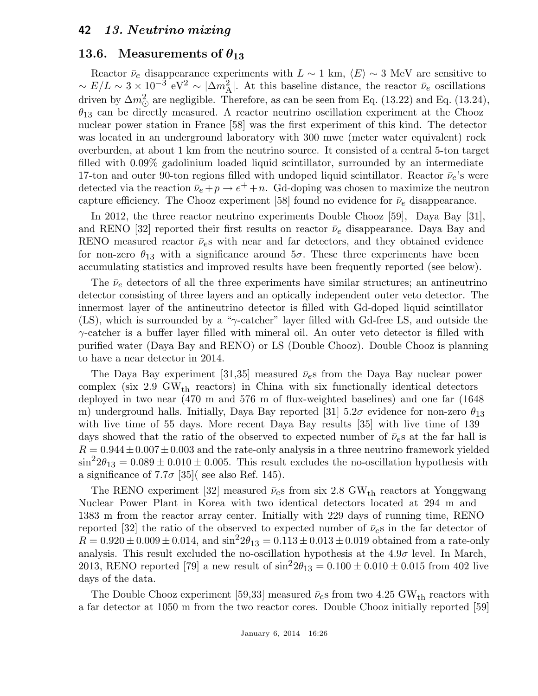### 13.6. Measurements of  $\theta_{13}$

Reactor  $\bar{\nu}_e$  disappearance experiments with  $L \sim 1$  km,  $\langle E \rangle \sim 3$  MeV are sensitive to  $\sim E/L \sim 3 \times 10^{-3}$  eV<sup>2</sup> ~  $|\Delta m_A^2|$ . At this baseline distance, the reactor  $\bar{\nu}_e$  oscillations driven by  $\Delta m_{\odot}^2$  are negligible. Therefore, as can be seen from Eq. (13.22) and Eq. (13.24),  $\theta_{13}$  can be directly measured. A reactor neutrino oscillation experiment at the Chooz nuclear power station in France [58] was the first experiment of this kind. The detector was located in an underground laboratory with 300 mwe (meter water equivalent) rock overburden, at about 1 km from the neutrino source. It consisted of a central 5-ton target filled with 0.09% gadolinium loaded liquid scintillator, surrounded by an intermediate 17-ton and outer 90-ton regions filled with undoped liquid scintillator. Reactor  $\bar{\nu}_e$ 's were detected via the reaction  $\bar{\nu}_e + p \rightarrow e^+ + n$ . Gd-doping was chosen to maximize the neutron capture efficiency. The Chooz experiment [58] found no evidence for  $\bar{\nu}_e$  disappearance.

In 2012, the three reactor neutrino experiments Double Chooz [59], Daya Bay [31], and RENO [32] reported their first results on reactor  $\bar{\nu}_e$  disappearance. Daya Bay and RENO measured reactor  $\bar{\nu}_e$ s with near and far detectors, and they obtained evidence for non-zero  $\theta_{13}$  with a significance around  $5\sigma$ . These three experiments have been accumulating statistics and improved results have been frequently reported (see below).

The  $\bar{\nu}_e$  detectors of all the three experiments have similar structures; an antineutrino detector consisting of three layers and an optically independent outer veto detector. The innermost layer of the antineutrino detector is filled with Gd-doped liquid scintillator (LS), which is surrounded by a " $\gamma$ -catcher" layer filled with Gd-free LS, and outside the γ-catcher is a buffer layer filled with mineral oil. An outer veto detector is filled with purified water (Daya Bay and RENO) or LS (Double Chooz). Double Chooz is planning to have a near detector in 2014.

The Daya Bay experiment [31,35] measured  $\bar{\nu}_e$ s from the Daya Bay nuclear power complex (six 2.9 GW<sub>th</sub> reactors) in China with six functionally identical detectors deployed in two near (470 m and 576 m of flux-weighted baselines) and one far (1648 m) underground halls. Initially, Daya Bay reported [31]  $5.2\sigma$  evidence for non-zero  $\theta_{13}$ with live time of 55 days. More recent Daya Bay results [35] with live time of 139 days showed that the ratio of the observed to expected number of  $\bar{\nu}_e$ s at the far hall is  $R = 0.944 \pm 0.007 \pm 0.003$  and the rate-only analysis in a three neutrino framework yielded  $\sin^2 2\theta_{13} = 0.089 \pm 0.010 \pm 0.005$ . This result excludes the no-oscillation hypothesis with a significance of 7.7 $\sigma$  [35]( see also Ref. 145).

The RENO experiment [32] measured  $\bar{\nu}_{e}$ s from six 2.8 GW<sub>th</sub> reactors at Yonggwang Nuclear Power Plant in Korea with two identical detectors located at 294 m and 1383 m from the reactor array center. Initially with 229 days of running time, RENO reported [32] the ratio of the observed to expected number of  $\bar{\nu}_e$ s in the far detector of  $R = 0.920 \pm 0.009 \pm 0.014$ , and  $\sin^2 2\theta_{13} = 0.113 \pm 0.013 \pm 0.019$  obtained from a rate-only analysis. This result excluded the no-oscillation hypothesis at the  $4.9\sigma$  level. In March, 2013, RENO reported [79] a new result of  $\sin^2 2\theta_{13} = 0.100 \pm 0.010 \pm 0.015$  from 402 live days of the data.

The Double Chooz experiment [59,33] measured  $\bar{\nu}_e$ s from two 4.25 GW<sub>th</sub> reactors with a far detector at 1050 m from the two reactor cores. Double Chooz initially reported [59]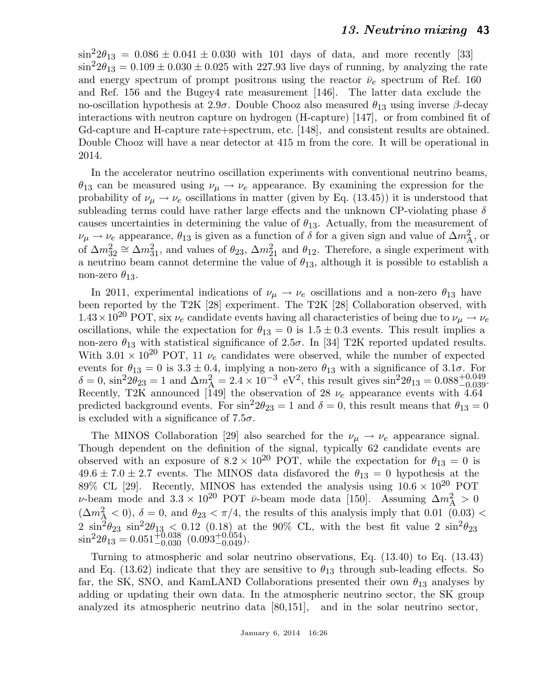$\sin^2 2\theta_{13} = 0.086 \pm 0.041 \pm 0.030$  with 101 days of data, and more recently [33]  $\sin^2 2\theta_{13} = 0.109 \pm 0.030 \pm 0.025$  with 227.93 live days of running, by analyzing the rate and energy spectrum of prompt positrons using the reactor  $\bar{\nu}_e$  spectrum of Ref. 160 and Ref. 156 and the Bugey4 rate measurement [146]. The latter data exclude the no-oscillation hypothesis at 2.9σ. Double Chooz also measured  $\theta_{13}$  using inverse β-decay interactions with neutron capture on hydrogen (H-capture) [147], or from combined fit of Gd-capture and H-capture rate+spectrum, etc. [148], and consistent results are obtained. Double Chooz will have a near detector at 415 m from the core. It will be operational in 2014.

In the accelerator neutrino oscillation experiments with conventional neutrino beams,  $\theta_{13}$  can be measured using  $\nu_\mu \rightarrow \nu_e$  appearance. By examining the expression for the probability of  $\nu_{\mu} \rightarrow \nu_{e}$  oscillations in matter (given by Eq. (13.45)) it is understood that subleading terms could have rather large effects and the unknown CP-violating phase  $\delta$ causes uncertainties in determining the value of  $\theta_{13}$ . Actually, from the measurement of  $\nu_{\mu} \rightarrow \nu_{e}$  appearance,  $\theta_{13}$  is given as a function of  $\delta$  for a given sign and value of  $\Delta m_{\rm A}^{2}$ , or of  $\Delta m_{32}^2 \cong \Delta m_{31}^2$ , and values of  $\theta_{23}$ ,  $\Delta m_{21}^2$  and  $\theta_{12}$ . Therefore, a single experiment with a neutrino beam cannot determine the value of  $\theta_{13}$ , although it is possible to establish a non-zero  $\theta_{13}$ .

In 2011, experimental indications of  $\nu_{\mu} \rightarrow \nu_{e}$  oscillations and a non-zero  $\theta_{13}$  have been reported by the T2K [28] experiment. The T2K [28] Collaboration observed, with  $1.43\times10^{20}$  POT, six  $\nu_e$  candidate events having all characteristics of being due to  $\nu_\mu \rightarrow \nu_e$ oscillations, while the expectation for  $\theta_{13} = 0$  is  $1.5 \pm 0.3$  events. This result implies a non-zero  $\theta_{13}$  with statistical significance of 2.5 $\sigma$ . In [34] T2K reported updated results. With  $3.01 \times 10^{20}$  POT, 11  $\nu_e$  candidates were observed, while the number of expected events for  $\theta_{13} = 0$  is  $3.3 \pm 0.4$ , implying a non-zero  $\theta_{13}$  with a significance of  $3.1\sigma$ . For  $\delta = 0$ ,  $\sin^2 2\theta_{23} = 1$  and  $\Delta m_A^2 = 2.4 \times 10^{-3}$  eV<sup>2</sup>, this result gives  $\sin^2 2\theta_{13} = 0.088^{+0.049}_{-0.039}$ . Recently, T2K announced [149] the observation of 28  $\nu_e$  appearance events with 4.64 predicted background events. For  $\sin^2 2\theta_{23} = 1$  and  $\delta = 0$ , this result means that  $\theta_{13} = 0$ is excluded with a significance of  $7.5\sigma$ .

The MINOS Collaboration [29] also searched for the  $\nu_{\mu} \rightarrow \nu_{e}$  appearance signal. Though dependent on the definition of the signal, typically 62 candidate events are observed with an exposure of  $8.2 \times 10^{20}$  POT, while the expectation for  $\theta_{13} = 0$  is  $49.6 \pm 7.0 \pm 2.7$  events. The MINOS data disfavored the  $\theta_{13} = 0$  hypothesis at the 89% CL [29]. Recently, MINOS has extended the analysis using  $10.6 \times 10^{20}$  POT v-beam mode and  $3.3 \times 10^{20}$  POT  $\bar{\nu}$ -beam mode data [150]. Assuming  $\Delta m_A^2 > 0$  $(\Delta m_{\rm A}^2 < 0)$ ,  $\delta = 0$ , and  $\theta_{23} < \pi/4$ , the results of this analysis imply that 0.01 (0.03) < 2  $\sin^2\theta_{23}$   $\sin^2\theta_{13}$  < 0.12 (0.18) at the 90% CL, with the best fit value 2  $\sin^2\theta_{23}$  $\sin^2 2\theta_{13} = 0.051 \overline{+0.038}$   $(0.093 \overline{+0.054})$ .

Turning to atmospheric and solar neutrino observations, Eq. (13.40) to Eq. (13.43) and Eq. (13.62) indicate that they are sensitive to  $\theta_{13}$  through sub-leading effects. So far, the SK, SNO, and KamLAND Collaborations presented their own  $\theta_{13}$  analyses by adding or updating their own data. In the atmospheric neutrino sector, the SK group analyzed its atmospheric neutrino data [80,151], and in the solar neutrino sector,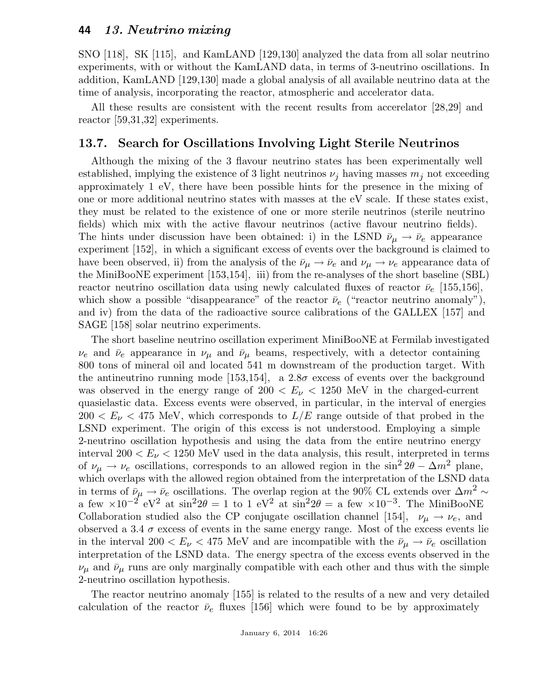SNO [118], SK [115], and KamLAND [129,130] analyzed the data from all solar neutrino experiments, with or without the KamLAND data, in terms of 3-neutrino oscillations. In addition, KamLAND [129,130] made a global analysis of all available neutrino data at the time of analysis, incorporating the reactor, atmospheric and accelerator data.

All these results are consistent with the recent results from accerelator [28,29] and reactor [59,31,32] experiments.

### 13.7. Search for Oscillations Involving Light Sterile Neutrinos

Although the mixing of the 3 flavour neutrino states has been experimentally well established, implying the existence of 3 light neutrinos  $\nu_i$  having masses  $m_i$  not exceeding approximately 1 eV, there have been possible hints for the presence in the mixing of one or more additional neutrino states with masses at the eV scale. If these states exist, they must be related to the existence of one or more sterile neutrinos (sterile neutrino fields) which mix with the active flavour neutrinos (active flavour neutrino fields). The hints under discussion have been obtained: i) in the LSND  $\bar{\nu}_{\mu} \rightarrow \bar{\nu}_{e}$  appearance experiment [152], in which a significant excess of events over the background is claimed to have been observed, ii) from the analysis of the  $\bar{\nu}_{\mu} \to \bar{\nu}_{e}$  and  $\nu_{\mu} \to \nu_{e}$  appearance data of the MiniBooNE experiment [153,154], iii) from the re-analyses of the short baseline (SBL) reactor neutrino oscillation data using newly calculated fluxes of reactor  $\bar{\nu}_e$  [155,156], which show a possible "disappearance" of the reactor  $\bar{\nu}_e$  ("reactor neutrino anomaly"), and iv) from the data of the radioactive source calibrations of the GALLEX [157] and SAGE [158] solar neutrino experiments.

The short baseline neutrino oscillation experiment MiniBooNE at Fermilab investigated  $\nu_e$  and  $\bar{\nu}_e$  appearance in  $\nu_\mu$  and  $\bar{\nu}_\mu$  beams, respectively, with a detector containing 800 tons of mineral oil and located 541 m downstream of the production target. With the antineutrino running mode [153,154], a 2.8 $\sigma$  excess of events over the background was observed in the energy range of  $200 < E_{\nu} < 1250$  MeV in the charged-current quasielastic data. Excess events were observed, in particular, in the interval of energies  $200 < E_{\nu} < 475$  MeV, which corresponds to  $L/E$  range outside of that probed in the LSND experiment. The origin of this excess is not understood. Employing a simple 2-neutrino oscillation hypothesis and using the data from the entire neutrino energy interval  $200 < E_{\nu} < 1250$  MeV used in the data analysis, this result, interpreted in terms of  $\nu_{\mu} \rightarrow \nu_{e}$  oscillations, corresponds to an allowed region in the sin<sup>2</sup> 2θ –  $\Delta m^2$  plane, which overlaps with the allowed region obtained from the interpretation of the LSND data in terms of  $\bar{\nu}_{\mu} \to \bar{\nu}_{e}$  oscillations. The overlap region at the 90% CL extends over  $\Delta m^2 \sim$ a few  $\times 10^{-2}$  eV<sup>2</sup> at sin<sup>2</sup>2θ = 1 to 1 eV<sup>2</sup> at sin<sup>2</sup>2θ = a few  $\times 10^{-3}$ . The MiniBooNE Collaboration studied also the CP conjugate oscillation channel [154],  $\nu_{\mu} \rightarrow \nu_{e}$ , and observed a 3.4  $\sigma$  excess of events in the same energy range. Most of the excess events lie in the interval 200  $\lt E_\nu \lt 475$  MeV and are incompatible with the  $\bar{\nu}_\mu \to \bar{\nu}_e$  oscillation interpretation of the LSND data. The energy spectra of the excess events observed in the  $\nu_{\mu}$  and  $\bar{\nu}_{\mu}$  runs are only marginally compatible with each other and thus with the simple 2-neutrino oscillation hypothesis.

The reactor neutrino anomaly [155] is related to the results of a new and very detailed calculation of the reactor  $\bar{\nu}_e$  fluxes [156] which were found to be by approximately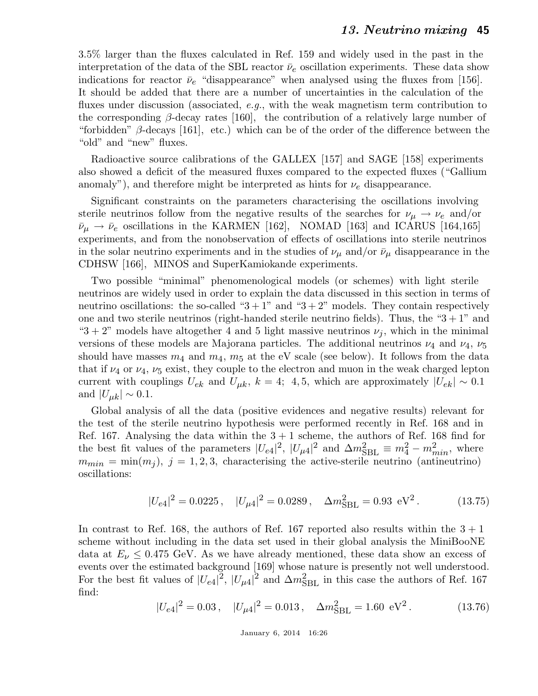3.5% larger than the fluxes calculated in Ref. 159 and widely used in the past in the interpretation of the data of the SBL reactor  $\bar{\nu}_e$  oscillation experiments. These data show indications for reactor  $\bar{\nu}_e$  "disappearance" when analysed using the fluxes from [156]. It should be added that there are a number of uncertainties in the calculation of the fluxes under discussion (associated, e.g., with the weak magnetism term contribution to the corresponding  $\beta$ -decay rates [160], the contribution of a relatively large number of "forbidden"  $\beta$ -decays [161], etc.) which can be of the order of the difference between the "old" and "new" fluxes.

Radioactive source calibrations of the GALLEX [157] and SAGE [158] experiments also showed a deficit of the measured fluxes compared to the expected fluxes ("Gallium anomaly"), and therefore might be interpreted as hints for  $\nu_e$  disappearance.

Significant constraints on the parameters characterising the oscillations involving sterile neutrinos follow from the negative results of the searches for  $\nu_{\mu} \rightarrow \nu_{e}$  and/or  $\bar{\nu}_{\mu} \rightarrow \bar{\nu}_{e}$  oscillations in the KARMEN [162], NOMAD [163] and ICARUS [164,165] experiments, and from the nonobservation of effects of oscillations into sterile neutrinos in the solar neutrino experiments and in the studies of  $\nu_{\mu}$  and/or  $\bar{\nu}_{\mu}$  disappearance in the CDHSW [166], MINOS and SuperKamiokande experiments.

Two possible "minimal" phenomenological models (or schemes) with light sterile neutrinos are widely used in order to explain the data discussed in this section in terms of neutrino oscillations: the so-called " $3+1$ " and " $3+2$ " models. They contain respectively one and two sterile neutrinos (right-handed sterile neutrino fields). Thus, the " $3 + 1$ " and "3 + 2" models have altogether 4 and 5 light massive neutrinos  $\nu_j$ , which in the minimal versions of these models are Majorana particles. The additional neutrinos  $\nu_4$  and  $\nu_4$ ,  $\nu_5$ should have masses  $m_4$  and  $m_4$ ,  $m_5$  at the eV scale (see below). It follows from the data that if  $\nu_4$  or  $\nu_4$ ,  $\nu_5$  exist, they couple to the electron and muon in the weak charged lepton current with couplings  $U_{ek}$  and  $U_{\mu k}$ ,  $k = 4$ ; 4, 5, which are approximately  $|U_{ek}| \sim 0.1$ and  $|U_{\mu k}| \sim 0.1$ .

Global analysis of all the data (positive evidences and negative results) relevant for the test of the sterile neutrino hypothesis were performed recently in Ref. 168 and in Ref. 167. Analysing the data within the  $3 + 1$  scheme, the authors of Ref. 168 find for the best fit values of the parameters  $|U_{e4}|^2$ ,  $|U_{\mu 4}|^2$  and  $\Delta m_{\text{SBL}}^2 \equiv m_4^2 - m_{min}^2$ , where  $m_{min} = \min(m_j)$ ,  $j = 1, 2, 3$ , characterising the active-sterile neutrino (antineutrino) oscillations:

$$
|U_{e4}|^2 = 0.0225 \,, \quad |U_{\mu 4}|^2 = 0.0289 \,, \quad \Delta m_{\rm SBL}^2 = 0.93 \text{ eV}^2 \,. \tag{13.75}
$$

In contrast to Ref. 168, the authors of Ref. 167 reported also results within the  $3 + 1$ scheme without including in the data set used in their global analysis the MiniBooNE data at  $E_\nu \leq 0.475$  GeV. As we have already mentioned, these data show an excess of events over the estimated background [169] whose nature is presently not well understood. For the best fit values of  $|U_{e4}|^2$ ,  $|U_{\mu 4}|^2$  and  $\Delta m_{\rm SBL}^2$  in this case the authors of Ref. 167 find:

$$
|U_{e4}|^2 = 0.03\,, \quad |U_{\mu 4}|^2 = 0.013\,, \quad \Delta m_{\rm SBL}^2 = 1.60 \text{ eV}^2\,. \tag{13.76}
$$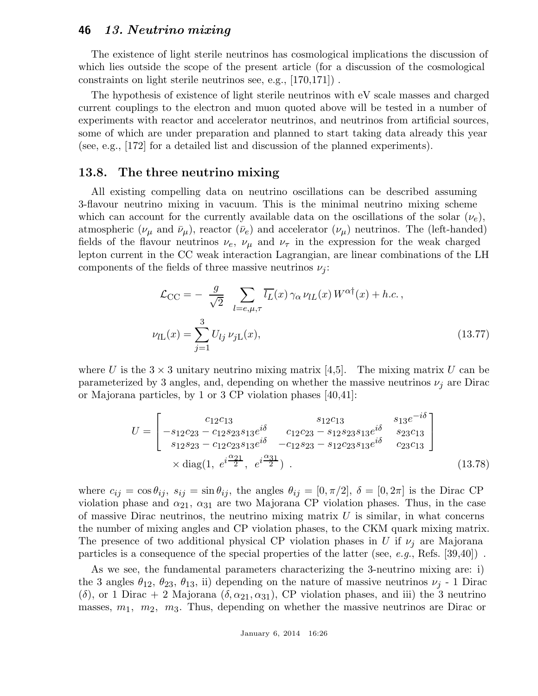The existence of light sterile neutrinos has cosmological implications the discussion of which lies outside the scope of the present article (for a discussion of the cosmological constraints on light sterile neutrinos see, e.g., [170,171]) .

The hypothesis of existence of light sterile neutrinos with eV scale masses and charged current couplings to the electron and muon quoted above will be tested in a number of experiments with reactor and accelerator neutrinos, and neutrinos from artificial sources, some of which are under preparation and planned to start taking data already this year (see, e.g., [172] for a detailed list and discussion of the planned experiments).

### 13.8. The three neutrino mixing

All existing compelling data on neutrino oscillations can be described assuming 3-flavour neutrino mixing in vacuum. This is the minimal neutrino mixing scheme which can account for the currently available data on the oscillations of the solar  $(\nu_e)$ , atmospheric ( $\nu_{\mu}$  and  $\bar{\nu}_{\mu}$ ), reactor ( $\bar{\nu}_{e}$ ) and accelerator ( $\nu_{\mu}$ ) neutrinos. The (left-handed) fields of the flavour neutrinos  $\nu_e$ ,  $\nu_\mu$  and  $\nu_\tau$  in the expression for the weak charged lepton current in the CC weak interaction Lagrangian, are linear combinations of the LH components of the fields of three massive neutrinos  $\nu_j$ :

$$
\mathcal{L}_{\text{CC}} = -\frac{g}{\sqrt{2}} \sum_{l=e,\mu,\tau} \overline{l_L}(x) \gamma_\alpha \nu_{lL}(x) W^{\alpha\dagger}(x) + h.c.,
$$
  

$$
\nu_{lL}(x) = \sum_{j=1}^3 U_{lj} \nu_{jL}(x),
$$
 (13.77)

where U is the  $3 \times 3$  unitary neutrino mixing matrix [4,5]. The mixing matrix U can be parameterized by 3 angles, and, depending on whether the massive neutrinos  $\nu_i$  are Dirac or Majorana particles, by 1 or 3 CP violation phases [40,41]:

$$
U = \begin{bmatrix} c_{12}c_{13} & s_{12}c_{13} & s_{13}e^{-i\delta} \\ -s_{12}c_{23} - c_{12}s_{23}s_{13}e^{i\delta} & c_{12}c_{23} - s_{12}s_{23}s_{13}e^{i\delta} & s_{23}c_{13} \\ s_{12}s_{23} - c_{12}c_{23}s_{13}e^{i\delta} & -c_{12}s_{23} - s_{12}c_{23}s_{13}e^{i\delta} & c_{23}c_{13} \\ \times \text{diag}(1, e^{i\frac{\alpha_{21}}{2}}, e^{i\frac{\alpha_{31}}{2}}). \end{bmatrix}
$$
(13.78)

where  $c_{ij} = \cos \theta_{ij}$ ,  $s_{ij} = \sin \theta_{ij}$ , the angles  $\theta_{ij} = [0, \pi/2], \delta = [0, 2\pi]$  is the Dirac CP violation phase and  $\alpha_{21}$ ,  $\alpha_{31}$  are two Majorana CP violation phases. Thus, in the case of massive Dirac neutrinos, the neutrino mixing matrix  $U$  is similar, in what concerns the number of mixing angles and CP violation phases, to the CKM quark mixing matrix. The presence of two additional physical CP violation phases in U if  $\nu_i$  are Majorana particles is a consequence of the special properties of the latter (see, e.g., Refs.  $[39,40]$ ).

As we see, the fundamental parameters characterizing the 3-neutrino mixing are: i) the 3 angles  $\theta_{12}$ ,  $\theta_{23}$ ,  $\theta_{13}$ , ii) depending on the nature of massive neutrinos  $\nu_j$  - 1 Dirac (δ), or 1 Dirac + 2 Majorana  $(\delta, \alpha_{21}, \alpha_{31})$ , CP violation phases, and iii) the 3 neutrino masses,  $m_1$ ,  $m_2$ ,  $m_3$ . Thus, depending on whether the massive neutrinos are Dirac or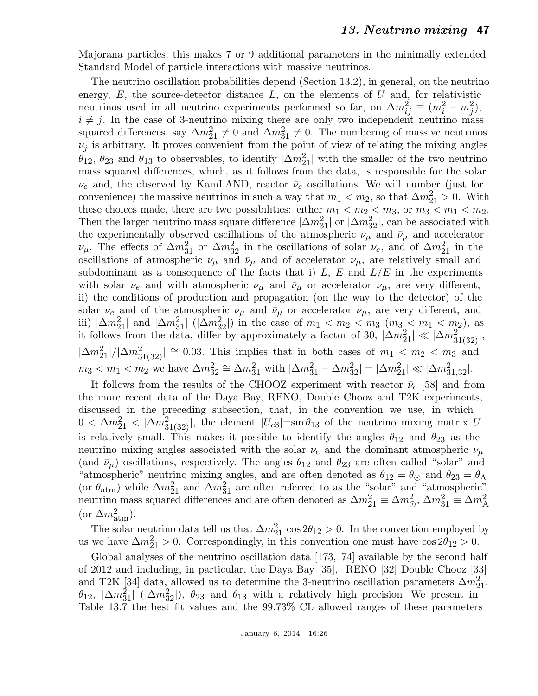Majorana particles, this makes 7 or 9 additional parameters in the minimally extended Standard Model of particle interactions with massive neutrinos.

The neutrino oscillation probabilities depend (Section 13.2), in general, on the neutrino energy,  $E$ , the source-detector distance  $L$ , on the elements of  $U$  and, for relativistic neutrinos used in all neutrino experiments performed so far, on  $\Delta m_{ij}^2 \equiv (m_i^2 - m_j^2)$ ,  $i \neq j$ . In the case of 3-neutrino mixing there are only two independent neutrino mass squared differences, say  $\Delta m_{21}^2 \neq 0$  and  $\Delta m_{31}^2 \neq 0$ . The numbering of massive neutrinos  $\nu_j$  is arbitrary. It proves convenient from the point of view of relating the mixing angles  $\theta_{12}$ ,  $\theta_{23}$  and  $\theta_{13}$  to observables, to identify  $|\Delta m_{21}^2|$  with the smaller of the two neutrino mass squared differences, which, as it follows from the data, is responsible for the solar  $\nu_e$  and, the observed by KamLAND, reactor  $\bar{\nu}_e$  oscillations. We will number (just for convenience) the massive neutrinos in such a way that  $m_1 < m_2$ , so that  $\Delta m_{21}^2 > 0$ . With these choices made, there are two possibilities: either  $m_1 < m_2 < m_3$ , or  $m_3 < m_1 < m_2$ . Then the larger neutrino mass square difference  $|\Delta m_{31}^2|$  or  $|\Delta m_{32}^2|$ , can be associated with the experimentally observed oscillations of the atmospheric  $\nu_{\mu}$  and  $\bar{\nu}_{\mu}$  and accelerator  $\nu_\mu$ . The effects of  $\Delta m_{31}^2$  or  $\Delta m_{32}^2$  in the oscillations of solar  $\nu_e$ , and of  $\Delta m_{21}^2$  in the oscillations of atmospheric  $\nu_{\mu}$  and  $\bar{\nu}_{\mu}$  and of accelerator  $\nu_{\mu}$ , are relatively small and subdominant as a consequence of the facts that i)  $L, E$  and  $L/E$  in the experiments with solar  $\nu_e$  and with atmospheric  $\nu_\mu$  and  $\bar{\nu}_\mu$  or accelerator  $\nu_\mu$ , are very different, ii) the conditions of production and propagation (on the way to the detector) of the solar  $\nu_e$  and of the atmospheric  $\nu_\mu$  and  $\bar{\nu}_\mu$  or accelerator  $\nu_\mu$ , are very different, and iii)  $|\Delta m_{21}^2|$  and  $|\Delta m_{31}^2|$  ( $|\Delta m_{32}^2|$ ) in the case of  $m_1 < m_2 < m_3$  ( $m_3 < m_1 < m_2$ ), as it follows from the data, differ by approximately a factor of 30,  $|\Delta m_{21}^2| \ll |\Delta m_{31(32)}^2|$ ,  $|\Delta m_{21}^2|/|\Delta m_{31(32)}^2| \cong 0.03$ . This implies that in both cases of  $m_1 < m_2 < m_3$  and  $m_3 < m_1 < m_2$  we have  $\Delta m_{32}^2 \cong \Delta m_{31}^2$  with  $|\Delta m_{31}^2 - \Delta m_{32}^2| = |\Delta m_{21}^2| \ll |\Delta m_{31,32}^2|$ .

It follows from the results of the CHOOZ experiment with reactor  $\bar{\nu}_e$  [58] and from the more recent data of the Daya Bay, RENO, Double Chooz and T2K experiments, discussed in the preceding subsection, that, in the convention we use, in which  $0 < \Delta m_{21}^2 < |\Delta m_{31(32)}^2|$ , the element  $|U_{e3}| = \sin \theta_{13}$  of the neutrino mixing matrix U is relatively small. This makes it possible to identify the angles  $\theta_{12}$  and  $\theta_{23}$  as the neutrino mixing angles associated with the solar  $\nu_e$  and the dominant atmospheric  $\nu_\mu$ (and  $\bar{\nu}_{\mu}$ ) oscillations, respectively. The angles  $\theta_{12}$  and  $\theta_{23}$  are often called "solar" and "atmospheric" neutrino mixing angles, and are often denoted as  $\theta_{12} = \theta_{\odot}$  and  $\theta_{23} = \theta_{\rm A}$ (or  $\theta_{\text{atm}}$ ) while  $\Delta m_{21}^2$  and  $\Delta m_{31}^2$  are often referred to as the "solar" and "atmospheric" neutrino mass squared differences and are often denoted as  $\Delta m_{21}^2 \equiv \Delta m_{\odot}^2$ ,  $\Delta m_{31}^2 \equiv \Delta m_{\rm A}^2$ (or  $\Delta m_{\text{atm}}^2$ ).

The solar neutrino data tell us that  $\Delta m_{21}^2 \cos 2\theta_{12} > 0$ . In the convention employed by us we have  $\Delta m_{21}^2 > 0$ . Correspondingly, in this convention one must have  $\cos 2\theta_{12} > 0$ .

Global analyses of the neutrino oscillation data [173,174] available by the second half of 2012 and including, in particular, the Daya Bay [35], RENO [32] Double Chooz [33] and T2K [34] data, allowed us to determine the 3-neutrino oscillation parameters  $\Delta m_{21}^2$ ,  $\theta_{12}$ ,  $|\Delta m_{31}^2|$  ( $|\Delta m_{32}^2|$ ),  $\theta_{23}$  and  $\theta_{13}$  with a relatively high precision. We present in Table 13.7 the best fit values and the 99.73% CL allowed ranges of these parameters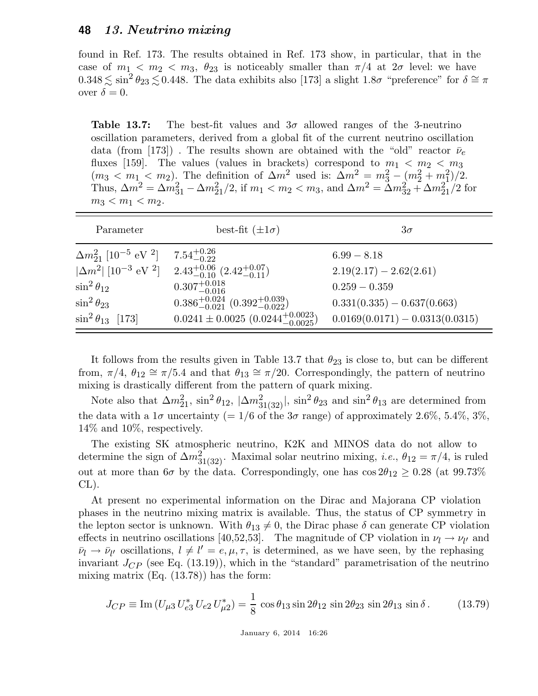found in Ref. 173. The results obtained in Ref. 173 show, in particular, that in the case of  $m_1 < m_2 < m_3$ ,  $\theta_{23}$  is noticeably smaller than  $\pi/4$  at  $2\sigma$  level: we have  $0.348 \lesssim \sin^2 \theta_{23} \lesssim 0.448$ . The data exhibits also [173] a slight 1.8 $\sigma$  "preference" for  $\delta \cong \pi$ over  $\delta = 0$ .

**Table 13.7:** The best-fit values and  $3\sigma$  allowed ranges of the 3-neutrino oscillation parameters, derived from a global fit of the current neutrino oscillation data (from [173]). The results shown are obtained with the "old" reactor  $\bar{\nu}_e$ fluxes [159]. The values (values in brackets) correspond to  $m_1 < m_2 < m_3$  $(m_3 < m_1 < m_2)$ . The definition of  $\Delta m^2$  used is:  $\Delta m^2 = m_3^2 - (m_2^2 + m_1^2)/2$ . Thus,  $\Delta m^2 = \Delta m_{31}^2 - \Delta m_{21}^2/2$ , if  $m_1 < m_2 < m_3$ , and  $\Delta m^2 = \Delta m_{32}^2 + \Delta m_{21}^2/2$  for  $m_3 < m_1 < m_2$ .

| Parameter                                             | best-fit $(\pm 1\sigma)$                              | $3\sigma$                         |
|-------------------------------------------------------|-------------------------------------------------------|-----------------------------------|
| $\Delta m_{21}^2$ [10 <sup>-5</sup> eV <sup>2</sup> ] | $7.54_{-0.22}^{+0.26}$                                | $6.99 - 8.18$                     |
| $ \Delta m^2 $ [10 <sup>-3</sup> eV <sup>2</sup> ]    | $2.43^{+0.06}_{-0.10}$ $(2.42^{+0.07}_{-0.11})$       | $2.19(2.17) - 2.62(2.61)$         |
| $\sin^2\theta_{12}$                                   | $0.307^{+0.018}_{-0.016}$                             | $0.259 - 0.359$                   |
| $\sin^2 \theta_{23}$                                  | $0.386^{+0.024}_{-0.021}$ $(0.392^{+0.039}_{-0.022})$ | $0.331(0.335) - 0.637(0.663)$     |
| $\sin^2 \theta_{13}$ [173]                            | $0.0241 \pm 0.0025 \ (0.0244^{+0.0023}_{-0.0025})$    | $0.0169(0.0171) - 0.0313(0.0315)$ |

It follows from the results given in Table 13.7 that  $\theta_{23}$  is close to, but can be different from,  $\pi/4$ ,  $\theta_{12} \cong \pi/5.4$  and that  $\theta_{13} \cong \pi/20$ . Correspondingly, the pattern of neutrino mixing is drastically different from the pattern of quark mixing.

Note also that  $\Delta m_{21}^2$ ,  $\sin^2 \theta_{12}$ ,  $|\Delta m_{31(32)}^2|$ ,  $\sin^2 \theta_{23}$  and  $\sin^2 \theta_{13}$  are determined from the data with a  $1\sigma$  uncertainty (=  $1/6$  of the  $3\sigma$  range) of approximately 2.6%, 5.4%, 3%, 14% and 10%, respectively.

The existing SK atmospheric neutrino, K2K and MINOS data do not allow to determine the sign of  $\Delta m_{31(32)}^2$ . Maximal solar neutrino mixing, *i.e.*,  $\theta_{12} = \pi/4$ , is ruled out at more than  $6\sigma$  by the data. Correspondingly, one has  $\cos 2\theta_{12} \geq 0.28$  (at  $99.73\%$ CL).

At present no experimental information on the Dirac and Majorana CP violation phases in the neutrino mixing matrix is available. Thus, the status of CP symmetry in the lepton sector is unknown. With  $\theta_{13} \neq 0$ , the Dirac phase  $\delta$  can generate CP violation effects in neutrino oscillations [40,52,53]. The magnitude of CP violation in  $\nu_l \to \nu_{l'}$  and  $\bar{\nu}_l \rightarrow \bar{\nu}_{l'}$  oscillations,  $l \neq l' = e, \mu, \tau$ , is determined, as we have seen, by the rephasing invariant  $J_{CP}$  (see Eq. (13.19)), which in the "standard" parametrisation of the neutrino mixing matrix (Eq. (13.78)) has the form:

$$
J_{CP} \equiv \text{Im}\left(U_{\mu 3} U_{e 3}^* U_{e 2} U_{\mu 2}^*\right) = \frac{1}{8} \cos \theta_{13} \sin 2\theta_{12} \sin 2\theta_{23} \sin 2\theta_{13} \sin \delta. \tag{13.79}
$$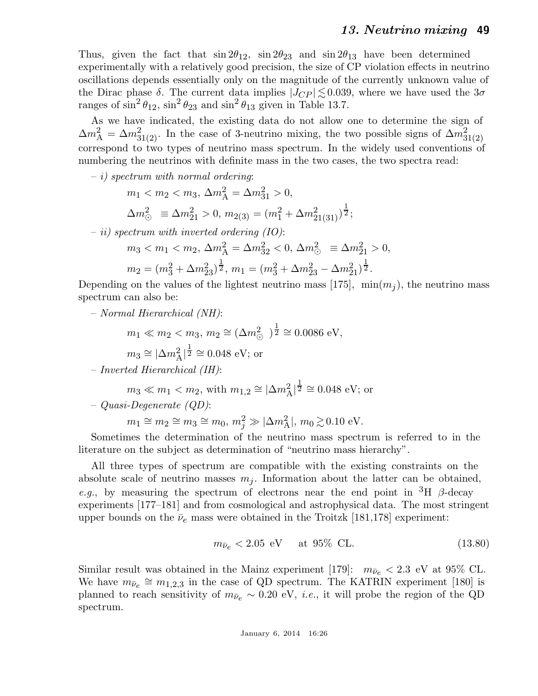Thus, given the fact that  $\sin 2\theta_{12}$ ,  $\sin 2\theta_{23}$  and  $\sin 2\theta_{13}$  have been determined experimentally with a relatively good precision, the size of CP violation effects in neutrino oscillations depends essentially only on the magnitude of the currently unknown value of the Dirac phase  $\delta$ . The current data implies  $|J_{CP}| \lesssim 0.039$ , where we have used the  $3\sigma$ ranges of  $\sin^2 \theta_{12}$ ,  $\sin^2 \theta_{23}$  and  $\sin^2 \theta_{13}$  given in Table 13.7.

As we have indicated, the existing data do not allow one to determine the sign of  $\Delta m_A^2 = \Delta m_{31(2)}^2$ . In the case of 3-neutrino mixing, the two possible signs of  $\Delta m_{31(2)}^2$ correspond to two types of neutrino mass spectrum. In the widely used conventions of numbering the neutrinos with definite mass in the two cases, the two spectra read:

 $- i$ ) spectrum with normal ordering:

$$
m_1 < m_2 < m_3, \, \Delta m_A^2 = \Delta m_{31}^2 > 0,
$$

$$
\Delta m_{\odot}^2 \equiv \Delta m_{21}^2 > 0, \, m_{2(3)} = (m_1^2 + \Delta m_{21(31)}^2)^{\frac{1}{2}};
$$

 $-ii$ ) spectrum with inverted ordering (IO):

$$
m_3 < m_1 < m_2, \, \Delta m_A^2 = \Delta m_{32}^2 < 0, \, \Delta m_\odot^2 \equiv \Delta m_{21}^2 > 0,
$$

$$
m_2 = (m_3^2 + \Delta m_{23}^2)^{\frac{1}{2}}, \, m_1 = (m_3^2 + \Delta m_{23}^2 - \Delta m_{21}^2)^{\frac{1}{2}}.
$$

Depending on the values of the lightest neutrino mass [175],  $\min(m_i)$ , the neutrino mass spectrum can also be:

– Normal Hierarchical (NH):

$$
m_1 \ll m_2 < m_3, \, m_2 \cong (\Delta m^2_{\odot})^{\frac{1}{2}} \cong 0.0086 \, \text{eV},
$$

$$
m_3 \cong |\Delta m_{\rm A}^2|^{\frac{1}{2}} \cong 0.048 \text{ eV}; \text{ or}
$$

– Inverted Hierarchical (IH):

$$
m_3 \ll m_1 < m_2
$$
, with  $m_{1,2} \approx |\Delta m_{\rm A}^2|^{\frac{1}{2}} \approx 0.048 \text{ eV}$ ; or

$$
- Quasi-Degenerate\ (QD):
$$

 $m_1 \cong m_2 \cong m_3 \cong m_0, m_j^2 \gg |\Delta m_{\rm A}^2|, m_0 \gtrsim 0.10 \text{ eV}.$ 

Sometimes the determination of the neutrino mass spectrum is referred to in the literature on the subject as determination of "neutrino mass hierarchy".

All three types of spectrum are compatible with the existing constraints on the absolute scale of neutrino masses  $m_j$ . Information about the latter can be obtained, e.g., by measuring the spectrum of electrons near the end point in  ${}^{3}H$   $\beta$ -decay experiments [177–181] and from cosmological and astrophysical data. The most stringent upper bounds on the  $\bar{\nu}_e$  mass were obtained in the Troitzk [181,178] experiment:

$$
m_{\bar{\nu}_e} < 2.05 \text{ eV} \quad \text{at } 95\% \text{ CL.} \tag{13.80}
$$

Similar result was obtained in the Mainz experiment [179]:  $m_{\bar{\nu}_e} < 2.3$  eV at 95% CL. We have  $m_{\bar{\nu}_e} \cong m_{1,2,3}$  in the case of QD spectrum. The KATRIN experiment [180] is planned to reach sensitivity of  $m_{\bar{\nu}_e} \sim 0.20$  eV, *i.e.*, it will probe the region of the QD spectrum.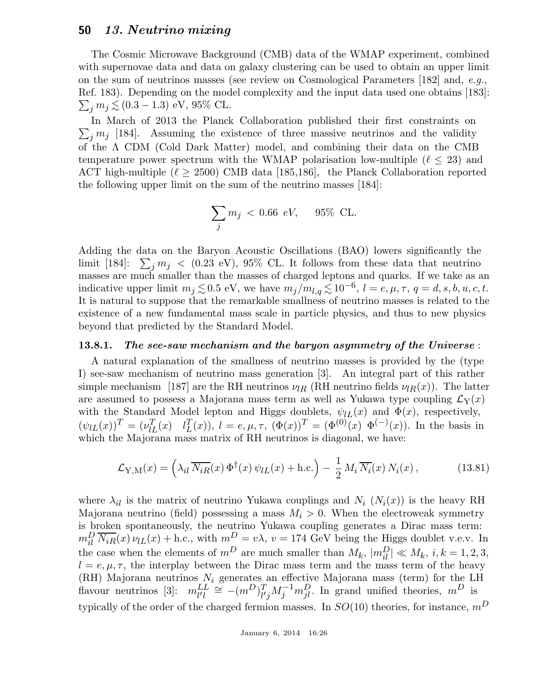The Cosmic Microwave Background (CMB) data of the WMAP experiment, combined with supernovae data and data on galaxy clustering can be used to obtain an upper limit on the sum of neutrinos masses (see review on Cosmological Parameters [182] and, e.g., Ref. 183). Depending on the model complexity and the input da ta used one obtains [183]:  $\sum_j m_j \lesssim (0.3-1.3) \,\,{\text{eV}}, \, 95\% \,\, \text{CL}.$ 

 $\sum_j m_j$  [184]. Assuming the existence of three massive neutrinos and the validity In March of 2013 the Planck Collaboration published their first constraints on of the Λ CDM (Cold Dark Matter) model, and combining their data on the CMB temperature power spectrum with the WMAP polarisation low-multiple  $(\ell \leq 23)$  and ACT high-multiple  $(\ell \geq 2500)$  CMB data [185,186], the Planck Collaboration reported the following upper limit on the sum of the neutrino masses [184]:

$$
\sum_j m_j \; < \; 0.66 \;\; eV, \quad \ \ 95\% \;\; CL.
$$

Adding the data on the Baryon Acoustic Oscillations (BAO) lowers significantly the limit [184]:  $\sum_j m_j \; < \; (0.23 \text{ eV})$ , 95% CL. It follows from these data that neutrino masses are much smaller than the masses of charged leptons and quarks. If we take as an indicative upper limit  $m_j \lesssim 0.5$  eV, we have  $m_j/m_{l,q} \lesssim 10^{-6}, l = e, \mu, \tau, q = d, s, b, u, c, t$ . It is natural to suppose that the remarkable smallness of neutrino masses is related to the existence of a new fundamental mass scale in particle physics, and thus to new physics beyond that predicted by the Standard Model.

#### 13.8.1. The see-saw mechanism and the baryon asymmetry of the Universe :

A natural explanation of the smallness of neutrino masses is provided by the (type I) see-saw mechanism of neutrino mass generation [3]. An integral part of this rather simple mechanism [187] are the RH neutrinos  $\nu_{IR}$  (RH neutrino fields  $\nu_{IR}(x)$ ). The latter are assumed to possess a Majorana mass term as well as Yukawa type coupling  $\mathcal{L}_Y(x)$ with the Standard Model lepton and Higgs doublets,  $\psi_{lL}(x)$  and  $\Phi(x)$ , respectively,  $(\psi_{lL}(x))^T = (\nu_{lL}^T(x) \quad l_L^T)$  $L^T(x)$ ,  $l = e, \mu, \tau$ ,  $(\Phi(x))^T = (\Phi^{(0)}(x) \ \Phi^{(-)}(x))$ . In the basis in which the Majorana mass matrix of RH neutrinos is diagonal, we have:

$$
\mathcal{L}_{\mathbf{Y},\mathbf{M}}(x) = \left(\lambda_{il} \, \overline{N_{iR}}(x) \, \Phi^{\dagger}(x) \, \psi_{lL}(x) + \text{h.c.}\right) - \frac{1}{2} \, M_i \, \overline{N_i}(x) \, N_i(x) \,,\tag{13.81}
$$

where  $\lambda_{il}$  is the matrix of neutrino Yukawa couplings and  $N_i$   $(N_i(x))$  is the heavy RH Majorana neutrino (field) possessing a mass  $M_i > 0$ . When the electroweak symmetry is broken spontaneously, the neutrino Yukawa coupling generates a Dirac mass term:  $m_{il}^D \overline{N_{iR}}(x) \nu_{lL}(x) +$  h.c., with  $m_{\tilde{l}}^D = v\lambda$ ,  $v = 174$  GeV being the Higgs doublet v.e.v. In the case when the elements of  $m^D$  are much smaller than  $M_k$ ,  $|m_{il}^D| \ll M_k$ ,  $i, k = 1, 2, 3$ ,  $l = e, \mu, \tau$ , the interplay between the Dirac mass term and the mass term of the heavy (RH) Majorana neutrinos  $N_i$  generates an effective Majorana mass (term) for the LH flavour neutrinos [3]:  $m_{l'l}^{LL} \cong -(m^D)_{l'}^T$  $\int_{l'j}^{T} M_j^{-1} m_{jl}^D$ . In grand unified theories,  $m^D$  is typically of the order of the charged fermion masses. In  $SO(10)$  theories, for instance,  $m<sup>D</sup>$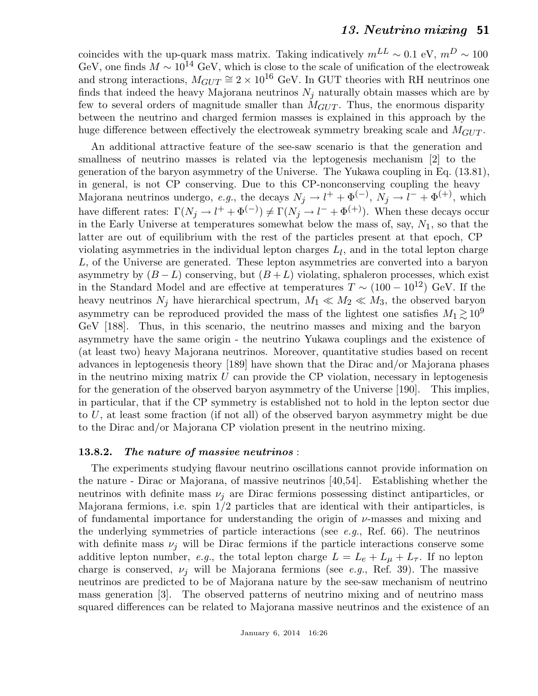coincides with the up-quark mass matrix. Taking indicatively  $m^{LL} \sim 0.1 \text{ eV}, m^{D} \sim 100$ GeV, one finds  $M \sim 10^{14}$  GeV, which is close to the scale of unification of the electroweak and strong interactions,  $M_{GUT} \cong 2 \times 10^{16}$  GeV. In GUT theories with RH neutrinos one finds that indeed the heavy Majorana neutrinos  $N_i$  naturally obtain masses which are by few to several orders of magnitude smaller than  $M_{GUT}$ . Thus, the enormous disparity between the neutrino and charged fermion masses is explained in this approach by the huge difference between effectively the electroweak symmetry breaking scale and  $M_{GUT}$ .

An additional attractive feature of the see-saw scenario is that the generation and smallness of neutrino masses is related via the leptogenesis mechanism [2] to the generation of the baryon asymmetry of the Universe. The Yukawa coupling in Eq. (13.81), in general, is not CP conserving. Due to this CP-nonconserving coupling the heavy Majorana neutrinos undergo, e.g., the decays  $N_j \to l^+ + \Phi^{(-)}$ ,  $N_j \to l^- + \Phi^{(+)}$ , which have different rates:  $\Gamma(N_j \to l^+ + \Phi^{(-)}) \neq \Gamma(N_j \to l^- + \Phi^{(+)})$ . When these decays occur in the Early Universe at temperatures somewhat below the mass of, say,  $N_1$ , so that the latter are out of equilibrium with the rest of the particles present at that epoch, CP violating asymmetries in the individual lepton charges  $L_l$ , and in the total lepton charge L, of the Universe are generated. These lepton asymmetries are converted into a baryon asymmetry by  $(B - L)$  conserving, but  $(B + L)$  violating, sphaleron processes, which exist in the Standard Model and are effective at temperatures  $T \sim (100 - 10^{12})$  GeV. If the heavy neutrinos  $N_j$  have hierarchical spectrum,  $M_1 \ll M_2 \ll M_3$ , the observed baryon asymmetry can be reproduced provided the mass of the lightest one satisfies  $M_1 \gtrsim 10^9$ GeV [188]. Thus, in this scenario, the neutrino masses and mixing and the baryon asymmetry have the same origin - the neutrino Yukawa couplings and the existence of (at least two) heavy Majorana neutrinos. Moreover, quantitative studies based on recent advances in leptogenesis theory [189] have shown that the Dirac and/or Majorana phases in the neutrino mixing matrix  $U$  can provide the CP violation, necessary in leptogenesis for the generation of the observed baryon asymmetry of the Universe [190]. This implies, in particular, that if the CP symmetry is established not to hold in the lepton sector due to U, at least some fraction (if not all) of the observed baryon asymmetry might be due to the Dirac and/or Majorana CP violation present in the neutrino mixing.

#### 13.8.2. The nature of massive neutrinos :

The experiments studying flavour neutrino oscillations cannot provide information on the nature - Dirac or Majorana, of massive neutrinos [40,54]. Establishing whether the neutrinos with definite mass  $\nu_i$  are Dirac fermions possessing distinct antiparticles, or Majorana fermions, i.e. spin 1/2 particles that are identical with their antiparticles, is of fundamental importance for understanding the origin of  $\nu$ -masses and mixing and the underlying symmetries of particle interactions (see  $e.g.,$  Ref. 66). The neutrinos with definite mass  $\nu_i$  will be Dirac fermions if the particle interactions conserve some additive lepton number, e.g., the total lepton charge  $L = L_e + L_\mu + L_\tau$ . If no lepton charge is conserved,  $\nu_i$  will be Majorana fermions (see *e.g.*, Ref. 39). The massive neutrinos are predicted to be of Majorana nature by the see-saw mechanism of neutrino mass generation [3]. The observed patterns of neutrino mixing and of neutrino mass squared differences can be related to Majorana massive neutrinos and the existence of an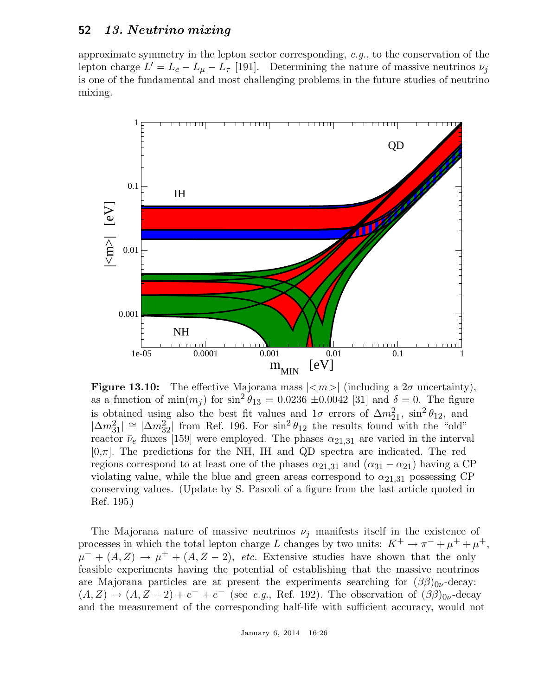approximate symmetry in the lepton sector corresponding, e.g., to the conservation of the lepton charge  $L' = L_e - L_\mu - L_\tau$  [191]. Determining the nature of massive neutrinos  $\nu_j$ is one of the fundamental and most challenging problems in the future studies of neutrino mixing.



**Figure 13.10:** The effective Majorana mass  $|\langle m \rangle|$  (including a  $2\sigma$  uncertainty), as a function of  $\min(m_j)$  for  $\sin^2 \theta_{13} = 0.0236 \pm 0.0042$  [31] and  $\delta = 0$ . The figure is obtained using also the best fit values and  $1\sigma$  errors of  $\Delta m_{21}^2$ ,  $\sin^2 \theta_{12}$ , and  $|\Delta m_{31}^2| \cong |\Delta m_{32}^2|$  from Ref. 196. For  $\sin^2 \theta_{12}$  the results found with the "old" reactor  $\bar{\nu}_e$  fluxes [159] were employed. The phases  $\alpha_{21,31}$  are varied in the interval  $[0,\pi]$ . The predictions for the NH, IH and QD spectra are indicated. The red regions correspond to at least one of the phases  $\alpha_{21,31}$  and  $(\alpha_{31} - \alpha_{21})$  having a CP violating value, while the blue and green areas correspond to  $\alpha_{21,31}$  possessing CP conserving values. (Update by S. Pascoli of a figure from the last article quoted in Ref. 195.)

The Majorana nature of massive neutrinos  $\nu_i$  manifests itself in the existence of processes in which the total lepton charge L changes by two units:  $K^+ \to \pi^- + \mu^+ + \mu^+,$  $\mu^- + (A, Z) \rightarrow \mu^+ + (A, Z - 2)$ , etc. Extensive studies have shown that the only feasible experiments having the potential of establishing that the massive neutrinos are Majorana particles are at present the experiments searching for  $(\beta\beta)_{0\nu}$ -decay:  $(A, Z) \rightarrow (A, Z + 2) + e^- + e^-$  (see e.g., Ref. 192). The observation of  $(\beta \beta)_{0\nu}$ -decay and the measurement of the corresponding half-life with sufficient accuracy, would not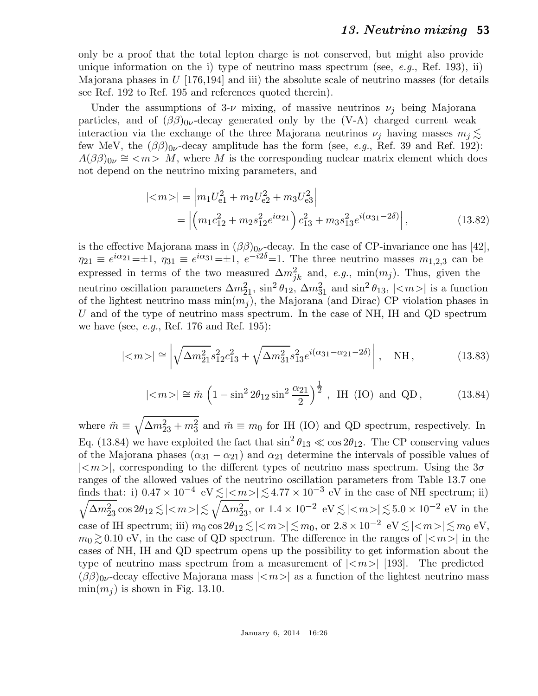only be a proof that the total lepton charge is not conserved, but might also provide unique information on the i) type of neutrino mass spectrum (see, e.g., Ref. 193), ii) Majorana phases in  $U$  [176,194] and iii) the absolute scale of neutrino masses (for details see Ref. 192 to Ref. 195 and references quoted therein).

Under the assumptions of  $3-\nu$  mixing, of massive neutrinos  $\nu_i$  being Majorana particles, and of  $(\beta\beta)_{0\nu}$ -decay generated only by the (V-A) charged current weak interaction via the exchange of the three Majorana neutrinos  $\nu_i$  having masses  $m_i \lesssim$ few MeV, the  $(\beta\beta)_{0\nu}$ -decay amplitude has the form (see, *e.g.*, Ref. 39 and Ref. 192):  $A(\beta\beta)_{0\nu} \cong \langle m \rangle$  M, where M is the corresponding nuclear matrix element which does not depend on the neutrino mixing parameters, and

$$
|\langle m \rangle| = \left| m_1 U_{e1}^2 + m_2 U_{e2}^2 + m_3 U_{e3}^2 \right|
$$
  
= 
$$
\left| \left( m_1 c_{12}^2 + m_2 s_{12}^2 e^{i\alpha_{21}} \right) c_{13}^2 + m_3 s_{13}^2 e^{i(\alpha_{31} - 2\delta)} \right|,
$$
 (13.82)

is the effective Majorana mass in  $(\beta\beta)_{0\nu}$ -decay. In the case of CP-invariance one has [42],  $\eta_{21} \equiv e^{i\alpha_{21}} = \pm 1$ ,  $\eta_{31} \equiv e^{i\alpha_{31}} = \pm 1$ ,  $e^{-i2\delta} = 1$ . The three neutrino masses  $m_{1,2,3}$  can be expressed in terms of the two measured  $\Delta m_{jk}^2$  and, e.g., min $(m_j)$ . Thus, given the neutrino oscillation parameters  $\Delta m_{21}^2$ ,  $\sin^2 \theta_{12}$ ,  $\Delta m_{31}^2$  and  $\sin^2 \theta_{13}$ ,  $|\langle m \rangle|$  is a function of the lightest neutrino mass  $\min(m_i)$ , the Majorana (and Dirac) CP violation phases in U and of the type of neutrino mass spectrum. In the case of NH, IH and QD spectrum we have (see, *e.g.*, Ref. 176 and Ref. 195):

$$
|\langle m \rangle| \cong \left| \sqrt{\Delta m_{21}^2} s_{12}^2 c_{13}^2 + \sqrt{\Delta m_{31}^2} s_{13}^2 e^{i(\alpha_{31} - \alpha_{21} - 2\delta)} \right|, \quad \text{NH}, \tag{13.83}
$$

$$
|\langle m \rangle| \approx \tilde{m} \left(1 - \sin^2 2\theta_{12} \sin^2 \frac{\alpha_{21}}{2}\right)^{\frac{1}{2}}
$$
, IH (IO) and QD, (13.84)

where  $\tilde{m} \equiv \sqrt{\Delta m_{23}^2 + m_3^2}$  and  $\tilde{m} \equiv m_0$  for IH (IO) and QD spectrum, respectively. In Eq. (13.84) we have exploited the fact that  $\sin^2 \theta_{13} \ll \cos 2\theta_{12}$ . The CP conserving values of the Majorana phases  $(\alpha_{31} - \alpha_{21})$  and  $\alpha_{21}$  determine the intervals of possible values of  $|\langle m\rangle|$ , corresponding to the different types of neutrino mass spectrum. Using the  $3\sigma$ ranges of the allowed values of the neutrino oscillation parameters from Table 13.7 one finds that: i)  $0.47 \times 10^{-4}$  eV  $\leq |\langle m \rangle| \leq 4.77 \times 10^{-3}$  eV in the case of NH spectrum; ii)  $\sqrt{\Delta m^2_{23}} \cos 2\theta_{12} \lesssim |\langle m \rangle| \lesssim \sqrt{\Delta m^2_{23}}$ , or  $1.4 \times 10^{-2}$  eV  $\lesssim |\langle m \rangle| \lesssim 5.0 \times 10^{-2}$  eV in the case of IH spectrum; iii)  $m_0 \cos 2\theta_{12} \lesssim |\langle m \rangle| \lesssim m_0$ , or  $2.8 \times 10^{-2}$  eV  $\lesssim |\langle m \rangle| \lesssim m_0$  eV,  $m_0 \gtrsim 0.10$  eV, in the case of QD spectrum. The difference in the ranges of  $|<sub>m</sub>>|$  in the cases of NH, IH and QD spectrum opens up the possibility to get information about the type of neutrino mass spectrum from a measurement of  $|\langle m \rangle|$  [193]. The predicted  $(\beta\beta)_{0\nu}$ -decay effective Majorana mass  $|\langle m \rangle|$  as a function of the lightest neutrino mass  $\min(m_i)$  is shown in Fig. 13.10.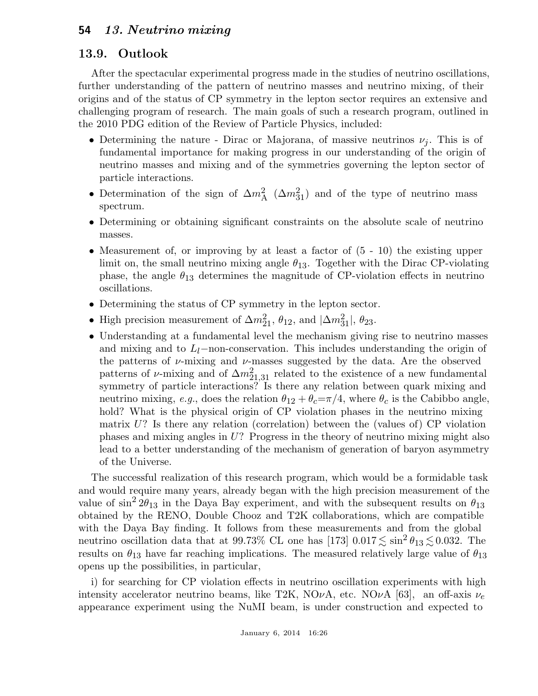## 13.9. Outlook

After the spectacular experimental progress made in the studies of neutrino oscillations, further understanding of the pattern of neutrino masses and neutrino mixing, of their origins and of the status of CP symmetry in the lepton sector requires an extensive and challenging program of research. The main goals of such a research program, outlined in the 2010 PDG edition of the Review of Particle Physics, included:

- Determining the nature Dirac or Majorana, of massive neutrinos  $\nu_j$ . This is of fundamental importance for making progress in our understanding of the origin of neutrino masses and mixing and of the symmetries governing the lepton sector of particle interactions.
- Determination of the sign of  $\Delta m_A^2$  ( $\Delta m_{31}^2$ ) and of the type of neutrino mass spectrum.
- Determining or obtaining significant constraints on the absolute scale of neutrino masses.
- Measurement of, or improving by at least a factor of  $(5 10)$  the existing upper limit on, the small neutrino mixing angle  $\theta_{13}$ . Together with the Dirac CP-violating phase, the angle  $\theta_{13}$  determines the magnitude of CP-violation effects in neutrino oscillations.
- Determining the status of CP symmetry in the lepton sector.
- High precision measurement of  $\Delta m_{21}^2$ ,  $\theta_{12}$ , and  $|\Delta m_{31}^2|$ ,  $\theta_{23}$ .
- Understanding at a fundamental level the mechanism giving rise to neutrino masses and mixing and to  $L_l$ −non-conservation. This includes understanding the origin of the patterns of  $\nu$ -mixing and  $\nu$ -masses suggested by the data. Are the observed patterns of  $\nu$ -mixing and of  $\Delta m^2_{21,31}$  related to the existence of a new fundamental symmetry of particle interactions? Is there any relation between quark mixing and neutrino mixing, e.g., does the relation  $\theta_{12} + \theta_c = \pi/4$ , where  $\theta_c$  is the Cabibbo angle, hold? What is the physical origin of CP violation phases in the neutrino mixing matrix  $U$ ? Is there any relation (correlation) between the (values of) CP violation phases and mixing angles in U? Progress in the theory of neutrino mixing might also lead to a better understanding of the mechanism of generation of baryon asymmetry of the Universe.

The successful realization of this research program, which would be a formidable task and would require many years, already began with the high precision measurement of the value of  $\sin^2 2\theta_{13}$  in the Daya Bay experiment, and with the subsequent results on  $\theta_{13}$ obtained by the RENO, Double Chooz and T2K collaborations, which are compatible with the Daya Bay finding. It follows from these measurements and from the global neutrino oscillation data that at 99.73% CL one has [173]  $0.017 \lesssim \sin^2 \theta_{13} \lesssim 0.032$ . The results on  $\theta_{13}$  have far reaching implications. The measured relatively large value of  $\theta_{13}$ opens up the possibilities, in particular,

i) for searching for CP violation effects in neutrino oscillation experiments with high intensity accelerator neutrino beams, like T2K, NO $\nu$ A, etc. NO $\nu$ A [63], an off-axis  $\nu_e$ appearance experiment using the NuMI beam, is under construction and expected to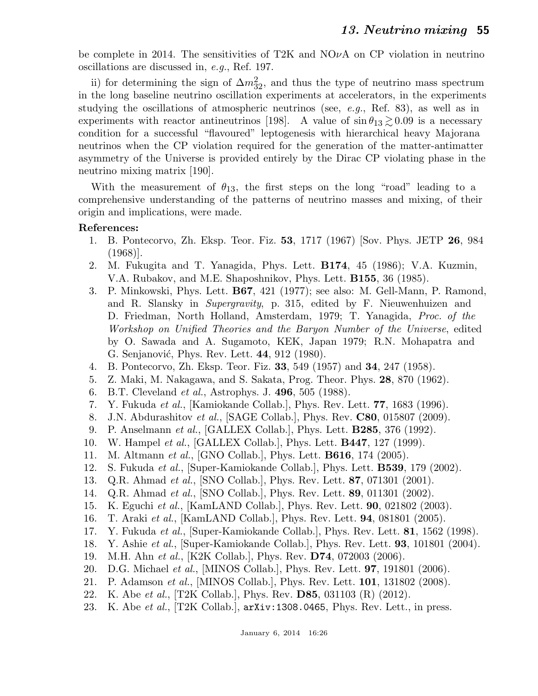be complete in 2014. The sensitivities of T2K and  $NQ\nu A$  on CP violation in neutrino oscillations are discussed in, e.g., Ref. 197.

ii) for determining the sign of  $\Delta m_{32}^2$ , and thus the type of neutrino mass spectrum in the long baseline neutrino oscillation experiments at accelerators, in the experiments studying the oscillations of atmospheric neutrinos (see, e.g., Ref. 83), as well as in experiments with reactor antineutrinos [198]. A value of  $\sin \theta_{13} \gtrsim 0.09$  is a necessary condition for a successful "flavoured" leptogenesis with hierarchical heavy Majorana neutrinos when the CP violation required for the generation of the matter-antimatter asymmetry of the Universe is provided entirely by the Dirac CP violating phase in the neutrino mixing matrix [190].

With the measurement of  $\theta_{13}$ , the first steps on the long "road" leading to a comprehensive understanding of the patterns of neutrino masses and mixing, of their origin and implications, were made.

### References:

- 1. B. Pontecorvo, Zh. Eksp. Teor. Fiz. 53, 1717 (1967) [Sov. Phys. JETP 26, 984 (1968)].
- 2. M. Fukugita and T. Yanagida, Phys. Lett. B174, 45 (1986); V.A. Kuzmin, V.A. Rubakov, and M.E. Shaposhnikov, Phys. Lett. B155, 36 (1985).
- 3. P. Minkowski, Phys. Lett. B67, 421 (1977); see also: M. Gell-Mann, P. Ramond, and R. Slansky in Supergravity, p. 315, edited by F. Nieuwenhuizen and D. Friedman, North Holland, Amsterdam, 1979; T. Yanagida, Proc. of the Workshop on Unified Theories and the Baryon Number of the Universe, edited by O. Sawada and A. Sugamoto, KEK, Japan 1979; R.N. Mohapatra and G. Senjanović, Phys. Rev. Lett. 44, 912 (1980).
- 4. B. Pontecorvo, Zh. Eksp. Teor. Fiz. 33, 549 (1957) and 34, 247 (1958).
- 5. Z. Maki, M. Nakagawa, and S. Sakata, Prog. Theor. Phys. 28, 870 (1962).
- 6. B.T. Cleveland et al., Astrophys. J. 496, 505 (1988).
- 7. Y. Fukuda et al., [Kamiokande Collab.], Phys. Rev. Lett. 77, 1683 (1996).
- 8. J.N. Abdurashitov et al., [SAGE Collab.], Phys. Rev. C80, 015807 (2009).
- 9. P. Anselmann et al., [GALLEX Collab.], Phys. Lett. B285, 376 (1992).
- 10. W. Hampel et al., [GALLEX Collab.], Phys. Lett. B447, 127 (1999).
- 11. M. Altmann et al., [GNO Collab.], Phys. Lett. **B616**, 174 (2005).
- 12. S. Fukuda et al., [Super-Kamiokande Collab.], Phys. Lett. B539, 179 (2002).
- 13. Q.R. Ahmad et al., [SNO Collab.], Phys. Rev. Lett. 87, 071301 (2001).
- 14. Q.R. Ahmad et al., [SNO Collab.], Phys. Rev. Lett. 89, 011301 (2002).
- 15. K. Eguchi et al., [KamLAND Collab.], Phys. Rev. Lett. 90, 021802 (2003).
- 16. T. Araki et al., [KamLAND Collab.], Phys. Rev. Lett. 94, 081801 (2005).
- 17. Y. Fukuda et al., [Super-Kamiokande Collab.], Phys. Rev. Lett. 81, 1562 (1998).
- 18. Y. Ashie et al., [Super-Kamiokande Collab.], Phys. Rev. Lett. 93, 101801 (2004).
- 19. M.H. Ahn et al., [K2K Collab.], Phys. Rev. D74, 072003 (2006).
- 20. D.G. Michael *et al.*, [MINOS Collab.], Phys. Rev. Lett. **97**, 191801 (2006).
- 21. P. Adamson et al., [MINOS Collab.], Phys. Rev. Lett. 101, 131802 (2008).
- 22. K. Abe et al., [T2K Collab.], Phys. Rev. D85, 031103 (R) (2012).
- 23. K. Abe et al.,  $[T2K$  Collab.,  $arXiv:1308.0465$ , Phys. Rev. Lett., in press.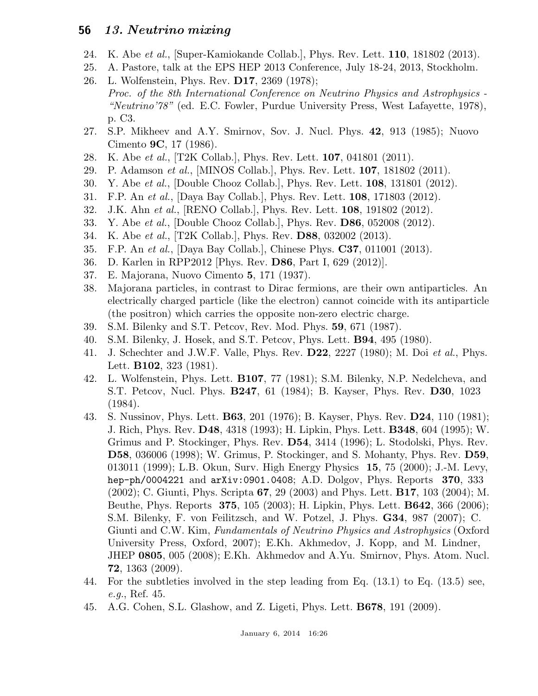- 24. K. Abe et al., [Super-Kamiokande Collab.], Phys. Rev. Lett. 110, 181802 (2013).
- 25. A. Pastore, talk at the EPS HEP 2013 Conference, July 18-24, 2013, Stockholm.
- 26. L. Wolfenstein, Phys. Rev. D17, 2369 (1978); Proc. of the 8th International Conference on Neutrino Physics and Astrophysics - "Neutrino'78" (ed. E.C. Fowler, Purdue University Press, West Lafayette, 1978), p. C3.
- 27. S.P. Mikheev and A.Y. Smirnov, Sov. J. Nucl. Phys. 42, 913 (1985); Nuovo Cimento 9C, 17 (1986).
- 28. K. Abe *et al.*, [T2K Collab.], Phys. Rev. Lett. **107**, 041801 (2011).
- 29. P. Adamson et al., [MINOS Collab.], Phys. Rev. Lett. 107, 181802 (2011).
- 30. Y. Abe et al., [Double Chooz Collab.], Phys. Rev. Lett. 108, 131801 (2012).
- 31. F.P. An et al., [Daya Bay Collab.], Phys. Rev. Lett. 108, 171803 (2012).
- 32. J.K. Ahn et al., [RENO Collab.], Phys. Rev. Lett. 108, 191802 (2012).
- 33. Y. Abe et al., [Double Chooz Collab.], Phys. Rev. D86, 052008 (2012).
- 34. K. Abe et al., [T2K Collab.], Phys. Rev. D88, 032002 (2013).
- 35. F.P. An et al., [Daya Bay Collab.], Chinese Phys. C37, 011001 (2013).
- 36. D. Karlen in RPP2012 [Phys. Rev. D86, Part I, 629 (2012)].
- 37. E. Majorana, Nuovo Cimento 5, 171 (1937).
- 38. Majorana particles, in contrast to Dirac fermions, are their own antiparticles. An electrically charged particle (like the electron) cannot coincide with its antiparticle (the positron) which carries the opposite non-zero electric charge.
- 39. S.M. Bilenky and S.T. Petcov, Rev. Mod. Phys. 59, 671 (1987).
- 40. S.M. Bilenky, J. Hosek, and S.T. Petcov, Phys. Lett. B94, 495 (1980).
- 41. J. Schechter and J.W.F. Valle, Phys. Rev. D22, 2227 (1980); M. Doi et al., Phys. Lett. **B102**, 323 (1981).
- 42. L. Wolfenstein, Phys. Lett. B107, 77 (1981); S.M. Bilenky, N.P. Nedelcheva, and S.T. Petcov, Nucl. Phys. B247, 61 (1984); B. Kayser, Phys. Rev. D30, 1023 (1984).
- 43. S. Nussinov, Phys. Lett. B63, 201 (1976); B. Kayser, Phys. Rev. D24, 110 (1981); J. Rich, Phys. Rev. D48, 4318 (1993); H. Lipkin, Phys. Lett. B348, 604 (1995); W. Grimus and P. Stockinger, Phys. Rev. D54, 3414 (1996); L. Stodolski, Phys. Rev. D58, 036006 (1998); W. Grimus, P. Stockinger, and S. Mohanty, Phys. Rev. D59, 013011 (1999); L.B. Okun, Surv. High Energy Physics 15, 75 (2000); J.-M. Levy, hep-ph/0004221 and  $arXiv:0901.0408; A.D. Dolgov, Phys. Reports 370, 333$ (2002); C. Giunti, Phys. Scripta 67, 29 (2003) and Phys. Lett. B17, 103 (2004); M. Beuthe, Phys. Reports 375, 105 (2003); H. Lipkin, Phys. Lett. B642, 366 (2006); S.M. Bilenky, F. von Feilitzsch, and W. Potzel, J. Phys. G34, 987 (2007); C. Giunti and C.W. Kim, Fundamentals of Neutrino Physics and Astrophysics (Oxford University Press, Oxford, 2007); E.Kh. Akhmedov, J. Kopp, and M. Lindner, JHEP 0805, 005 (2008); E.Kh. Akhmedov and A.Yu. Smirnov, Phys. Atom. Nucl. 72, 1363 (2009).
- 44. For the subtleties involved in the step leading from Eq. (13.1) to Eq. (13.5) see, e.g., Ref. 45.
- 45. A.G. Cohen, S.L. Glashow, and Z. Ligeti, Phys. Lett. B678, 191 (2009).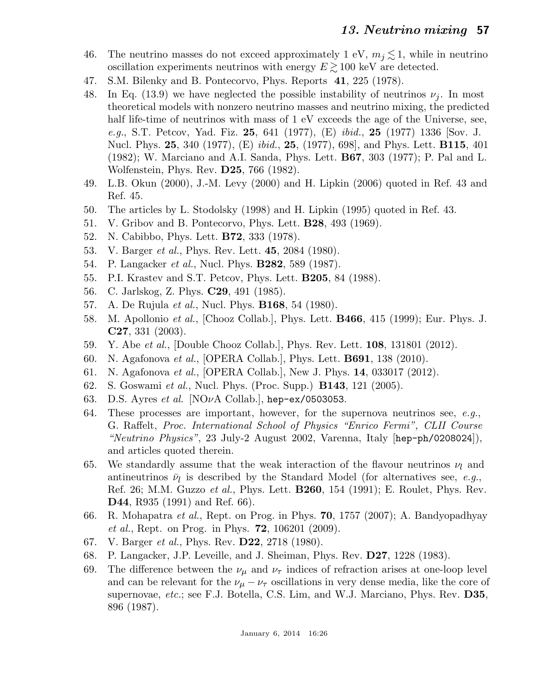- 46. The neutrino masses do not exceed approximately 1 eV,  $m_j \lesssim 1$ , while in neutrino oscillation experiments neutrinos with energy  $E \gtrsim 100 \text{ keV}$  are detected.
- 47. S.M. Bilenky and B. Pontecorvo, Phys. Reports 41, 225 (1978).
- 48. In Eq. (13.9) we have neglected the possible instability of neutrinos  $\nu_j$ . In most theoretical models with nonzero neutrino masses and neutrino mixing, the predicted half life-time of neutrinos with mass of 1 eV exceeds the age of the Universe, see, e.g., S.T. Petcov, Yad. Fiz. 25, 641 (1977),  $(E)$  ibid., 25 (1977) 1336 [Sov. J. Nucl. Phys. 25, 340 (1977), (E) *ibid.*, 25, (1977), 698, and Phys. Lett. **B115**, 401 (1982); W. Marciano and A.I. Sanda, Phys. Lett. B67, 303 (1977); P. Pal and L. Wolfenstein, Phys. Rev. D25, 766 (1982).
- 49. L.B. Okun (2000), J.-M. Levy (2000) and H. Lipkin (2006) quoted in Ref. 43 and Ref. 45.
- 50. The articles by L. Stodolsky (1998) and H. Lipkin (1995) quoted in Ref. 43.
- 51. V. Gribov and B. Pontecorvo, Phys. Lett. B28, 493 (1969).
- 52. N. Cabibbo, Phys. Lett. B72, 333 (1978).
- 53. V. Barger *et al.*, Phys. Rev. Lett. **45**, 2084 (1980).
- 54. P. Langacker *et al.*, Nucl. Phys. **B282**, 589 (1987).
- 55. P.I. Krastev and S.T. Petcov, Phys. Lett. B205, 84 (1988).
- 56. C. Jarlskog, Z. Phys. C29, 491 (1985).
- 57. A. De Rujula et al., Nucl. Phys. B168, 54 (1980).
- 58. M. Apollonio et al., [Chooz Collab.], Phys. Lett. B466, 415 (1999); Eur. Phys. J. C27, 331 (2003).
- 59. Y. Abe et al., [Double Chooz Collab.], Phys. Rev. Lett. 108, 131801 (2012).
- 60. N. Agafonova et al., [OPERA Collab.], Phys. Lett. B691, 138 (2010).
- 61. N. Agafonova et al., [OPERA Collab.], New J. Phys. 14, 033017 (2012).
- 62. S. Goswami et al., Nucl. Phys. (Proc. Supp.) B143, 121 (2005).
- 63. D.S. Ayres et al. [NO $\nu$ A Collab.], hep-ex/0503053.
- 64. These processes are important, however, for the supernova neutrinos see,  $e.g.,$ G. Raffelt, Proc. International School of Physics "Enrico Fermi", CLII Course "Neutrino Physics", 23 July-2 August 2002, Varenna, Italy [hep-ph/0208024]), and articles quoted therein.
- 65. We standardly assume that the weak interaction of the flavour neutrinos  $\nu_l$  and antineutrinos  $\bar{\nu}_l$  is described by the Standard Model (for alternatives see, *e.g.*, Ref. 26; M.M. Guzzo et al., Phys. Lett. B260, 154 (1991); E. Roulet, Phys. Rev. D44, R935 (1991) and Ref. 66).
- 66. R. Mohapatra *et al.*, Rept. on Prog. in Phys. **70**, 1757 (2007); A. Bandyopadhyay et al., Rept. on Prog. in Phys. 72, 106201 (2009).
- 67. V. Barger et al., Phys. Rev. D22, 2718 (1980).
- 68. P. Langacker, J.P. Leveille, and J. Sheiman, Phys. Rev. D27, 1228 (1983).
- 69. The difference between the  $\nu_{\mu}$  and  $\nu_{\tau}$  indices of refraction arises at one-loop level and can be relevant for the  $\nu_{\mu} - \nu_{\tau}$  oscillations in very dense media, like the core of supernovae, *etc.*; see F.J. Botella, C.S. Lim, and W.J. Marciano, Phys. Rev. D35, 896 (1987).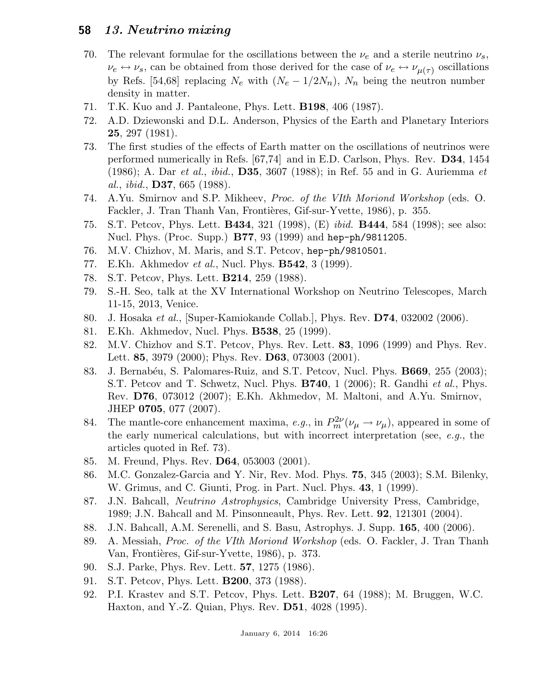- 70. The relevant formulae for the oscillations between the  $\nu_e$  and a sterile neutrino  $\nu_s$ ,  $\nu_e \leftrightarrow \nu_s$ , can be obtained from those derived for the case of  $\nu_e \leftrightarrow \nu_{\mu(\tau)}$  oscillations by Refs. [54,68] replacing  $N_e$  with  $(N_e - 1/2N_n)$ ,  $N_n$  being the neutron number density in matter.
- 71. T.K. Kuo and J. Pantaleone, Phys. Lett. B198, 406 (1987).
- 72. A.D. Dziewonski and D.L. Anderson, Physics of the Earth and Planetary Interiors 25, 297 (1981).
- 73. The first studies of the effects of Earth matter on the oscillations of neutrinos were performed numerically in Refs. [67,74] and in E.D. Carlson, Phys. Rev. D34, 1454 (1986); A. Dar et al., ibid., D35, 3607 (1988); in Ref. 55 and in G. Auriemma et al., ibid., D37, 665 (1988).
- 74. A.Yu. Smirnov and S.P. Mikheev, Proc. of the VIth Moriond Workshop (eds. O. Fackler, J. Tran Thanh Van, Frontières, Gif-sur-Yvette, 1986), p. 355.
- 75. S.T. Petcov, Phys. Lett. B434, 321 (1998), (E) ibid. B444, 584 (1998); see also: Nucl. Phys. (Proc. Supp.) B77, 93 (1999) and hep-ph/9811205.
- 76. M.V. Chizhov, M. Maris, and S.T. Petcov, hep-ph/9810501.
- 77. E.Kh. Akhmedov *et al.*, Nucl. Phys. **B542**, 3 (1999).
- 78. S.T. Petcov, Phys. Lett. B214, 259 (1988).
- 79. S.-H. Seo, talk at the XV International Workshop on Neutrino Telescopes, March 11-15, 2013, Venice.
- 80. J. Hosaka et al., [Super-Kamiokande Collab.], Phys. Rev. D74, 032002 (2006).
- 81. E.Kh. Akhmedov, Nucl. Phys. B538, 25 (1999).
- 82. M.V. Chizhov and S.T. Petcov, Phys. Rev. Lett. 83, 1096 (1999) and Phys. Rev. Lett. **85**, 3979 (2000); Phys. Rev. **D63**, 073003 (2001).
- 83. J. Bernabéu, S. Palomares-Ruiz, and S.T. Petcov, Nucl. Phys. **B669**, 255 (2003); S.T. Petcov and T. Schwetz, Nucl. Phys. **B740**, 1 (2006); R. Gandhi *et al.*, Phys. Rev. D76, 073012 (2007); E.Kh. Akhmedov, M. Maltoni, and A.Yu. Smirnov, JHEP 0705, 077 (2007).
- 84. The mantle-core enhancement maxima, e.g., in  $P_m^{2\nu}(\nu_\mu \to \nu_\mu)$ , appeared in some of the early numerical calculations, but with incorrect interpretation (see,  $e, q,$ , the articles quoted in Ref. 73).
- 85. M. Freund, Phys. Rev. D64, 053003 (2001).
- 86. M.C. Gonzalez-Garcia and Y. Nir, Rev. Mod. Phys. 75, 345 (2003); S.M. Bilenky, W. Grimus, and C. Giunti, Prog. in Part. Nucl. Phys. 43, 1 (1999).
- 87. J.N. Bahcall, Neutrino Astrophysics, Cambridge University Press, Cambridge, 1989; J.N. Bahcall and M. Pinsonneault, Phys. Rev. Lett. 92, 121301 (2004).
- 88. J.N. Bahcall, A.M. Serenelli, and S. Basu, Astrophys. J. Supp. 165, 400 (2006).
- 89. A. Messiah, Proc. of the VIth Moriond Workshop (eds. O. Fackler, J. Tran Thanh Van, Frontières, Gif-sur-Yvette, 1986), p. 373.
- 90. S.J. Parke, Phys. Rev. Lett. 57, 1275 (1986).
- 91. S.T. Petcov, Phys. Lett. B200, 373 (1988).
- 92. P.I. Krastev and S.T. Petcov, Phys. Lett. B207, 64 (1988); M. Bruggen, W.C. Haxton, and Y.-Z. Quian, Phys. Rev. D51, 4028 (1995).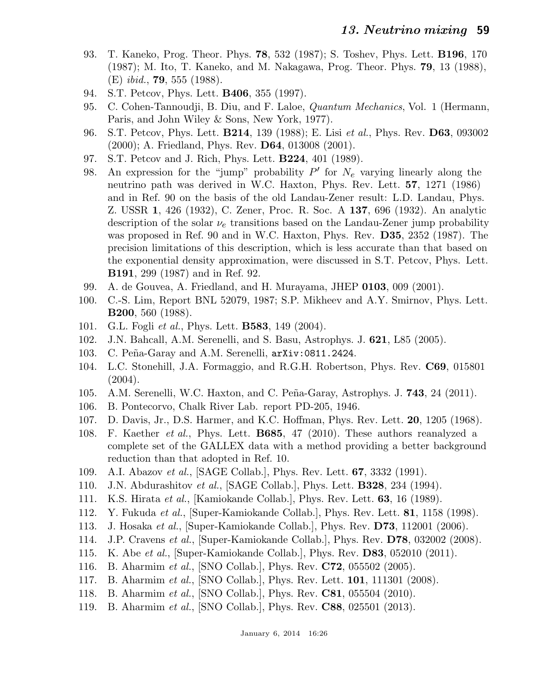- 93. T. Kaneko, Prog. Theor. Phys. 78, 532 (1987); S. Toshev, Phys. Lett. B196, 170 (1987); M. Ito, T. Kaneko, and M. Nakagawa, Prog. Theor. Phys. 79, 13 (1988), (E) *ibid.*, **79**, 555 (1988).
- 94. S.T. Petcov, Phys. Lett. B406, 355 (1997).
- 95. C. Cohen-Tannoudji, B. Diu, and F. Laloe, *Quantum Mechanics*, Vol. 1 (Hermann, Paris, and John Wiley & Sons, New York, 1977).
- 96. S.T. Petcov, Phys. Lett. B214, 139 (1988); E. Lisi et al., Phys. Rev. D63, 093002 (2000); A. Friedland, Phys. Rev. D64, 013008 (2001).
- 97. S.T. Petcov and J. Rich, Phys. Lett. B224, 401 (1989).
- 98. An expression for the "jump" probability  $P'$  for  $N_e$  varying linearly along the neutrino path was derived in W.C. Haxton, Phys. Rev. Lett. 57, 1271 (1986) and in Ref. 90 on the basis of the old Landau-Zener result: L.D. Landau, Phys. Z. USSR 1, 426 (1932), C. Zener, Proc. R. Soc. A 137, 696 (1932). An analytic description of the solar  $\nu_e$  transitions based on the Landau-Zener jump probability was proposed in Ref. 90 and in W.C. Haxton, Phys. Rev. D35, 2352 (1987). The precision limitations of this description, which is less accurate than that based on the exponential density approximation, were discussed in S.T. Petcov, Phys. Lett. B191, 299 (1987) and in Ref. 92.
- 99. A. de Gouvea, A. Friedland, and H. Murayama, JHEP 0103, 009 (2001).
- 100. C.-S. Lim, Report BNL 52079, 1987; S.P. Mikheev and A.Y. Smirnov, Phys. Lett. B200, 560 (1988).
- 101. G.L. Fogli *et al.*, Phys. Lett. **B583**, 149 (2004).
- 102. J.N. Bahcall, A.M. Serenelli, and S. Basu, Astrophys. J. 621, L85 (2005).
- 103. C. Peña-Garay and A.M. Serenelli,  $arXiv:0811.2424$ .
- 104. L.C. Stonehill, J.A. Formaggio, and R.G.H. Robertson, Phys. Rev. C69, 015801 (2004).
- 105. A.M. Serenelli, W.C. Haxton, and C. Peña-Garay, Astrophys. J. **743**, 24 (2011).
- 106. B. Pontecorvo, Chalk River Lab. report PD-205, 1946.
- 107. D. Davis, Jr., D.S. Harmer, and K.C. Hoffman, Phys. Rev. Lett. 20, 1205 (1968).
- 108. F. Kaether et al., Phys. Lett. B685, 47 (2010). These authors reanalyzed a complete set of the GALLEX data with a method providing a better background reduction than that adopted in Ref. 10.
- 109. A.I. Abazov et al., [SAGE Collab.], Phys. Rev. Lett. 67, 3332 (1991).
- 110. J.N. Abdurashitov et al., [SAGE Collab.], Phys. Lett. **B328**, 234 (1994).
- 111. K.S. Hirata et al., [Kamiokande Collab.], Phys. Rev. Lett. 63, 16 (1989).
- 112. Y. Fukuda et al., [Super-Kamiokande Collab.], Phys. Rev. Lett. 81, 1158 (1998).
- 113. J. Hosaka et al., [Super-Kamiokande Collab.], Phys. Rev. D73, 112001 (2006).
- 114. J.P. Cravens et al., [Super-Kamiokande Collab.], Phys. Rev. D78, 032002 (2008).
- 115. K. Abe et al., [Super-Kamiokande Collab.], Phys. Rev. D83, 052010 (2011).
- 116. B. Aharmim et al., [SNO Collab.], Phys. Rev. C72, 055502 (2005).
- 117. B. Aharmim et al., [SNO Collab.], Phys. Rev. Lett. 101, 111301 (2008).
- 118. B. Aharmim et al., [SNO Collab.], Phys. Rev. **C81**, 055504 (2010).
- 119. B. Aharmim et al., [SNO Collab.], Phys. Rev. C88, 025501 (2013).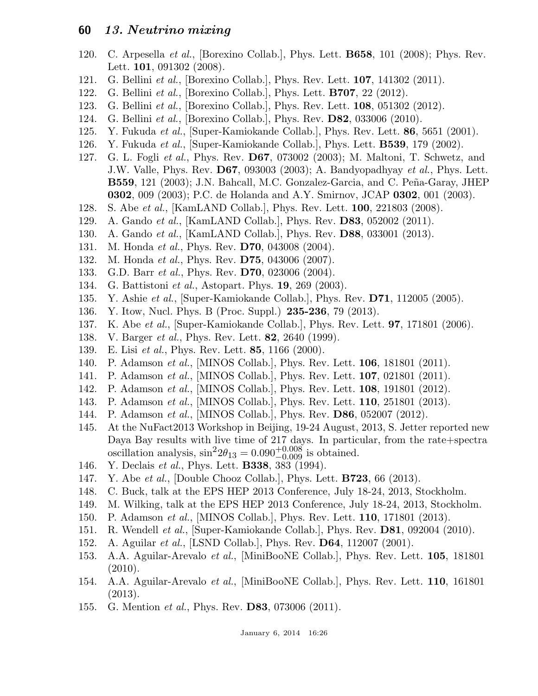- 120. C. Arpesella et al., [Borexino Collab.], Phys. Lett. B658, 101 (2008); Phys. Rev. Lett. **101**, 091302 (2008).
- 121. G. Bellini et al., [Borexino Collab.], Phys. Rev. Lett. 107, 141302 (2011).
- 122. G. Bellini et al., [Borexino Collab.], Phys. Lett. B707, 22 (2012).
- 123. G. Bellini et al., [Borexino Collab.], Phys. Rev. Lett. 108, 051302 (2012).
- 124. G. Bellini et al., [Borexino Collab.], Phys. Rev. D82, 033006 (2010).
- 125. Y. Fukuda et al., [Super-Kamiokande Collab.], Phys. Rev. Lett. 86, 5651 (2001).
- 126. Y. Fukuda et al., [Super-Kamiokande Collab.], Phys. Lett. B539, 179 (2002).
- 127. G. L. Fogli et al., Phys. Rev. D67, 073002 (2003); M. Maltoni, T. Schwetz, and J.W. Valle, Phys. Rev. D67, 093003 (2003); A. Bandyopadhyay et al., Phys. Lett. B559, 121 (2003); J.N. Bahcall, M.C. Gonzalez-Garcia, and C. Peña-Garay, JHEP 0302, 009 (2003); P.C. de Holanda and A.Y. Smirnov, JCAP 0302, 001 (2003).
- 128. S. Abe *et al.*, [KamLAND Collab.], Phys. Rev. Lett. **100**, 221803 (2008).
- 129. A. Gando et al., [KamLAND Collab.], Phys. Rev. D83, 052002 (2011).
- 130. A. Gando *et al.*, [KamLAND Collab.], Phys. Rev. **D88**, 033001 (2013).
- 131. M. Honda *et al.*, Phys. Rev. **D70**, 043008 (2004).
- 132. M. Honda *et al.*, Phys. Rev. **D75**, 043006 (2007).
- 133. G.D. Barr *et al.*, Phys. Rev. **D70**, 023006 (2004).
- 134. G. Battistoni et al., Astopart. Phys. 19, 269 (2003).
- 135. Y. Ashie *et al.*, [Super-Kamiokande Collab.], Phys. Rev. **D71**, 112005 (2005).
- 136. Y. Itow, Nucl. Phys. B (Proc. Suppl.) 235-236, 79 (2013).
- 137. K. Abe et al., [Super-Kamiokande Collab.], Phys. Rev. Lett. **97**, 171801 (2006).
- 138. V. Barger *et al.*, Phys. Rev. Lett. **82**, 2640 (1999).
- 139. E. Lisi *et al.*, Phys. Rev. Lett. **85**, 1166 (2000).
- 140. P. Adamson et al., [MINOS Collab.], Phys. Rev. Lett. 106, 181801 (2011).
- 141. P. Adamson et al., [MINOS Collab.], Phys. Rev. Lett. 107, 021801 (2011).
- 142. P. Adamson et al., [MINOS Collab.], Phys. Rev. Lett. 108, 191801 (2012).
- 143. P. Adamson et al., [MINOS Collab.], Phys. Rev. Lett. 110, 251801 (2013).
- 144. P. Adamson et al., [MINOS Collab.], Phys. Rev. D86, 052007 (2012).
- 145. At the NuFact2013 Workshop in Beijing, 19-24 August, 2013, S. Jetter reported new Daya Bay results with live time of 217 days. In particular, from the rate+spectra oscillation analysis,  $\sin^2 2\theta_{13} = 0.090^{+0.008}_{-0.009}$  is obtained.
- 146. Y. Declais *et al.*, Phys. Lett. **B338**, 383 (1994).
- 147. Y. Abe *et al.*, [Double Chooz Collab.], Phys. Lett. **B723**, 66 (2013).
- 148. C. Buck, talk at the EPS HEP 2013 Conference, July 18-24, 2013, Stockholm.
- 149. M. Wilking, talk at the EPS HEP 2013 Conference, July 18-24, 2013, Stockholm.
- 150. P. Adamson *et al.*, [MINOS Collab.], Phys. Rev. Lett. **110**, 171801 (2013).
- 151. R. Wendell et al., [Super-Kamiokande Collab.], Phys. Rev. D81, 092004 (2010).
- 152. A. Aguilar *et al.*, [LSND Collab.], Phys. Rev. **D64**, 112007 (2001).
- 153. A.A. Aguilar-Arevalo et al., [MiniBooNE Collab.], Phys. Rev. Lett. 105, 181801 (2010).
- 154. A.A. Aguilar-Arevalo et al., [MiniBooNE Collab.], Phys. Rev. Lett. 110, 161801 (2013).
- 155. G. Mention *et al.*, Phys. Rev. **D83**, 073006 (2011).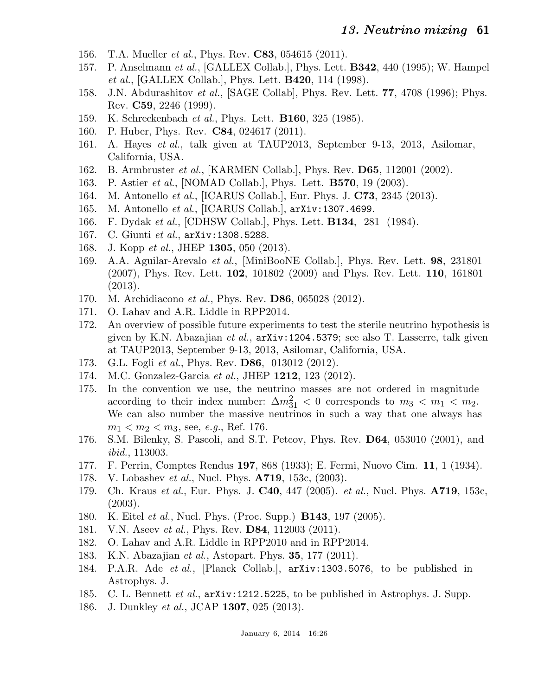- 156. T.A. Mueller *et al.*, Phys. Rev. **C83**, 054615 (2011).
- 157. P. Anselmann et al., [GALLEX Collab.], Phys. Lett. **B342**, 440 (1995); W. Hampel et al., [GALLEX Collab.], Phys. Lett. B420, 114 (1998).
- 158. J.N. Abdurashitov *et al.*, [SAGE Collab], Phys. Rev. Lett. **77**, 4708 (1996); Phys. Rev. C59, 2246 (1999).
- 159. K. Schreckenbach et al., Phys. Lett. B160, 325 (1985).
- 160. P. Huber, Phys. Rev. C84, 024617 (2011).
- 161. A. Hayes et al., talk given at TAUP2013, September 9-13, 2013, Asilomar, California, USA.
- 162. B. Armbruster et al., [KARMEN Collab.], Phys. Rev. D65, 112001 (2002).
- 163. P. Astier *et al.*, [NOMAD Collab.], Phys. Lett. **B570**, 19 (2003).
- 164. M. Antonello *et al.*, [ICARUS Collab.], Eur. Phys. J. **C73**, 2345 (2013).
- 165. M. Antonello et al., [ICARUS Collab.], arXiv:1307.4699.
- 166. F. Dydak et al., [CDHSW Collab.], Phys. Lett. **B134**, 281 (1984).
- 167. C. Giunti et al.,  $arXiv:1308.5288$ .
- 168. J. Kopp et al., JHEP **1305**, 050 (2013).
- 169. A.A. Aguilar-Arevalo et al., [MiniBooNE Collab.], Phys. Rev. Lett. 98, 231801 (2007), Phys. Rev. Lett. 102, 101802 (2009) and Phys. Rev. Lett. 110, 161801 (2013).
- 170. M. Archidiacono et al., Phys. Rev. D86, 065028 (2012).
- 171. O. Lahav and A.R. Liddle in RPP2014.
- 172. An overview of possible future experiments to test the sterile neutrino hypothesis is given by K.N. Abazajian et al., arXiv:1204.5379; see also T. Lasserre, talk given at TAUP2013, September 9-13, 2013, Asilomar, California, USA.
- 173. G.L. Fogli et al., Phys. Rev. **D86**, 013012 (2012).
- 174. M.C. Gonzalez-Garcia et al., JHEP 1212, 123 (2012).
- 175. In the convention we use, the neutrino masses are not ordered in magnitude according to their index number:  $\Delta m_{31}^2 < 0$  corresponds to  $m_3 < m_1 < m_2$ . We can also number the massive neutrinos in such a way that one always has  $m_1 < m_2 < m_3$ , see, *e.g.*, Ref. 176.
- 176. S.M. Bilenky, S. Pascoli, and S.T. Petcov, Phys. Rev. D64, 053010 (2001), and ibid., 113003.
- 177. F. Perrin, Comptes Rendus 197, 868 (1933); E. Fermi, Nuovo Cim. 11, 1 (1934).
- 178. V. Lobashev et al., Nucl. Phys. **A719**, 153c, (2003).
- 179. Ch. Kraus et al., Eur. Phys. J.  $C40$ , 447 (2005). et al., Nucl. Phys.  $A719$ , 153c, (2003).
- 180. K. Eitel et al., Nucl. Phys. (Proc. Supp.) B143, 197 (2005).
- 181. V.N. Aseev *et al.*, Phys. Rev. **D84**, 112003 (2011).
- 182. O. Lahav and A.R. Liddle in RPP2010 and in RPP2014.
- 183. K.N. Abazajian et al., Astopart. Phys. **35**, 177 (2011).
- 184. P.A.R. Ade et al., [Planck Collab.], arXiv:1303.5076, to be published in Astrophys. J.
- 185. C. L. Bennett et al.,  $arXiv:1212.5225$ , to be published in Astrophys. J. Supp.
- 186. J. Dunkley *et al.*, JCAP **1307**, 025 (2013).